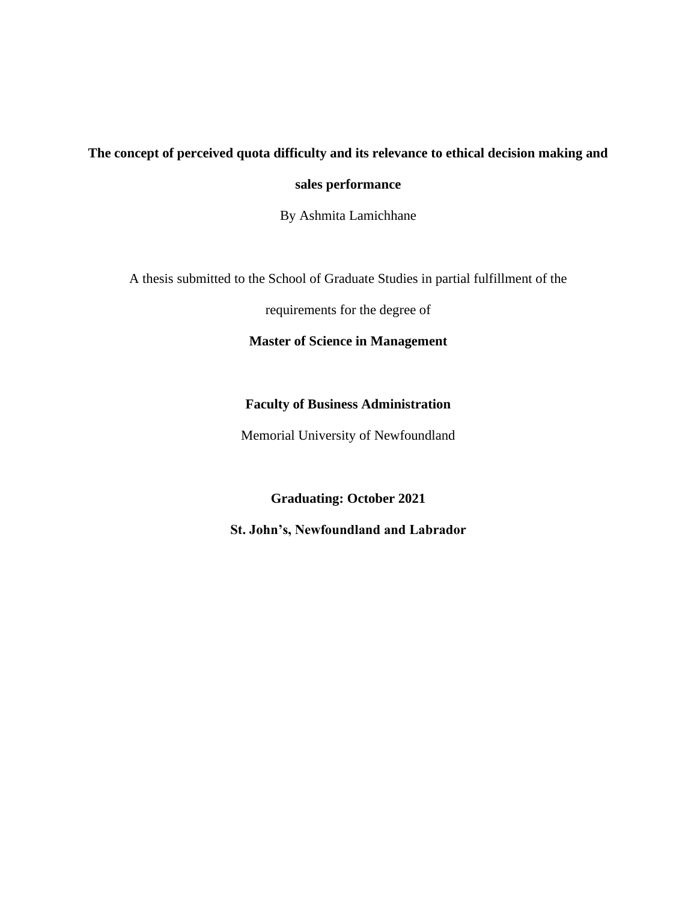# **The concept of perceived quota difficulty and its relevance to ethical decision making and**

**sales performance**

By Ashmita Lamichhane

A thesis submitted to the School of Graduate Studies in partial fulfillment of the

requirements for the degree of

### **Master of Science in Management**

### **Faculty of Business Administration**

Memorial University of Newfoundland

**Graduating: October 2021**

**St. John's, Newfoundland and Labrador**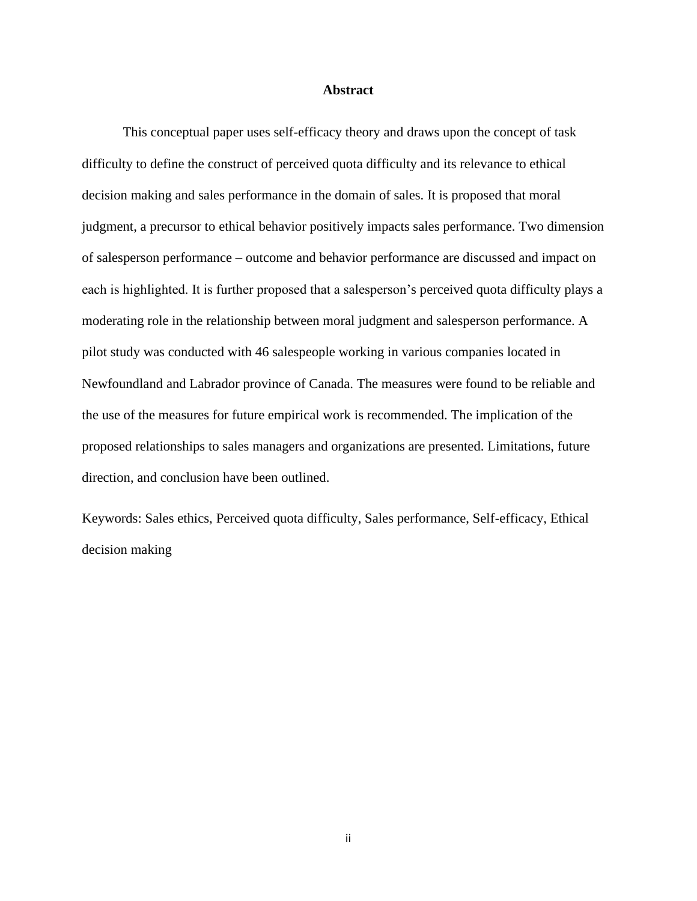### **Abstract**

<span id="page-1-0"></span>This conceptual paper uses self-efficacy theory and draws upon the concept of task difficulty to define the construct of perceived quota difficulty and its relevance to ethical decision making and sales performance in the domain of sales. It is proposed that moral judgment, a precursor to ethical behavior positively impacts sales performance. Two dimension of salesperson performance – outcome and behavior performance are discussed and impact on each is highlighted. It is further proposed that a salesperson's perceived quota difficulty plays a moderating role in the relationship between moral judgment and salesperson performance. A pilot study was conducted with 46 salespeople working in various companies located in Newfoundland and Labrador province of Canada. The measures were found to be reliable and the use of the measures for future empirical work is recommended. The implication of the proposed relationships to sales managers and organizations are presented. Limitations, future direction, and conclusion have been outlined.

Keywords: Sales ethics, Perceived quota difficulty, Sales performance, Self-efficacy, Ethical decision making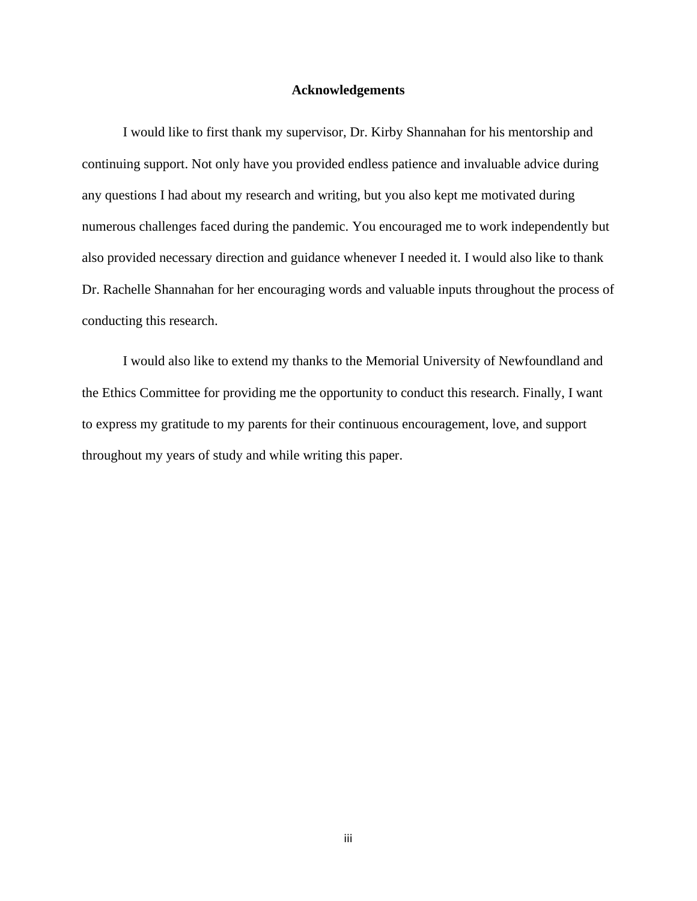### **Acknowledgements**

<span id="page-2-0"></span>I would like to first thank my supervisor, Dr. Kirby Shannahan for his mentorship and continuing support. Not only have you provided endless patience and invaluable advice during any questions I had about my research and writing, but you also kept me motivated during numerous challenges faced during the pandemic. You encouraged me to work independently but also provided necessary direction and guidance whenever I needed it. I would also like to thank Dr. Rachelle Shannahan for her encouraging words and valuable inputs throughout the process of conducting this research.

I would also like to extend my thanks to the Memorial University of Newfoundland and the Ethics Committee for providing me the opportunity to conduct this research. Finally, I want to express my gratitude to my parents for their continuous encouragement, love, and support throughout my years of study and while writing this paper.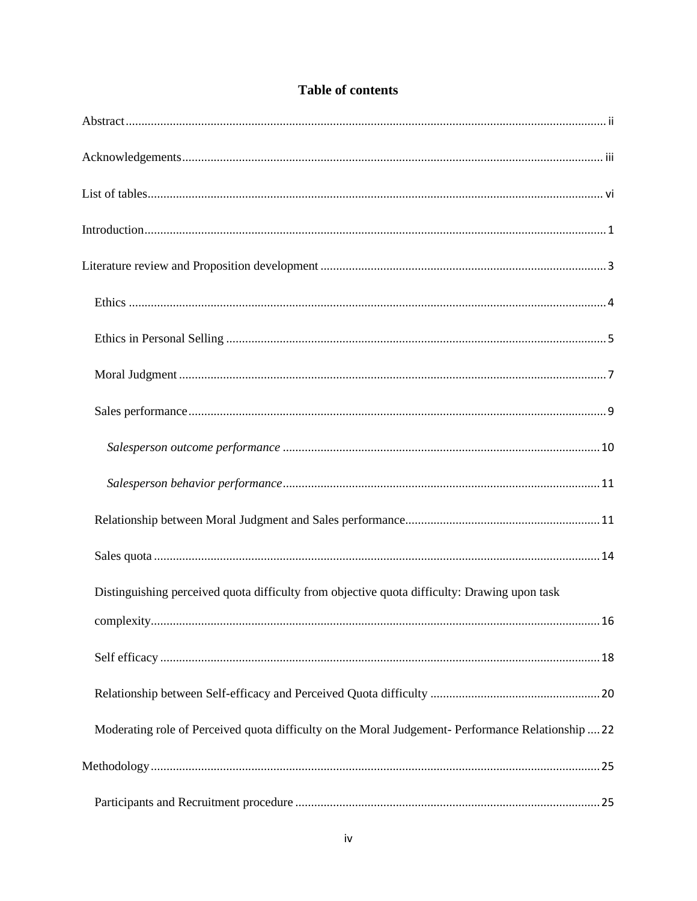| <b>Table of contents</b> |  |
|--------------------------|--|
|--------------------------|--|

| Distinguishing perceived quota difficulty from objective quota difficulty: Drawing upon task       |
|----------------------------------------------------------------------------------------------------|
| .16                                                                                                |
|                                                                                                    |
|                                                                                                    |
| Moderating role of Perceived quota difficulty on the Moral Judgement- Performance Relationship  22 |
|                                                                                                    |
|                                                                                                    |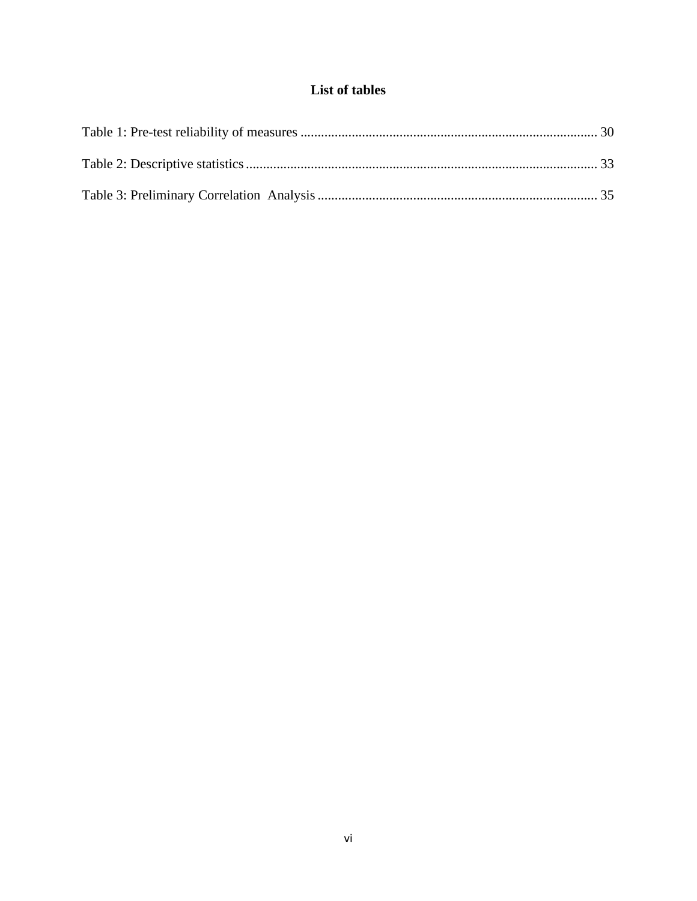### List of tables

<span id="page-5-0"></span>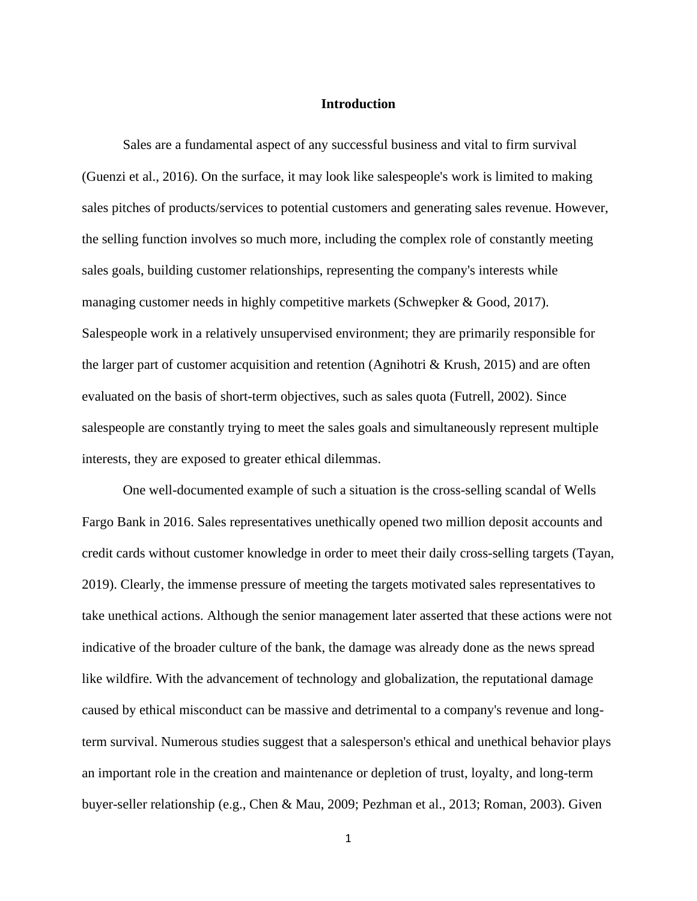### **Introduction**

<span id="page-6-0"></span>Sales are a fundamental aspect of any successful business and vital to firm survival (Guenzi et al., 2016). On the surface, it may look like salespeople's work is limited to making sales pitches of products/services to potential customers and generating sales revenue. However, the selling function involves so much more, including the complex role of constantly meeting sales goals, building customer relationships, representing the company's interests while managing customer needs in highly competitive markets (Schwepker & Good, 2017). Salespeople work in a relatively unsupervised environment; they are primarily responsible for the larger part of customer acquisition and retention (Agnihotri  $\&$  Krush, 2015) and are often evaluated on the basis of short-term objectives, such as sales quota (Futrell, 2002). Since salespeople are constantly trying to meet the sales goals and simultaneously represent multiple interests, they are exposed to greater ethical dilemmas.

One well-documented example of such a situation is the cross-selling scandal of Wells Fargo Bank in 2016. Sales representatives unethically opened two million deposit accounts and credit cards without customer knowledge in order to meet their daily cross-selling targets (Tayan, 2019). Clearly, the immense pressure of meeting the targets motivated sales representatives to take unethical actions. Although the senior management later asserted that these actions were not indicative of the broader culture of the bank, the damage was already done as the news spread like wildfire. With the advancement of technology and globalization, the reputational damage caused by ethical misconduct can be massive and detrimental to a company's revenue and longterm survival. Numerous studies suggest that a salesperson's ethical and unethical behavior plays an important role in the creation and maintenance or depletion of trust, loyalty, and long-term buyer-seller relationship (e.g., Chen & Mau, 2009; Pezhman et al., 2013; Roman, 2003). Given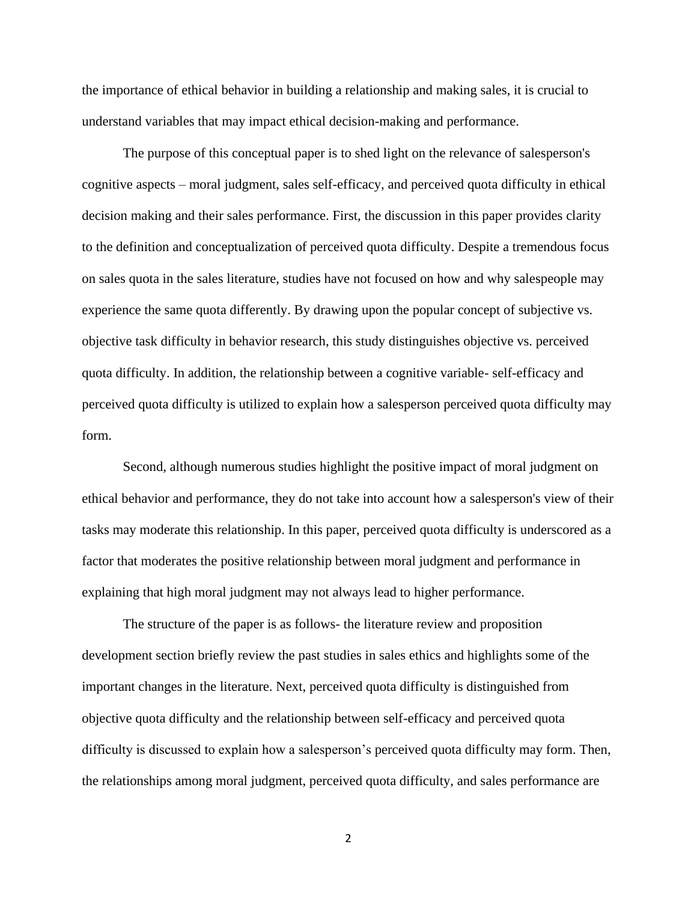the importance of ethical behavior in building a relationship and making sales, it is crucial to understand variables that may impact ethical decision-making and performance.

The purpose of this conceptual paper is to shed light on the relevance of salesperson's cognitive aspects – moral judgment, sales self-efficacy, and perceived quota difficulty in ethical decision making and their sales performance. First, the discussion in this paper provides clarity to the definition and conceptualization of perceived quota difficulty. Despite a tremendous focus on sales quota in the sales literature, studies have not focused on how and why salespeople may experience the same quota differently. By drawing upon the popular concept of subjective vs. objective task difficulty in behavior research, this study distinguishes objective vs. perceived quota difficulty. In addition, the relationship between a cognitive variable- self-efficacy and perceived quota difficulty is utilized to explain how a salesperson perceived quota difficulty may form.

Second, although numerous studies highlight the positive impact of moral judgment on ethical behavior and performance, they do not take into account how a salesperson's view of their tasks may moderate this relationship. In this paper, perceived quota difficulty is underscored as a factor that moderates the positive relationship between moral judgment and performance in explaining that high moral judgment may not always lead to higher performance.

The structure of the paper is as follows- the literature review and proposition development section briefly review the past studies in sales ethics and highlights some of the important changes in the literature. Next, perceived quota difficulty is distinguished from objective quota difficulty and the relationship between self-efficacy and perceived quota difficulty is discussed to explain how a salesperson's perceived quota difficulty may form. Then, the relationships among moral judgment, perceived quota difficulty, and sales performance are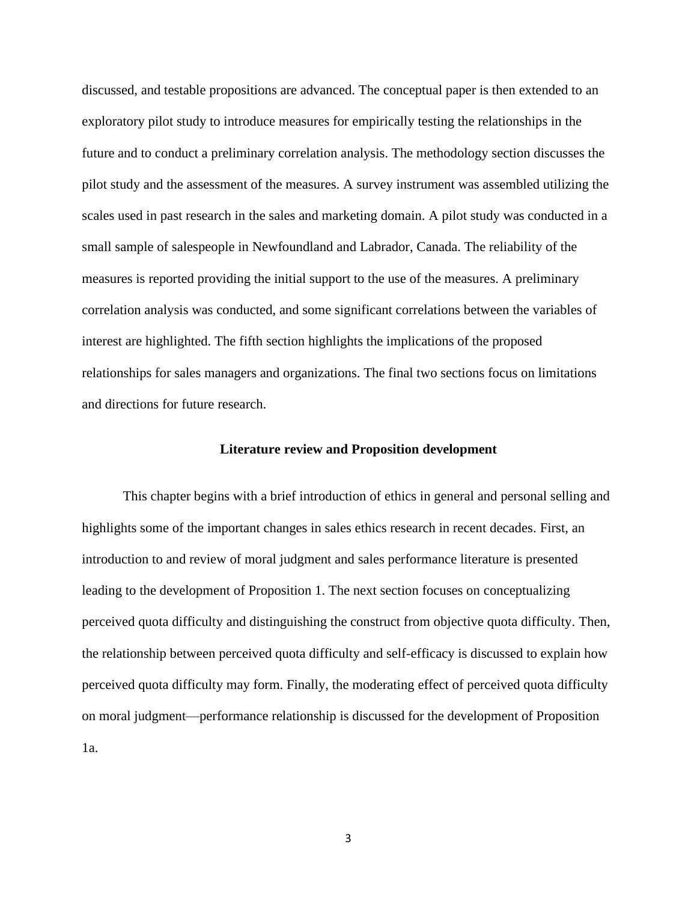discussed, and testable propositions are advanced. The conceptual paper is then extended to an exploratory pilot study to introduce measures for empirically testing the relationships in the future and to conduct a preliminary correlation analysis. The methodology section discusses the pilot study and the assessment of the measures. A survey instrument was assembled utilizing the scales used in past research in the sales and marketing domain. A pilot study was conducted in a small sample of salespeople in Newfoundland and Labrador, Canada. The reliability of the measures is reported providing the initial support to the use of the measures. A preliminary correlation analysis was conducted, and some significant correlations between the variables of interest are highlighted. The fifth section highlights the implications of the proposed relationships for sales managers and organizations. The final two sections focus on limitations and directions for future research.

### **Literature review and Proposition development**

<span id="page-8-0"></span>This chapter begins with a brief introduction of ethics in general and personal selling and highlights some of the important changes in sales ethics research in recent decades. First, an introduction to and review of moral judgment and sales performance literature is presented leading to the development of Proposition 1. The next section focuses on conceptualizing perceived quota difficulty and distinguishing the construct from objective quota difficulty. Then, the relationship between perceived quota difficulty and self-efficacy is discussed to explain how perceived quota difficulty may form. Finally, the moderating effect of perceived quota difficulty on moral judgment—performance relationship is discussed for the development of Proposition 1a.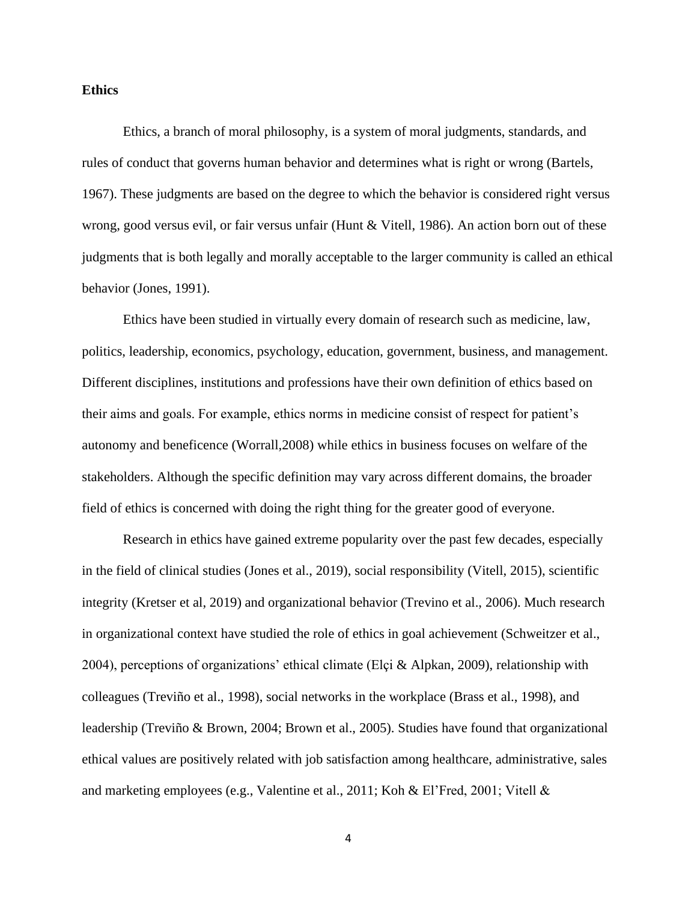### <span id="page-9-0"></span>**Ethics**

Ethics, a branch of moral philosophy, is a system of moral judgments, standards, and rules of conduct that governs human behavior and determines what is right or wrong (Bartels, 1967). These judgments are based on the degree to which the behavior is considered right versus wrong, good versus evil, or fair versus unfair (Hunt & Vitell, 1986). An action born out of these judgments that is both legally and morally acceptable to the larger community is called an ethical behavior (Jones, 1991).

Ethics have been studied in virtually every domain of research such as medicine, law, politics, leadership, economics, psychology, education, government, business, and management. Different disciplines, institutions and professions have their own definition of ethics based on their aims and goals. For example, ethics norms in medicine consist of respect for patient's autonomy and beneficence (Worrall,2008) while ethics in business focuses on welfare of the stakeholders. Although the specific definition may vary across different domains, the broader field of ethics is concerned with doing the right thing for the greater good of everyone.

Research in ethics have gained extreme popularity over the past few decades, especially in the field of clinical studies (Jones et al., 2019), social responsibility (Vitell, 2015), scientific integrity (Kretser et al, 2019) and organizational behavior (Trevino et al., 2006). Much research in organizational context have studied the role of ethics in goal achievement (Schweitzer et al., 2004), perceptions of organizations' ethical climate (Elçi & Alpkan, 2009), relationship with colleagues (Treviño et al., 1998), social networks in the workplace (Brass et al., 1998), and leadership (Treviño & Brown, 2004; Brown et al., 2005). Studies have found that organizational ethical values are positively related with job satisfaction among healthcare, administrative, sales and marketing employees (e.g., Valentine et al., 2011; Koh & El'Fred, 2001; Vitell &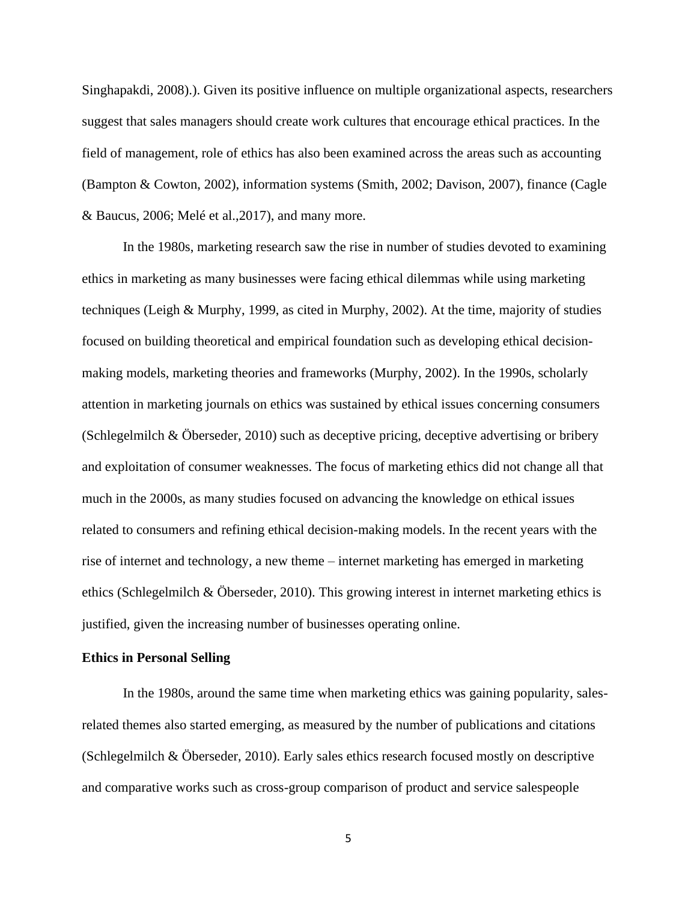Singhapakdi, 2008).). Given its positive influence on multiple organizational aspects, researchers suggest that sales managers should create work cultures that encourage ethical practices. In the field of management, role of ethics has also been examined across the areas such as accounting (Bampton & Cowton, 2002), information systems (Smith, 2002; Davison, 2007), finance (Cagle & Baucus, 2006; Melé et al.,2017), and many more.

In the 1980s, marketing research saw the rise in number of studies devoted to examining ethics in marketing as many businesses were facing ethical dilemmas while using marketing techniques (Leigh & Murphy, 1999, as cited in Murphy, 2002). At the time, majority of studies focused on building theoretical and empirical foundation such as developing ethical decisionmaking models, marketing theories and frameworks (Murphy, 2002). In the 1990s, scholarly attention in marketing journals on ethics was sustained by ethical issues concerning consumers (Schlegelmilch & Öberseder, 2010) such as deceptive pricing, deceptive advertising or bribery and exploitation of consumer weaknesses. The focus of marketing ethics did not change all that much in the 2000s, as many studies focused on advancing the knowledge on ethical issues related to consumers and refining ethical decision-making models. In the recent years with the rise of internet and technology, a new theme – internet marketing has emerged in marketing ethics (Schlegelmilch & Öberseder, 2010). This growing interest in internet marketing ethics is justified, given the increasing number of businesses operating online.

### <span id="page-10-0"></span>**Ethics in Personal Selling**

In the 1980s, around the same time when marketing ethics was gaining popularity, salesrelated themes also started emerging, as measured by the number of publications and citations (Schlegelmilch & Öberseder, 2010). Early sales ethics research focused mostly on descriptive and comparative works such as cross-group comparison of product and service salespeople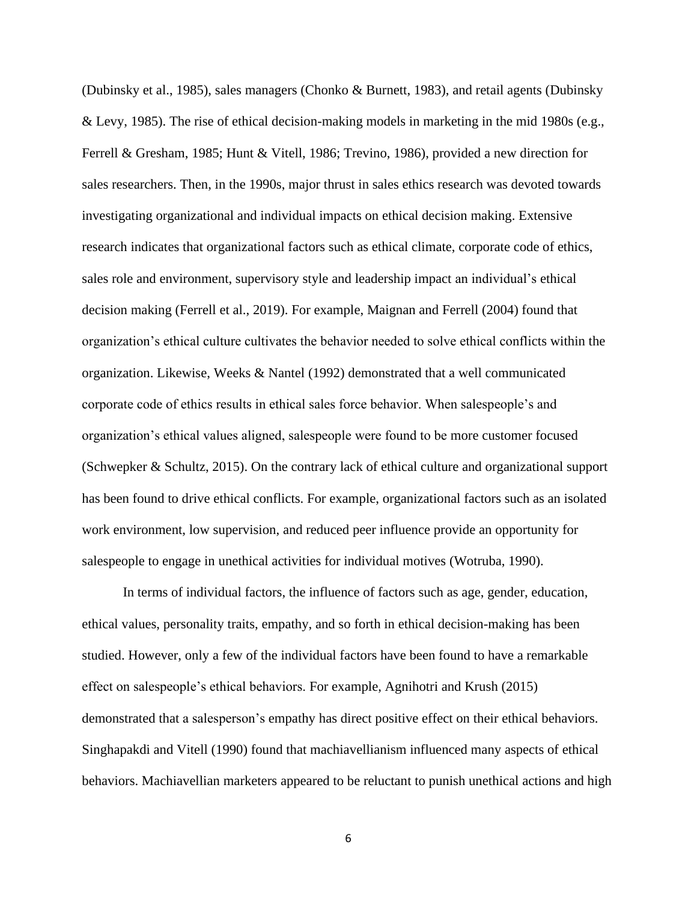(Dubinsky et al., 1985), sales managers (Chonko & Burnett, 1983), and retail agents (Dubinsky & Levy, 1985). The rise of ethical decision-making models in marketing in the mid 1980s (e.g., Ferrell & Gresham, 1985; Hunt & Vitell, 1986; Trevino, 1986), provided a new direction for sales researchers. Then, in the 1990s, major thrust in sales ethics research was devoted towards investigating organizational and individual impacts on ethical decision making. Extensive research indicates that organizational factors such as ethical climate, corporate code of ethics, sales role and environment, supervisory style and leadership impact an individual's ethical decision making (Ferrell et al., 2019). For example, Maignan and Ferrell (2004) found that organization's ethical culture cultivates the behavior needed to solve ethical conflicts within the organization. Likewise, Weeks & Nantel (1992) demonstrated that a well communicated corporate code of ethics results in ethical sales force behavior. When salespeople's and organization's ethical values aligned, salespeople were found to be more customer focused (Schwepker & Schultz, 2015). On the contrary lack of ethical culture and organizational support has been found to drive ethical conflicts. For example, organizational factors such as an isolated work environment, low supervision, and reduced peer influence provide an opportunity for salespeople to engage in unethical activities for individual motives (Wotruba, 1990).

In terms of individual factors, the influence of factors such as age, gender, education, ethical values, personality traits, empathy, and so forth in ethical decision-making has been studied. However, only a few of the individual factors have been found to have a remarkable effect on salespeople's ethical behaviors. For example, Agnihotri and Krush (2015) demonstrated that a salesperson's empathy has direct positive effect on their ethical behaviors. Singhapakdi and Vitell (1990) found that machiavellianism influenced many aspects of ethical behaviors. Machiavellian marketers appeared to be reluctant to punish unethical actions and high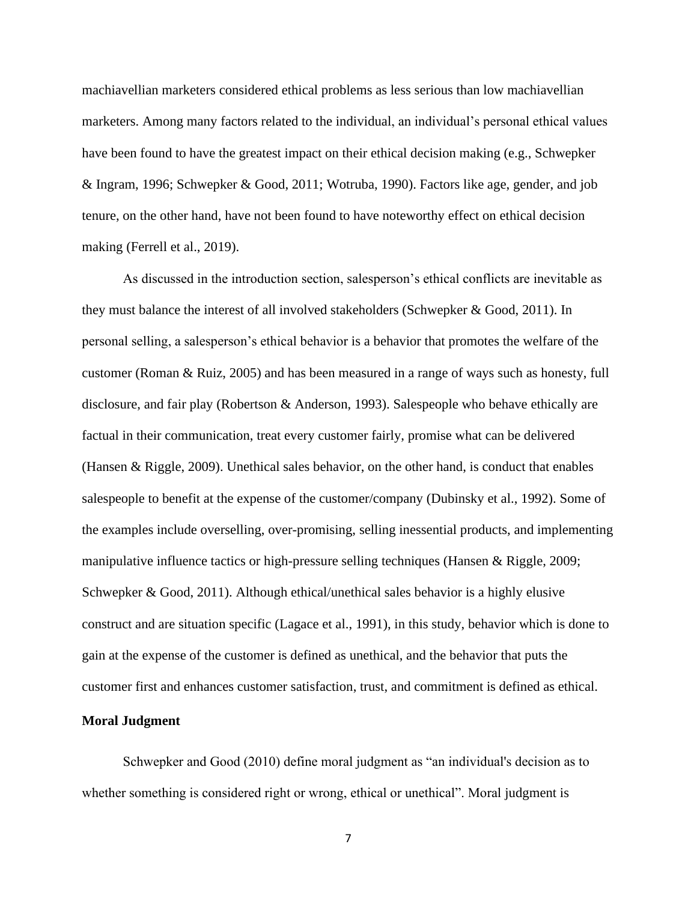machiavellian marketers considered ethical problems as less serious than low machiavellian marketers. Among many factors related to the individual, an individual's personal ethical values have been found to have the greatest impact on their ethical decision making (e.g., Schwepker & Ingram, 1996; Schwepker & Good, 2011; Wotruba, 1990). Factors like age, gender, and job tenure, on the other hand, have not been found to have noteworthy effect on ethical decision making (Ferrell et al., 2019).

As discussed in the introduction section, salesperson's ethical conflicts are inevitable as they must balance the interest of all involved stakeholders (Schwepker & Good, 2011). In personal selling, a salesperson's ethical behavior is a behavior that promotes the welfare of the customer (Roman & Ruiz, 2005) and has been measured in a range of ways such as honesty, full disclosure, and fair play (Robertson & Anderson, 1993). Salespeople who behave ethically are factual in their communication, treat every customer fairly, promise what can be delivered (Hansen & Riggle, 2009). Unethical sales behavior, on the other hand, is conduct that enables salespeople to benefit at the expense of the customer/company (Dubinsky et al., 1992). Some of the examples include overselling, over-promising, selling inessential products, and implementing manipulative influence tactics or high-pressure selling techniques (Hansen & Riggle, 2009; Schwepker & Good, 2011). Although ethical/unethical sales behavior is a highly elusive construct and are situation specific (Lagace et al., 1991), in this study, behavior which is done to gain at the expense of the customer is defined as unethical, and the behavior that puts the customer first and enhances customer satisfaction, trust, and commitment is defined as ethical.

### <span id="page-12-0"></span>**Moral Judgment**

Schwepker and Good (2010) define moral judgment as "an individual's decision as to whether something is considered right or wrong, ethical or unethical". Moral judgment is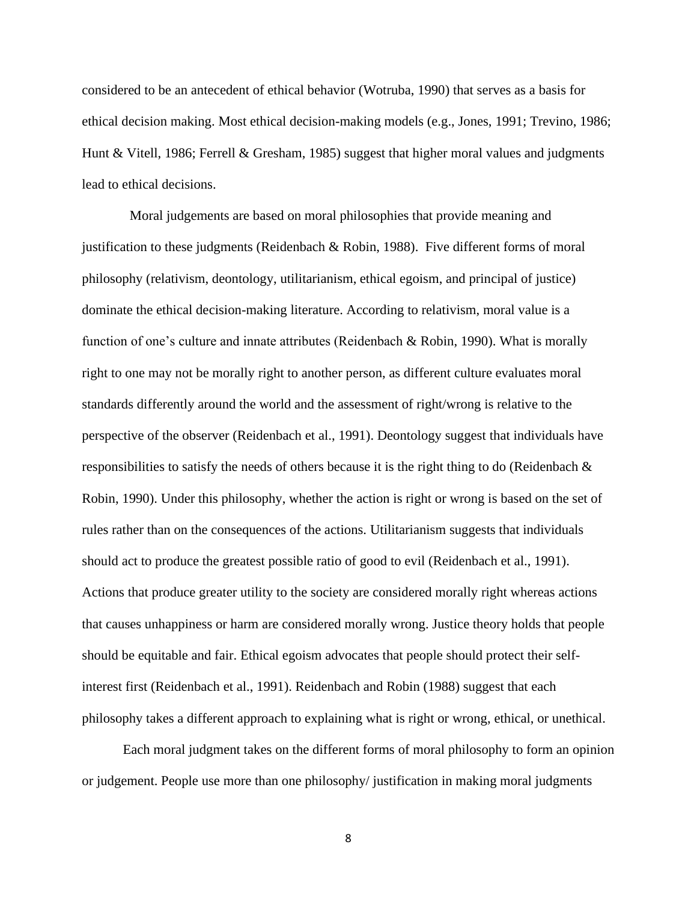considered to be an antecedent of ethical behavior (Wotruba, 1990) that serves as a basis for ethical decision making. Most ethical decision-making models (e.g., Jones, 1991; Trevino, 1986; Hunt & Vitell, 1986; Ferrell & Gresham, 1985) suggest that higher moral values and judgments lead to ethical decisions.

Moral judgements are based on moral philosophies that provide meaning and justification to these judgments (Reidenbach & Robin, 1988). Five different forms of moral philosophy (relativism, deontology, utilitarianism, ethical egoism, and principal of justice) dominate the ethical decision-making literature. According to relativism, moral value is a function of one's culture and innate attributes (Reidenbach & Robin, 1990). What is morally right to one may not be morally right to another person, as different culture evaluates moral standards differently around the world and the assessment of right/wrong is relative to the perspective of the observer (Reidenbach et al., 1991). Deontology suggest that individuals have responsibilities to satisfy the needs of others because it is the right thing to do (Reidenbach  $\&$ Robin, 1990). Under this philosophy, whether the action is right or wrong is based on the set of rules rather than on the consequences of the actions. Utilitarianism suggests that individuals should act to produce the greatest possible ratio of good to evil (Reidenbach et al., 1991). Actions that produce greater utility to the society are considered morally right whereas actions that causes unhappiness or harm are considered morally wrong. Justice theory holds that people should be equitable and fair. Ethical egoism advocates that people should protect their selfinterest first (Reidenbach et al., 1991). Reidenbach and Robin (1988) suggest that each philosophy takes a different approach to explaining what is right or wrong, ethical, or unethical.

Each moral judgment takes on the different forms of moral philosophy to form an opinion or judgement. People use more than one philosophy/ justification in making moral judgments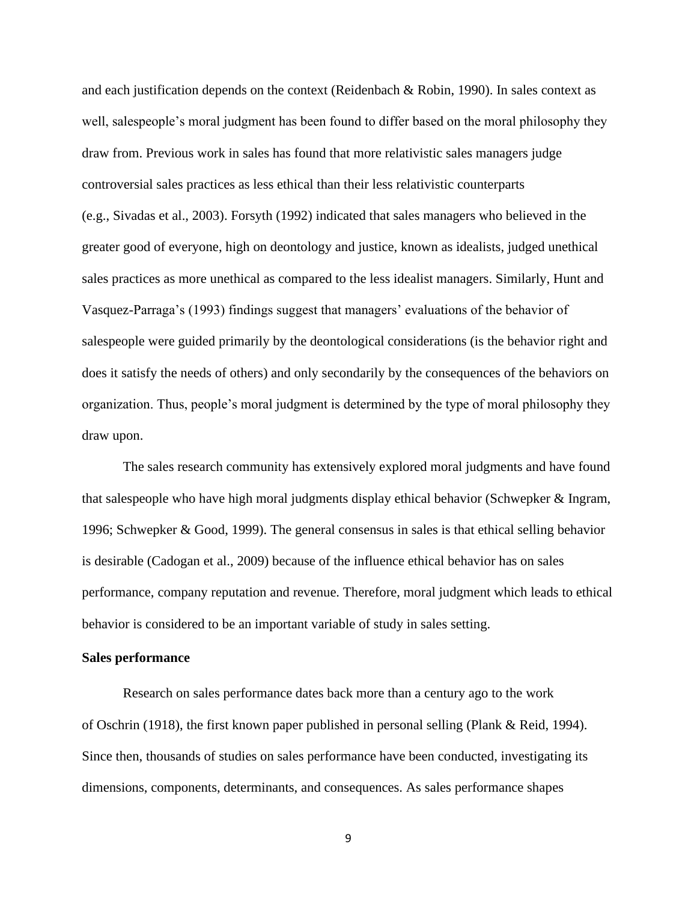and each justification depends on the context (Reidenbach & Robin, 1990). In sales context as well, salespeople's moral judgment has been found to differ based on the moral philosophy they draw from. Previous work in sales has found that more relativistic sales managers judge controversial sales practices as less ethical than their less relativistic counterparts (e.g., Sivadas et al., 2003). Forsyth (1992) indicated that sales managers who believed in the greater good of everyone, high on deontology and justice, known as idealists, judged unethical sales practices as more unethical as compared to the less idealist managers. Similarly, Hunt and Vasquez-Parraga's (1993) findings suggest that managers' evaluations of the behavior of salespeople were guided primarily by the deontological considerations (is the behavior right and does it satisfy the needs of others) and only secondarily by the consequences of the behaviors on organization. Thus, people's moral judgment is determined by the type of moral philosophy they draw upon.

The sales research community has extensively explored moral judgments and have found that salespeople who have high moral judgments display ethical behavior (Schwepker & Ingram, 1996; Schwepker & Good, 1999). The general consensus in sales is that ethical selling behavior is desirable (Cadogan et al., 2009) because of the influence ethical behavior has on sales performance, company reputation and revenue. Therefore, moral judgment which leads to ethical behavior is considered to be an important variable of study in sales setting.

### <span id="page-14-0"></span>**Sales performance**

Research on sales performance dates back more than a century ago to the work of Oschrin (1918), the first known paper published in personal selling (Plank & Reid, 1994). Since then, thousands of studies on sales performance have been conducted, investigating its dimensions, components, determinants, and consequences. As sales performance shapes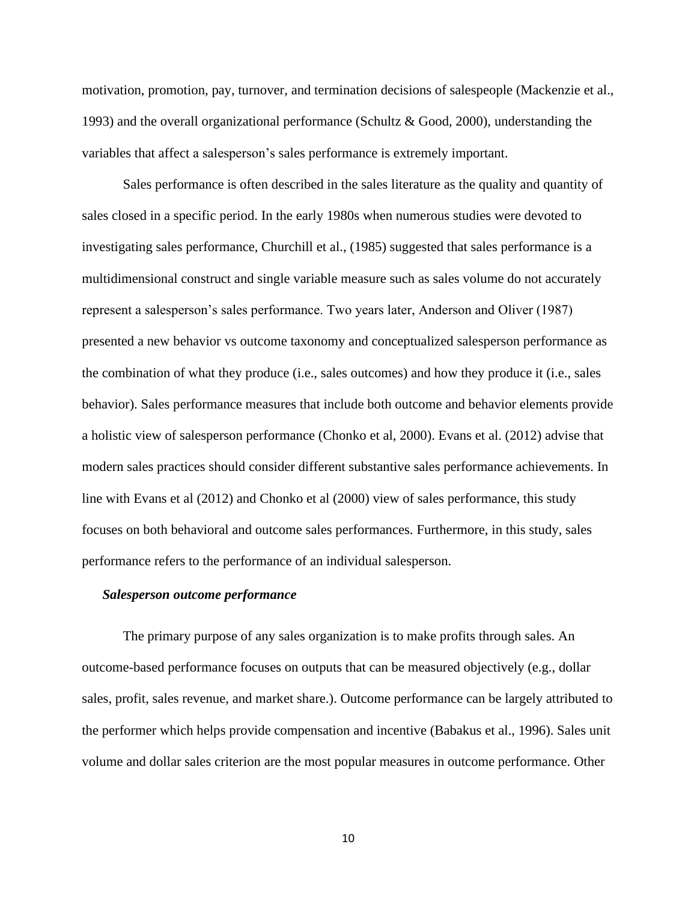motivation, promotion, pay, turnover, and termination decisions of salespeople (Mackenzie et al., 1993) and the overall organizational performance (Schultz & Good, 2000), understanding the variables that affect a salesperson's sales performance is extremely important.

Sales performance is often described in the sales literature as the quality and quantity of sales closed in a specific period. In the early 1980s when numerous studies were devoted to investigating sales performance, Churchill et al., (1985) suggested that sales performance is a multidimensional construct and single variable measure such as sales volume do not accurately represent a salesperson's sales performance. Two years later, Anderson and Oliver (1987) presented a new behavior vs outcome taxonomy and conceptualized salesperson performance as the combination of what they produce (i.e., sales outcomes) and how they produce it (i.e., sales behavior). Sales performance measures that include both outcome and behavior elements provide a holistic view of salesperson performance (Chonko et al, 2000). Evans et al. (2012) advise that modern sales practices should consider different substantive sales performance achievements. In line with Evans et al (2012) and Chonko et al (2000) view of sales performance, this study focuses on both behavioral and outcome sales performances. Furthermore, in this study, sales performance refers to the performance of an individual salesperson.

### <span id="page-15-0"></span>*Salesperson outcome performance*

The primary purpose of any sales organization is to make profits through sales. An outcome-based performance focuses on outputs that can be measured objectively (e.g., dollar sales, profit, sales revenue, and market share.). Outcome performance can be largely attributed to the performer which helps provide compensation and incentive (Babakus et al., 1996). Sales unit volume and dollar sales criterion are the most popular measures in outcome performance. Other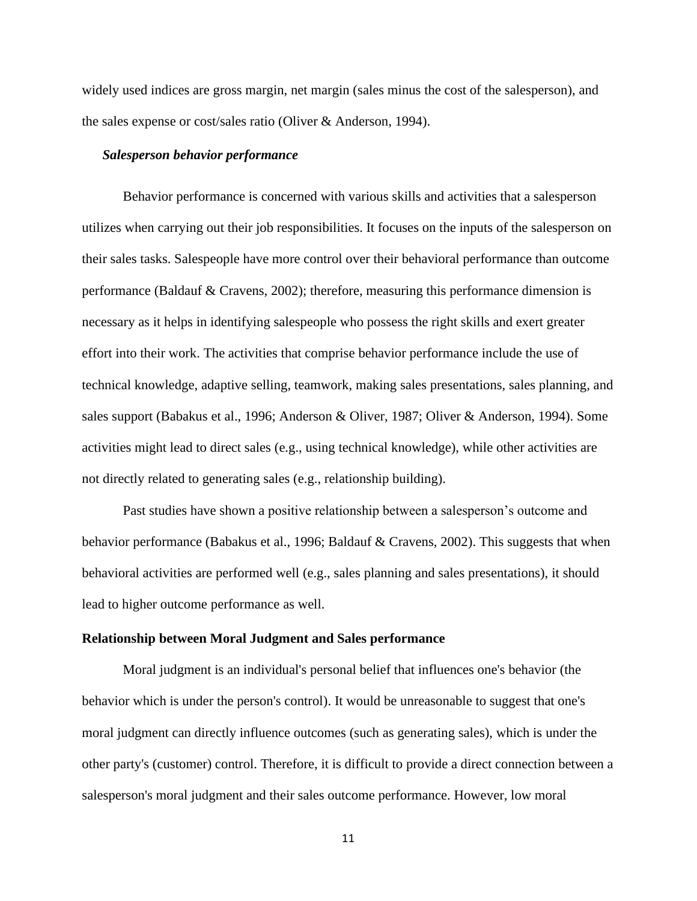widely used indices are gross margin, net margin (sales minus the cost of the salesperson), and the sales expense or cost/sales ratio (Oliver & Anderson, 1994).

### <span id="page-16-0"></span>*Salesperson behavior performance*

Behavior performance is concerned with various skills and activities that a salesperson utilizes when carrying out their job responsibilities. It focuses on the inputs of the salesperson on their sales tasks. Salespeople have more control over their behavioral performance than outcome performance (Baldauf & Cravens, 2002); therefore, measuring this performance dimension is necessary as it helps in identifying salespeople who possess the right skills and exert greater effort into their work. The activities that comprise behavior performance include the use of technical knowledge, adaptive selling, teamwork, making sales presentations, sales planning, and sales support (Babakus et al., 1996; Anderson & Oliver, 1987; Oliver & Anderson, 1994). Some activities might lead to direct sales (e.g., using technical knowledge), while other activities are not directly related to generating sales (e.g., relationship building).

Past studies have shown a positive relationship between a salesperson's outcome and behavior performance (Babakus et al., 1996; Baldauf & Cravens, 2002). This suggests that when behavioral activities are performed well (e.g., sales planning and sales presentations), it should lead to higher outcome performance as well.

### <span id="page-16-1"></span>**Relationship between Moral Judgment and Sales performance**

Moral judgment is an individual's personal belief that influences one's behavior (the behavior which is under the person's control). It would be unreasonable to suggest that one's moral judgment can directly influence outcomes (such as generating sales), which is under the other party's (customer) control. Therefore, it is difficult to provide a direct connection between a salesperson's moral judgment and their sales outcome performance. However, low moral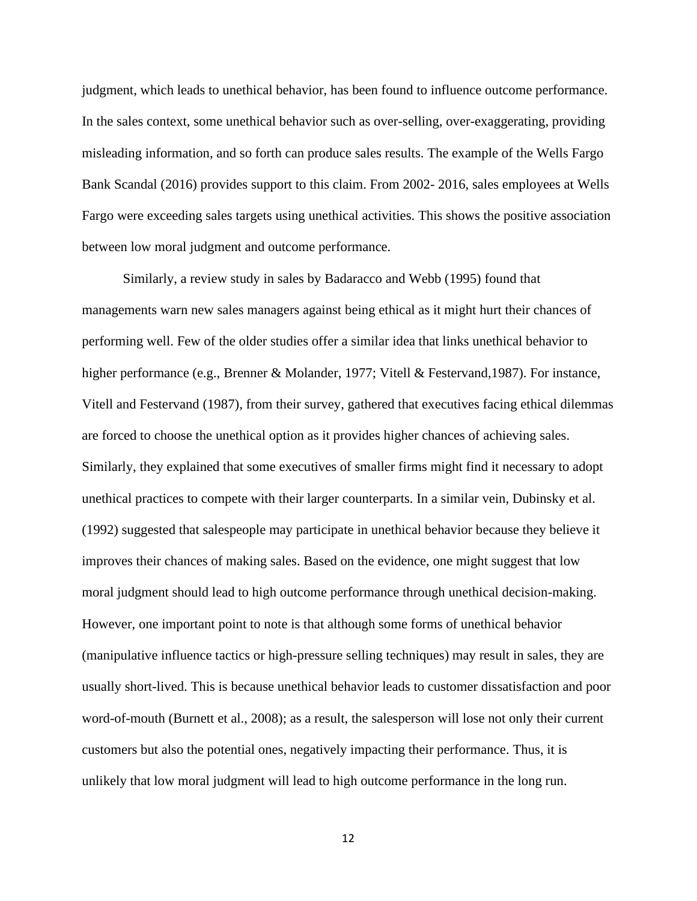judgment, which leads to unethical behavior, has been found to influence outcome performance. In the sales context, some unethical behavior such as over-selling, over-exaggerating, providing misleading information, and so forth can produce sales results. The example of the Wells Fargo Bank Scandal (2016) provides support to this claim. From 2002- 2016, sales employees at Wells Fargo were exceeding sales targets using unethical activities. This shows the positive association between low moral judgment and outcome performance.

Similarly, a review study in sales by Badaracco and Webb (1995) found that managements warn new sales managers against being ethical as it might hurt their chances of performing well. Few of the older studies offer a similar idea that links unethical behavior to higher performance (e.g., Brenner & Molander, 1977; Vitell & Festervand, 1987). For instance, Vitell and Festervand (1987), from their survey, gathered that executives facing ethical dilemmas are forced to choose the unethical option as it provides higher chances of achieving sales. Similarly, they explained that some executives of smaller firms might find it necessary to adopt unethical practices to compete with their larger counterparts. In a similar vein, Dubinsky et al. (1992) suggested that salespeople may participate in unethical behavior because they believe it improves their chances of making sales. Based on the evidence, one might suggest that low moral judgment should lead to high outcome performance through unethical decision-making. However, one important point to note is that although some forms of unethical behavior (manipulative influence tactics or high-pressure selling techniques) may result in sales, they are usually short-lived. This is because unethical behavior leads to customer dissatisfaction and poor word-of-mouth (Burnett et al., 2008); as a result, the salesperson will lose not only their current customers but also the potential ones, negatively impacting their performance. Thus, it is unlikely that low moral judgment will lead to high outcome performance in the long run.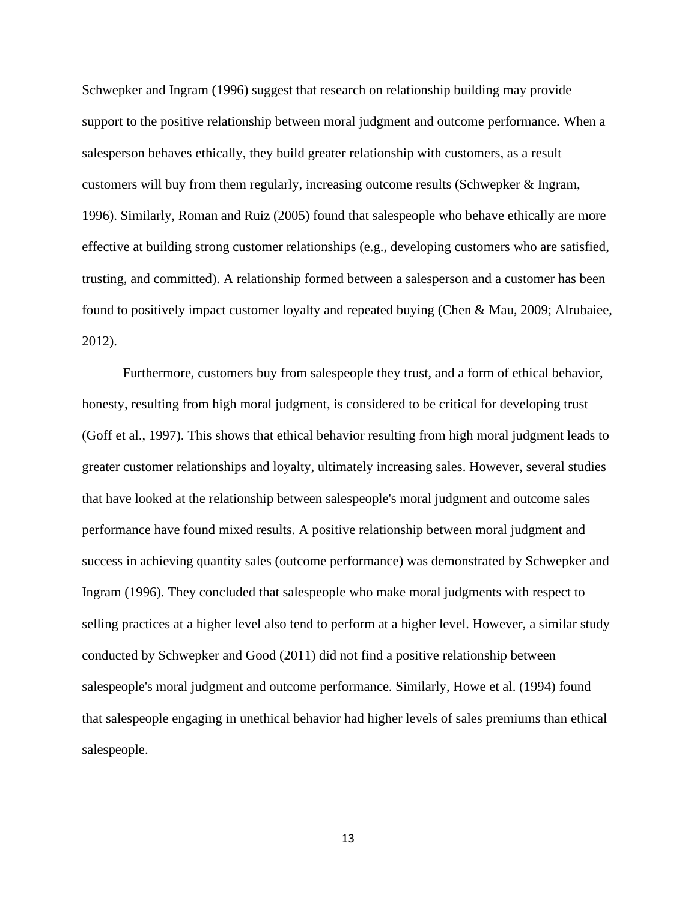Schwepker and Ingram (1996) suggest that research on relationship building may provide support to the positive relationship between moral judgment and outcome performance. When a salesperson behaves ethically, they build greater relationship with customers, as a result customers will buy from them regularly, increasing outcome results (Schwepker & Ingram, 1996). Similarly, Roman and Ruiz (2005) found that salespeople who behave ethically are more effective at building strong customer relationships (e.g., developing customers who are satisfied, trusting, and committed). A relationship formed between a salesperson and a customer has been found to positively impact customer loyalty and repeated buying (Chen & Mau, 2009; Alrubaiee, 2012).

Furthermore, customers buy from salespeople they trust, and a form of ethical behavior, honesty, resulting from high moral judgment, is considered to be critical for developing trust (Goff et al., 1997). This shows that ethical behavior resulting from high moral judgment leads to greater customer relationships and loyalty, ultimately increasing sales. However, several studies that have looked at the relationship between salespeople's moral judgment and outcome sales performance have found mixed results. A positive relationship between moral judgment and success in achieving quantity sales (outcome performance) was demonstrated by Schwepker and Ingram (1996). They concluded that salespeople who make moral judgments with respect to selling practices at a higher level also tend to perform at a higher level. However, a similar study conducted by Schwepker and Good (2011) did not find a positive relationship between salespeople's moral judgment and outcome performance. Similarly, Howe et al. (1994) found that salespeople engaging in unethical behavior had higher levels of sales premiums than ethical salespeople.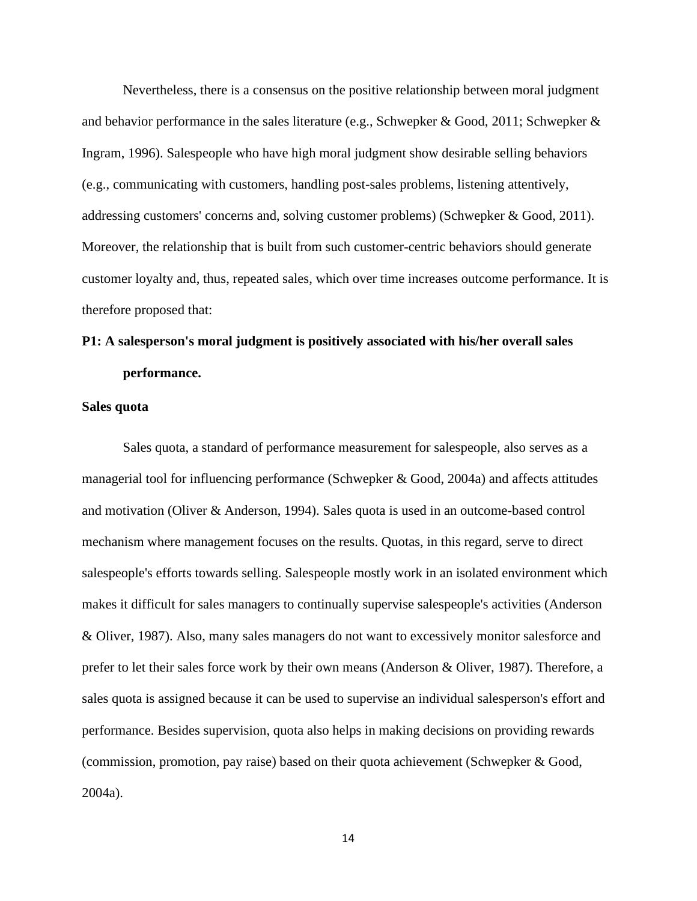Nevertheless, there is a consensus on the positive relationship between moral judgment and behavior performance in the sales literature (e.g., Schwepker & Good, 2011; Schwepker & Ingram, 1996). Salespeople who have high moral judgment show desirable selling behaviors (e.g., communicating with customers, handling post-sales problems, listening attentively, addressing customers' concerns and, solving customer problems) (Schwepker & Good, 2011). Moreover, the relationship that is built from such customer-centric behaviors should generate customer loyalty and, thus, repeated sales, which over time increases outcome performance. It is therefore proposed that:

# **P1: A salesperson's moral judgment is positively associated with his/her overall sales performance.**

### <span id="page-19-0"></span>**Sales quota**

Sales quota, a standard of performance measurement for salespeople, also serves as a managerial tool for influencing performance (Schwepker & Good, 2004a) and affects attitudes and motivation (Oliver & Anderson, 1994). Sales quota is used in an outcome-based control mechanism where management focuses on the results. Quotas, in this regard, serve to direct salespeople's efforts towards selling. Salespeople mostly work in an isolated environment which makes it difficult for sales managers to continually supervise salespeople's activities (Anderson & Oliver, 1987). Also, many sales managers do not want to excessively monitor salesforce and prefer to let their sales force work by their own means (Anderson & Oliver, 1987). Therefore, a sales quota is assigned because it can be used to supervise an individual salesperson's effort and performance. Besides supervision, quota also helps in making decisions on providing rewards (commission, promotion, pay raise) based on their quota achievement (Schwepker & Good, 2004a).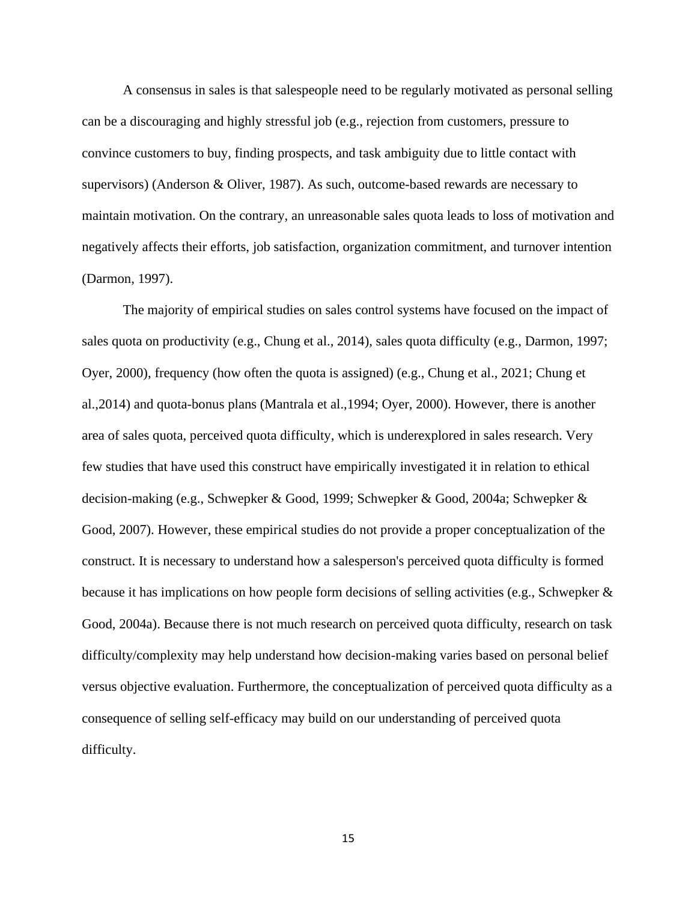A consensus in sales is that salespeople need to be regularly motivated as personal selling can be a discouraging and highly stressful job (e.g., rejection from customers, pressure to convince customers to buy, finding prospects, and task ambiguity due to little contact with supervisors) (Anderson & Oliver, 1987). As such, outcome-based rewards are necessary to maintain motivation. On the contrary, an unreasonable sales quota leads to loss of motivation and negatively affects their efforts, job satisfaction, organization commitment, and turnover intention (Darmon, 1997).

The majority of empirical studies on sales control systems have focused on the impact of sales quota on productivity (e.g., Chung et al., 2014), sales quota difficulty (e.g., Darmon, 1997; Oyer, 2000), frequency (how often the quota is assigned) (e.g., Chung et al., 2021; Chung et al.,2014) and quota-bonus plans (Mantrala et al.,1994; Oyer, 2000). However, there is another area of sales quota, perceived quota difficulty, which is underexplored in sales research. Very few studies that have used this construct have empirically investigated it in relation to ethical decision-making (e.g., Schwepker & Good, 1999; Schwepker & Good, 2004a; Schwepker & Good, 2007). However, these empirical studies do not provide a proper conceptualization of the construct. It is necessary to understand how a salesperson's perceived quota difficulty is formed because it has implications on how people form decisions of selling activities (e.g., Schwepker & Good, 2004a). Because there is not much research on perceived quota difficulty, research on task difficulty/complexity may help understand how decision-making varies based on personal belief versus objective evaluation. Furthermore, the conceptualization of perceived quota difficulty as a consequence of selling self-efficacy may build on our understanding of perceived quota difficulty.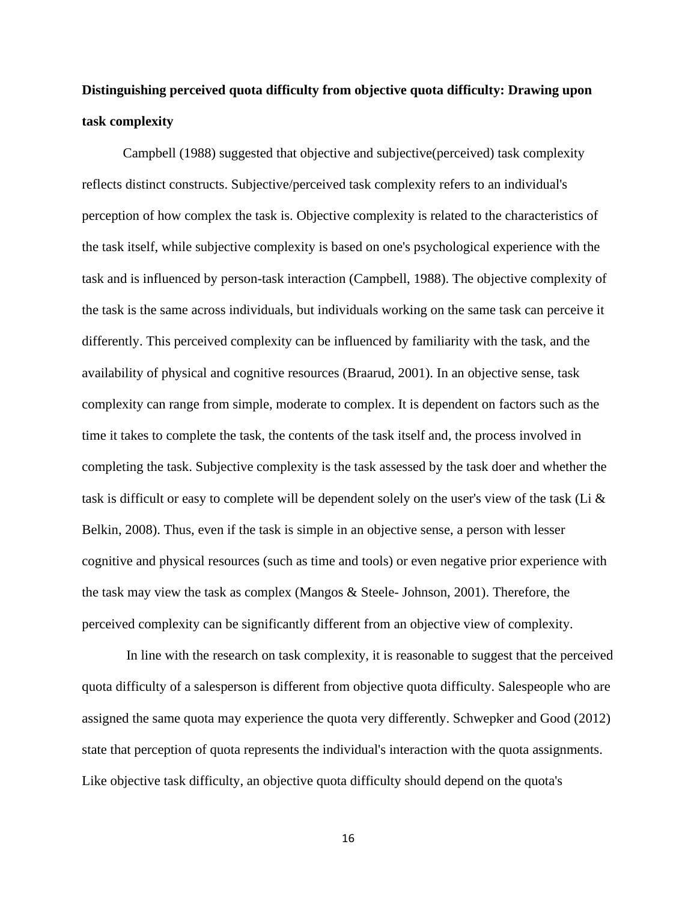## <span id="page-21-0"></span>**Distinguishing perceived quota difficulty from objective quota difficulty: Drawing upon task complexity**

Campbell (1988) suggested that objective and subjective(perceived) task complexity reflects distinct constructs. Subjective/perceived task complexity refers to an individual's perception of how complex the task is. Objective complexity is related to the characteristics of the task itself, while subjective complexity is based on one's psychological experience with the task and is influenced by person-task interaction (Campbell, 1988). The objective complexity of the task is the same across individuals, but individuals working on the same task can perceive it differently. This perceived complexity can be influenced by familiarity with the task, and the availability of physical and cognitive resources (Braarud, 2001). In an objective sense, task complexity can range from simple, moderate to complex. It is dependent on factors such as the time it takes to complete the task, the contents of the task itself and, the process involved in completing the task. Subjective complexity is the task assessed by the task doer and whether the task is difficult or easy to complete will be dependent solely on the user's view of the task (Li  $\&$ Belkin, 2008). Thus, even if the task is simple in an objective sense, a person with lesser cognitive and physical resources (such as time and tools) or even negative prior experience with the task may view the task as complex (Mangos & Steele- Johnson, 2001). Therefore, the perceived complexity can be significantly different from an objective view of complexity.

In line with the research on task complexity, it is reasonable to suggest that the perceived quota difficulty of a salesperson is different from objective quota difficulty. Salespeople who are assigned the same quota may experience the quota very differently. Schwepker and Good (2012) state that perception of quota represents the individual's interaction with the quota assignments. Like objective task difficulty, an objective quota difficulty should depend on the quota's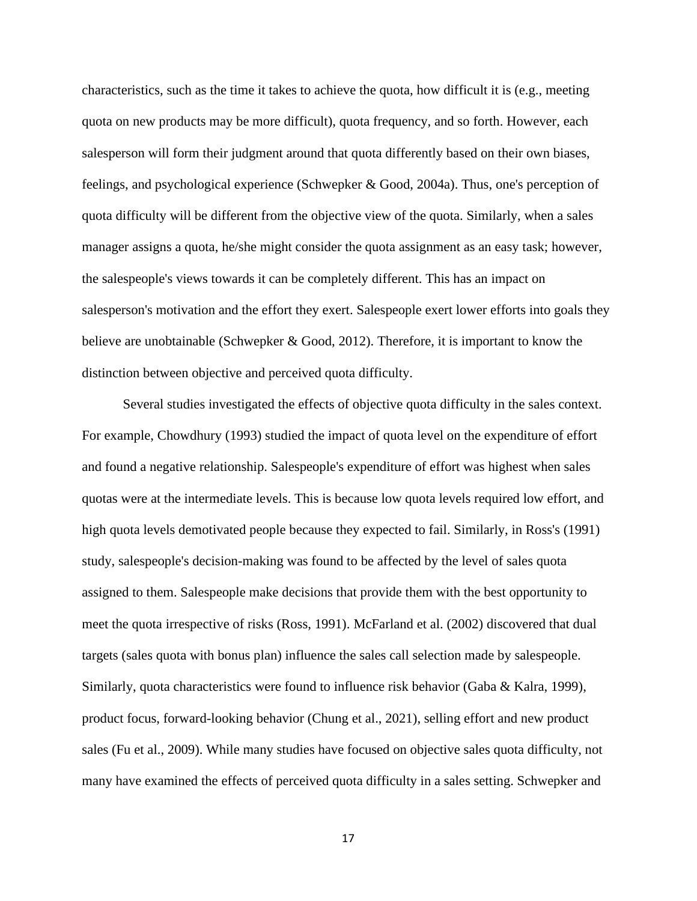characteristics, such as the time it takes to achieve the quota, how difficult it is (e.g., meeting quota on new products may be more difficult), quota frequency, and so forth. However, each salesperson will form their judgment around that quota differently based on their own biases, feelings, and psychological experience (Schwepker & Good, 2004a). Thus, one's perception of quota difficulty will be different from the objective view of the quota. Similarly, when a sales manager assigns a quota, he/she might consider the quota assignment as an easy task; however, the salespeople's views towards it can be completely different. This has an impact on salesperson's motivation and the effort they exert. Salespeople exert lower efforts into goals they believe are unobtainable (Schwepker & Good, 2012). Therefore, it is important to know the distinction between objective and perceived quota difficulty.

Several studies investigated the effects of objective quota difficulty in the sales context. For example, Chowdhury (1993) studied the impact of quota level on the expenditure of effort and found a negative relationship. Salespeople's expenditure of effort was highest when sales quotas were at the intermediate levels. This is because low quota levels required low effort, and high quota levels demotivated people because they expected to fail. Similarly, in Ross's (1991) study, salespeople's decision-making was found to be affected by the level of sales quota assigned to them. Salespeople make decisions that provide them with the best opportunity to meet the quota irrespective of risks (Ross, 1991). McFarland et al. (2002) discovered that dual targets (sales quota with bonus plan) influence the sales call selection made by salespeople. Similarly, quota characteristics were found to influence risk behavior (Gaba & Kalra, 1999), product focus, forward-looking behavior (Chung et al., 2021), selling effort and new product sales (Fu et al., 2009). While many studies have focused on objective sales quota difficulty, not many have examined the effects of perceived quota difficulty in a sales setting. Schwepker and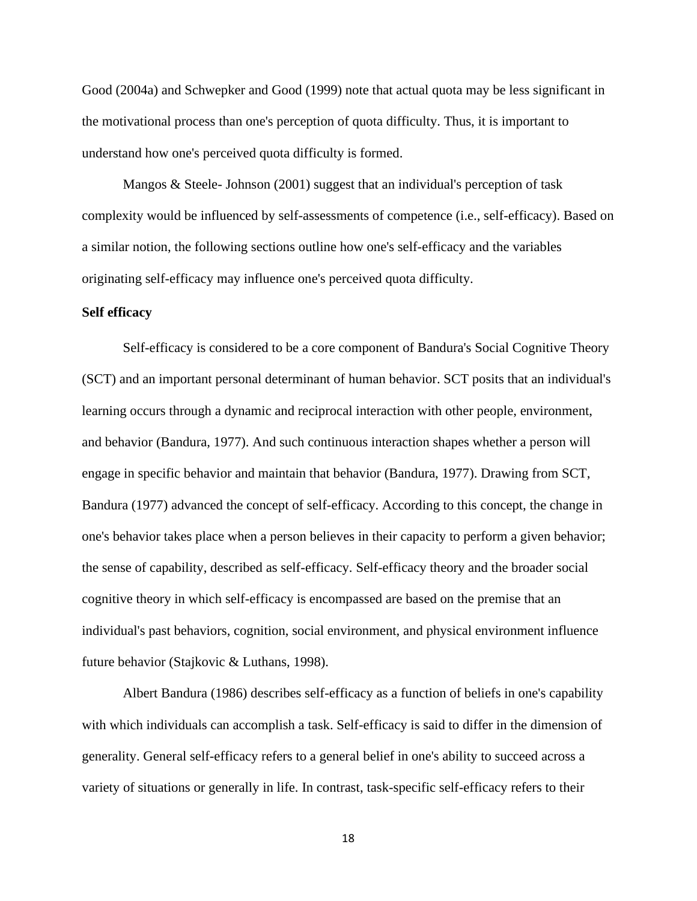Good (2004a) and Schwepker and Good (1999) note that actual quota may be less significant in the motivational process than one's perception of quota difficulty. Thus, it is important to understand how one's perceived quota difficulty is formed.

Mangos & Steele- Johnson (2001) suggest that an individual's perception of task complexity would be influenced by self-assessments of competence (i.e., self-efficacy). Based on a similar notion, the following sections outline how one's self-efficacy and the variables originating self-efficacy may influence one's perceived quota difficulty.

### <span id="page-23-0"></span>**Self efficacy**

Self-efficacy is considered to be a core component of Bandura's Social Cognitive Theory (SCT) and an important personal determinant of human behavior. SCT posits that an individual's learning occurs through a dynamic and reciprocal interaction with other people, environment, and behavior (Bandura, 1977). And such continuous interaction shapes whether a person will engage in specific behavior and maintain that behavior (Bandura, 1977). Drawing from SCT, Bandura (1977) advanced the concept of self-efficacy. According to this concept, the change in one's behavior takes place when a person believes in their capacity to perform a given behavior; the sense of capability, described as self-efficacy. Self-efficacy theory and the broader social cognitive theory in which self-efficacy is encompassed are based on the premise that an individual's past behaviors, cognition, social environment, and physical environment influence future behavior (Stajkovic & Luthans, 1998).

Albert Bandura (1986) describes self-efficacy as a function of beliefs in one's capability with which individuals can accomplish a task. Self-efficacy is said to differ in the dimension of generality. General self-efficacy refers to a general belief in one's ability to succeed across a variety of situations or generally in life. In contrast, task-specific self-efficacy refers to their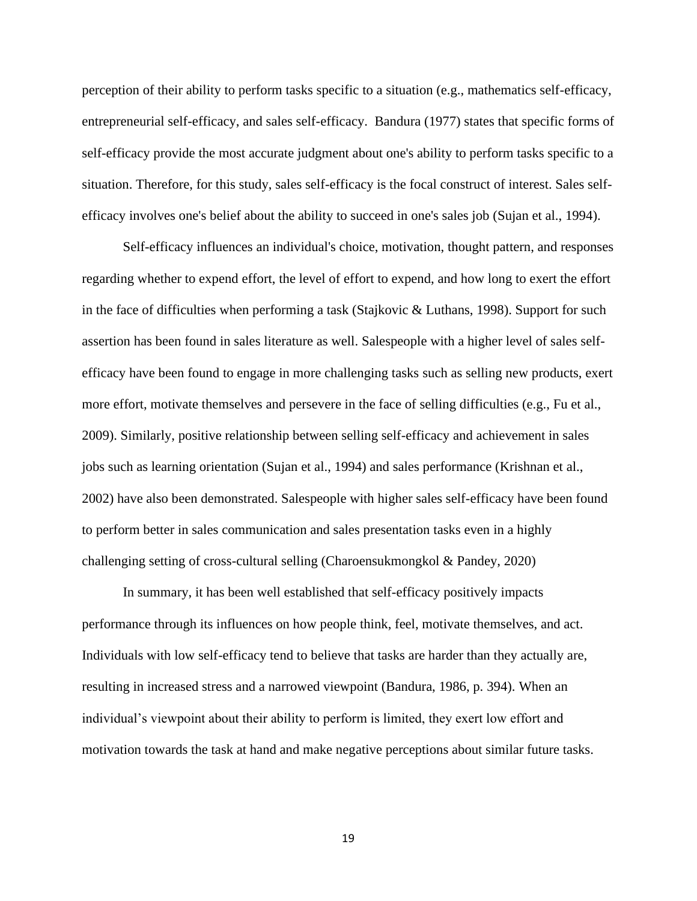perception of their ability to perform tasks specific to a situation (e.g., mathematics self-efficacy, entrepreneurial self-efficacy, and sales self-efficacy. Bandura (1977) states that specific forms of self-efficacy provide the most accurate judgment about one's ability to perform tasks specific to a situation. Therefore, for this study, sales self-efficacy is the focal construct of interest. Sales selfefficacy involves one's belief about the ability to succeed in one's sales job (Sujan et al., 1994).

Self-efficacy influences an individual's choice, motivation, thought pattern, and responses regarding whether to expend effort, the level of effort to expend, and how long to exert the effort in the face of difficulties when performing a task (Stajkovic & Luthans, 1998). Support for such assertion has been found in sales literature as well. Salespeople with a higher level of sales selfefficacy have been found to engage in more challenging tasks such as selling new products, exert more effort, motivate themselves and persevere in the face of selling difficulties (e.g., Fu et al., 2009). Similarly, positive relationship between selling self-efficacy and achievement in sales jobs such as learning orientation (Sujan et al., 1994) and sales performance (Krishnan et al., 2002) have also been demonstrated. Salespeople with higher sales self-efficacy have been found to perform better in sales communication and sales presentation tasks even in a highly challenging setting of cross-cultural selling (Charoensukmongkol & Pandey, 2020)

In summary, it has been well established that self-efficacy positively impacts performance through its influences on how people think, feel, motivate themselves, and act. Individuals with low self-efficacy tend to believe that tasks are harder than they actually are, resulting in increased stress and a narrowed viewpoint (Bandura, 1986, p. 394). When an individual's viewpoint about their ability to perform is limited, they exert low effort and motivation towards the task at hand and make negative perceptions about similar future tasks.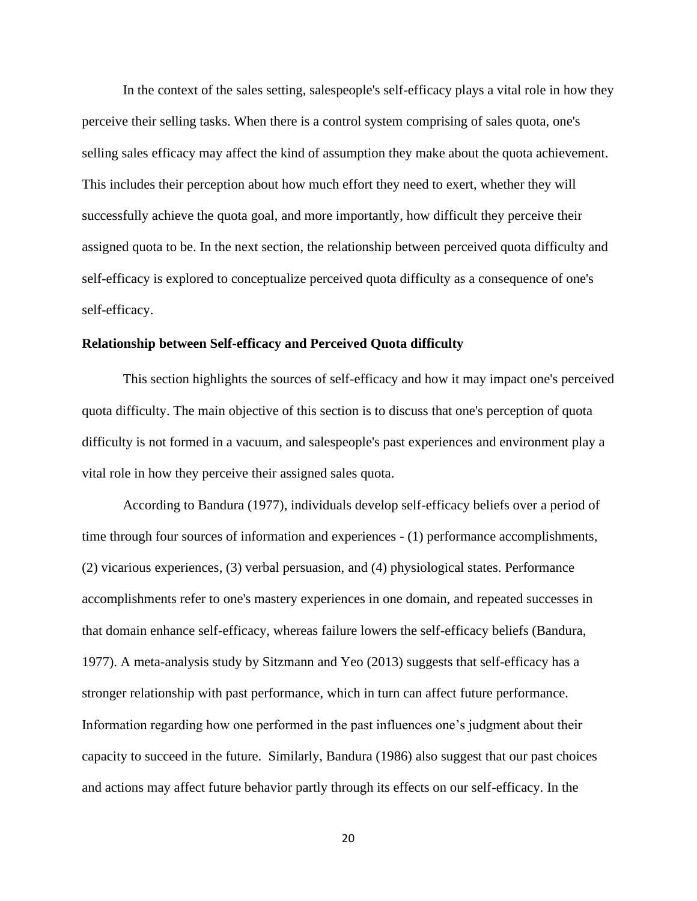In the context of the sales setting, salespeople's self-efficacy plays a vital role in how they perceive their selling tasks. When there is a control system comprising of sales quota, one's selling sales efficacy may affect the kind of assumption they make about the quota achievement. This includes their perception about how much effort they need to exert, whether they will successfully achieve the quota goal, and more importantly, how difficult they perceive their assigned quota to be. In the next section, the relationship between perceived quota difficulty and self-efficacy is explored to conceptualize perceived quota difficulty as a consequence of one's self-efficacy.

### <span id="page-25-0"></span>**Relationship between Self-efficacy and Perceived Quota difficulty**

This section highlights the sources of self-efficacy and how it may impact one's perceived quota difficulty. The main objective of this section is to discuss that one's perception of quota difficulty is not formed in a vacuum, and salespeople's past experiences and environment play a vital role in how they perceive their assigned sales quota.

According to Bandura (1977), individuals develop self-efficacy beliefs over a period of time through four sources of information and experiences - (1) performance accomplishments, (2) vicarious experiences, (3) verbal persuasion, and (4) physiological states. Performance accomplishments refer to one's mastery experiences in one domain, and repeated successes in that domain enhance self-efficacy, whereas failure lowers the self-efficacy beliefs (Bandura, 1977). A meta-analysis study by Sitzmann and Yeo (2013) suggests that self-efficacy has a stronger relationship with past performance, which in turn can affect future performance. Information regarding how one performed in the past influences one's judgment about their capacity to succeed in the future. Similarly, Bandura (1986) also suggest that our past choices and actions may affect future behavior partly through its effects on our self-efficacy. In the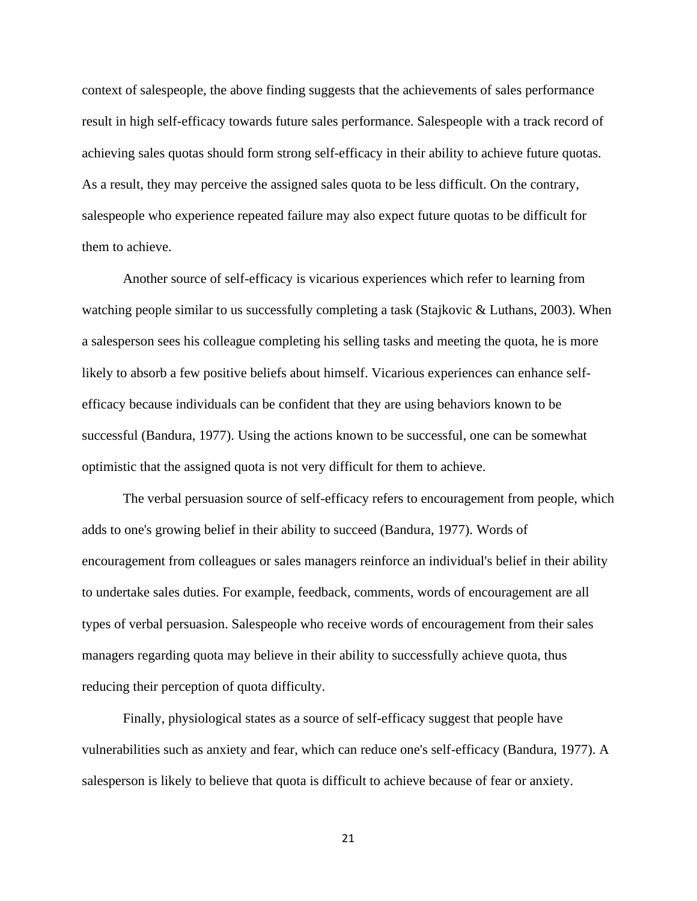context of salespeople, the above finding suggests that the achievements of sales performance result in high self-efficacy towards future sales performance. Salespeople with a track record of achieving sales quotas should form strong self-efficacy in their ability to achieve future quotas. As a result, they may perceive the assigned sales quota to be less difficult. On the contrary, salespeople who experience repeated failure may also expect future quotas to be difficult for them to achieve.

Another source of self-efficacy is vicarious experiences which refer to learning from watching people similar to us successfully completing a task (Stajkovic & Luthans, 2003). When a salesperson sees his colleague completing his selling tasks and meeting the quota, he is more likely to absorb a few positive beliefs about himself. Vicarious experiences can enhance selfefficacy because individuals can be confident that they are using behaviors known to be successful (Bandura, 1977). Using the actions known to be successful, one can be somewhat optimistic that the assigned quota is not very difficult for them to achieve.

The verbal persuasion source of self-efficacy refers to encouragement from people, which adds to one's growing belief in their ability to succeed (Bandura, 1977). Words of encouragement from colleagues or sales managers reinforce an individual's belief in their ability to undertake sales duties. For example, feedback, comments, words of encouragement are all types of verbal persuasion. Salespeople who receive words of encouragement from their sales managers regarding quota may believe in their ability to successfully achieve quota, thus reducing their perception of quota difficulty.

Finally, physiological states as a source of self-efficacy suggest that people have vulnerabilities such as anxiety and fear, which can reduce one's self-efficacy (Bandura, 1977). A salesperson is likely to believe that quota is difficult to achieve because of fear or anxiety.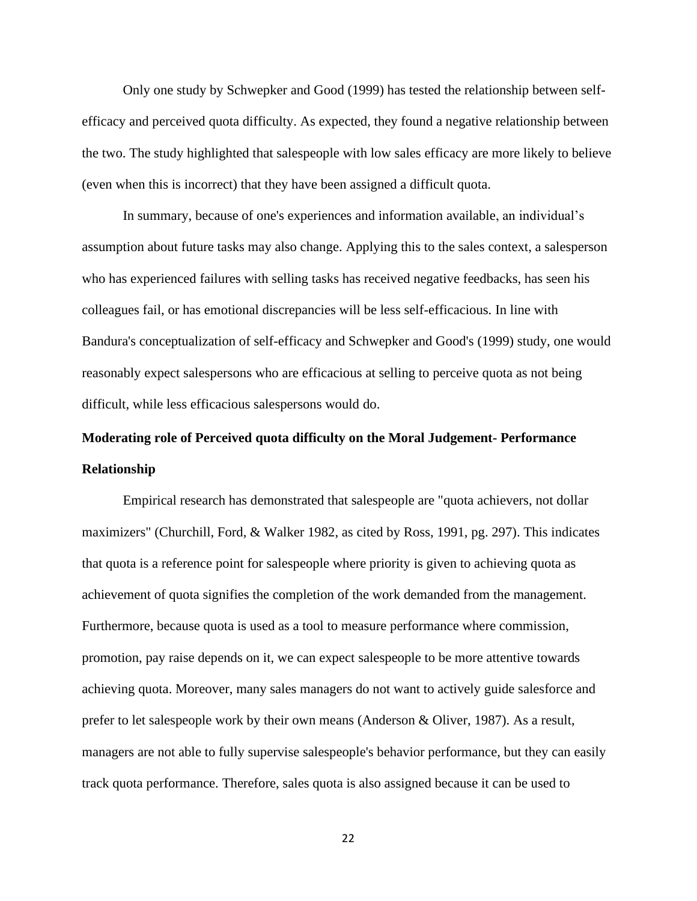Only one study by Schwepker and Good (1999) has tested the relationship between selfefficacy and perceived quota difficulty. As expected, they found a negative relationship between the two. The study highlighted that salespeople with low sales efficacy are more likely to believe (even when this is incorrect) that they have been assigned a difficult quota.

In summary, because of one's experiences and information available, an individual's assumption about future tasks may also change. Applying this to the sales context, a salesperson who has experienced failures with selling tasks has received negative feedbacks, has seen his colleagues fail, or has emotional discrepancies will be less self-efficacious. In line with Bandura's conceptualization of self-efficacy and Schwepker and Good's (1999) study, one would reasonably expect salespersons who are efficacious at selling to perceive quota as not being difficult, while less efficacious salespersons would do.

# <span id="page-27-0"></span>**Moderating role of Perceived quota difficulty on the Moral Judgement- Performance Relationship**

Empirical research has demonstrated that salespeople are "quota achievers, not dollar maximizers" (Churchill, Ford, & Walker 1982, as cited by Ross, 1991, pg. 297). This indicates that quota is a reference point for salespeople where priority is given to achieving quota as achievement of quota signifies the completion of the work demanded from the management. Furthermore, because quota is used as a tool to measure performance where commission, promotion, pay raise depends on it, we can expect salespeople to be more attentive towards achieving quota. Moreover, many sales managers do not want to actively guide salesforce and prefer to let salespeople work by their own means (Anderson & Oliver, 1987). As a result, managers are not able to fully supervise salespeople's behavior performance, but they can easily track quota performance. Therefore, sales quota is also assigned because it can be used to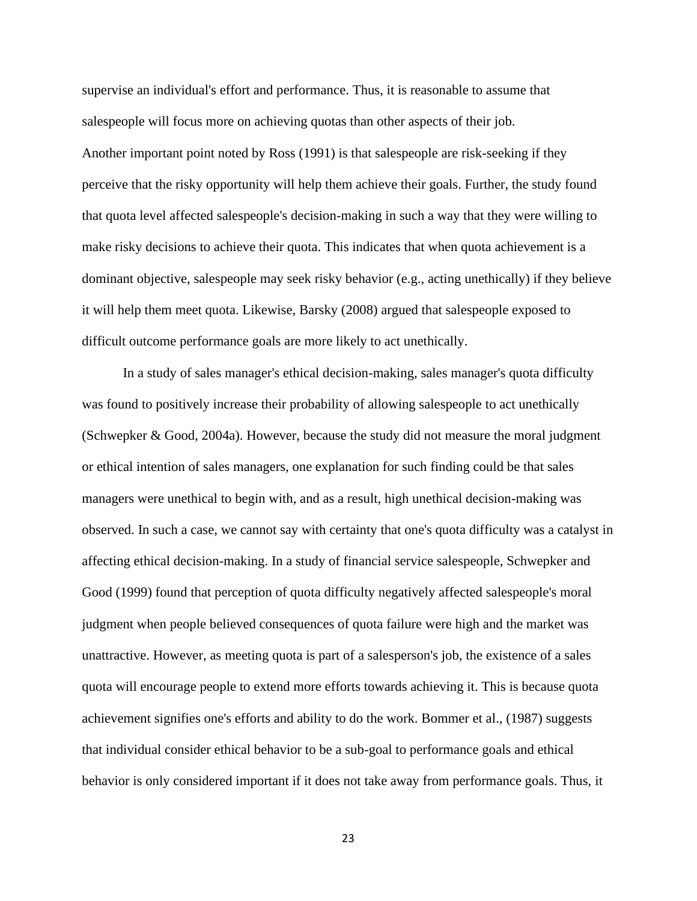supervise an individual's effort and performance. Thus, it is reasonable to assume that salespeople will focus more on achieving quotas than other aspects of their job. Another important point noted by Ross (1991) is that salespeople are risk-seeking if they perceive that the risky opportunity will help them achieve their goals. Further, the study found that quota level affected salespeople's decision-making in such a way that they were willing to make risky decisions to achieve their quota. This indicates that when quota achievement is a dominant objective, salespeople may seek risky behavior (e.g., acting unethically) if they believe it will help them meet quota. Likewise, Barsky (2008) argued that salespeople exposed to difficult outcome performance goals are more likely to act unethically.

In a study of sales manager's ethical decision-making, sales manager's quota difficulty was found to positively increase their probability of allowing salespeople to act unethically (Schwepker & Good, 2004a). However, because the study did not measure the moral judgment or ethical intention of sales managers, one explanation for such finding could be that sales managers were unethical to begin with, and as a result, high unethical decision-making was observed. In such a case, we cannot say with certainty that one's quota difficulty was a catalyst in affecting ethical decision-making. In a study of financial service salespeople, Schwepker and Good (1999) found that perception of quota difficulty negatively affected salespeople's moral judgment when people believed consequences of quota failure were high and the market was unattractive. However, as meeting quota is part of a salesperson's job, the existence of a sales quota will encourage people to extend more efforts towards achieving it. This is because quota achievement signifies one's efforts and ability to do the work. Bommer et al., (1987) suggests that individual consider ethical behavior to be a sub-goal to performance goals and ethical behavior is only considered important if it does not take away from performance goals. Thus, it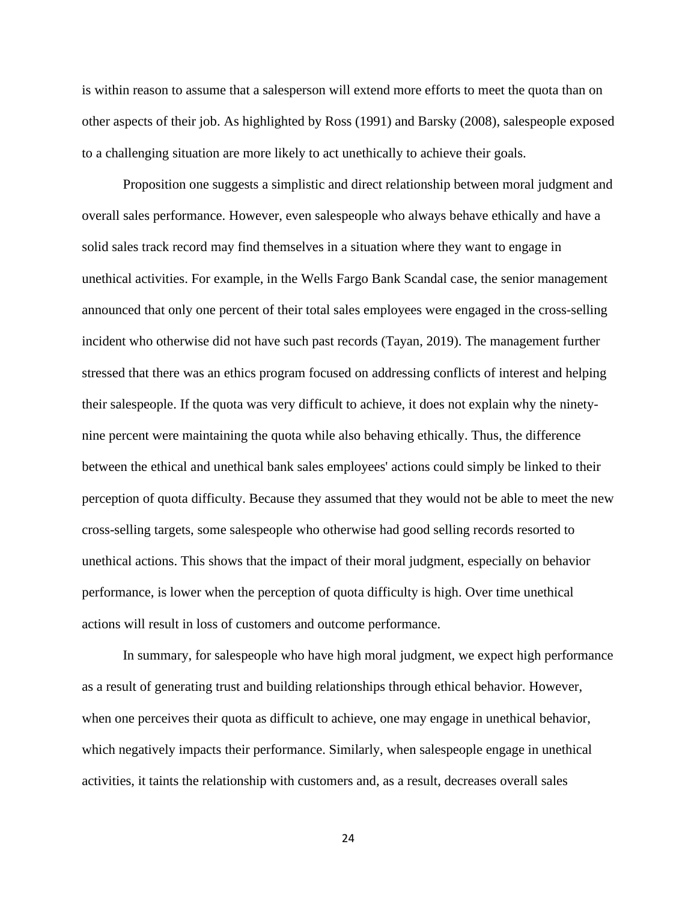is within reason to assume that a salesperson will extend more efforts to meet the quota than on other aspects of their job. As highlighted by Ross (1991) and Barsky (2008), salespeople exposed to a challenging situation are more likely to act unethically to achieve their goals.

Proposition one suggests a simplistic and direct relationship between moral judgment and overall sales performance. However, even salespeople who always behave ethically and have a solid sales track record may find themselves in a situation where they want to engage in unethical activities. For example, in the Wells Fargo Bank Scandal case, the senior management announced that only one percent of their total sales employees were engaged in the cross-selling incident who otherwise did not have such past records (Tayan, 2019). The management further stressed that there was an ethics program focused on addressing conflicts of interest and helping their salespeople. If the quota was very difficult to achieve, it does not explain why the ninetynine percent were maintaining the quota while also behaving ethically. Thus, the difference between the ethical and unethical bank sales employees' actions could simply be linked to their perception of quota difficulty. Because they assumed that they would not be able to meet the new cross-selling targets, some salespeople who otherwise had good selling records resorted to unethical actions. This shows that the impact of their moral judgment, especially on behavior performance, is lower when the perception of quota difficulty is high. Over time unethical actions will result in loss of customers and outcome performance.

In summary, for salespeople who have high moral judgment, we expect high performance as a result of generating trust and building relationships through ethical behavior. However, when one perceives their quota as difficult to achieve, one may engage in unethical behavior, which negatively impacts their performance. Similarly, when salespeople engage in unethical activities, it taints the relationship with customers and, as a result, decreases overall sales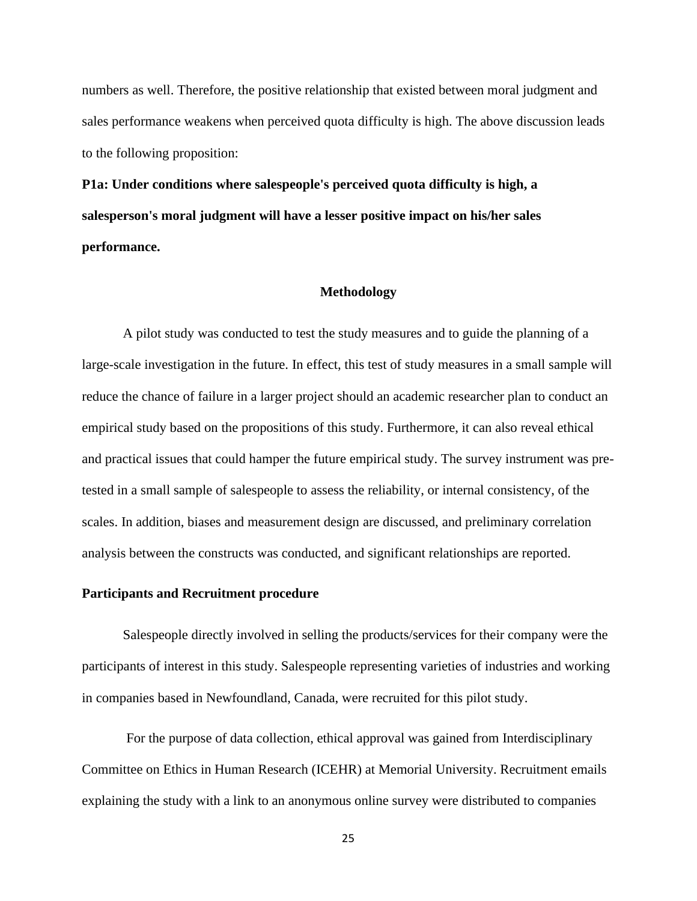numbers as well. Therefore, the positive relationship that existed between moral judgment and sales performance weakens when perceived quota difficulty is high. The above discussion leads to the following proposition:

**P1a: Under conditions where salespeople's perceived quota difficulty is high, a salesperson's moral judgment will have a lesser positive impact on his/her sales performance.** 

#### **Methodology**

<span id="page-30-0"></span>A pilot study was conducted to test the study measures and to guide the planning of a large-scale investigation in the future. In effect, this test of study measures in a small sample will reduce the chance of failure in a larger project should an academic researcher plan to conduct an empirical study based on the propositions of this study. Furthermore, it can also reveal ethical and practical issues that could hamper the future empirical study. The survey instrument was pretested in a small sample of salespeople to assess the reliability, or internal consistency, of the scales. In addition, biases and measurement design are discussed, and preliminary correlation analysis between the constructs was conducted, and significant relationships are reported.

### <span id="page-30-1"></span>**Participants and Recruitment procedure**

Salespeople directly involved in selling the products/services for their company were the participants of interest in this study. Salespeople representing varieties of industries and working in companies based in Newfoundland, Canada, were recruited for this pilot study.

For the purpose of data collection, ethical approval was gained from Interdisciplinary Committee on Ethics in Human Research (ICEHR) at Memorial University. Recruitment emails explaining the study with a link to an anonymous online survey were distributed to companies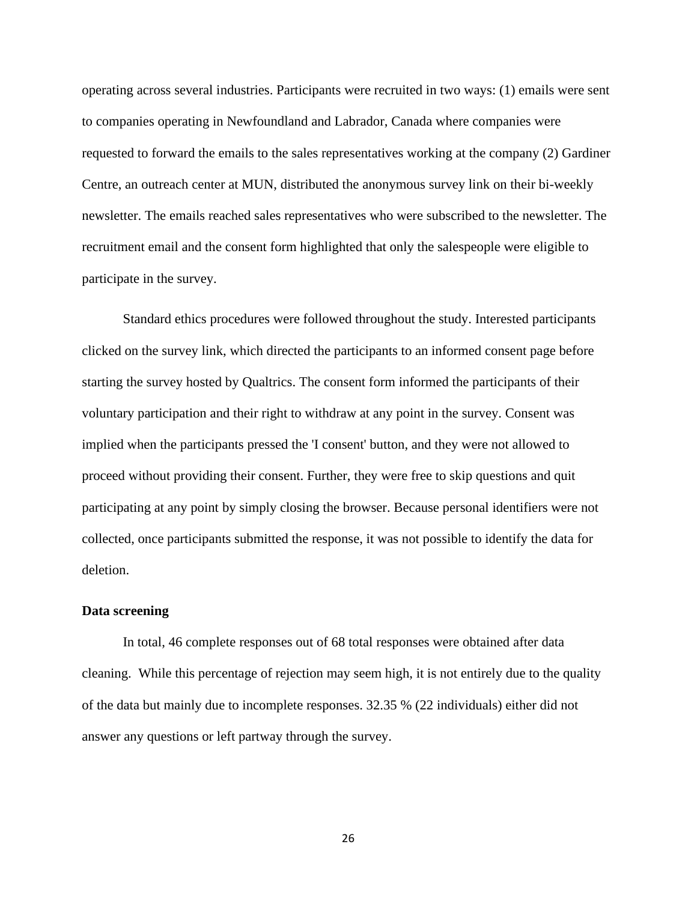operating across several industries. Participants were recruited in two ways: (1) emails were sent to companies operating in Newfoundland and Labrador, Canada where companies were requested to forward the emails to the sales representatives working at the company (2) Gardiner Centre, an outreach center at MUN, distributed the anonymous survey link on their bi-weekly newsletter. The emails reached sales representatives who were subscribed to the newsletter. The recruitment email and the consent form highlighted that only the salespeople were eligible to participate in the survey.

Standard ethics procedures were followed throughout the study. Interested participants clicked on the survey link, which directed the participants to an informed consent page before starting the survey hosted by Qualtrics. The consent form informed the participants of their voluntary participation and their right to withdraw at any point in the survey. Consent was implied when the participants pressed the 'I consent' button, and they were not allowed to proceed without providing their consent. Further, they were free to skip questions and quit participating at any point by simply closing the browser. Because personal identifiers were not collected, once participants submitted the response, it was not possible to identify the data for deletion.

### <span id="page-31-0"></span>**Data screening**

In total, 46 complete responses out of 68 total responses were obtained after data cleaning. While this percentage of rejection may seem high, it is not entirely due to the quality of the data but mainly due to incomplete responses. 32.35 % (22 individuals) either did not answer any questions or left partway through the survey.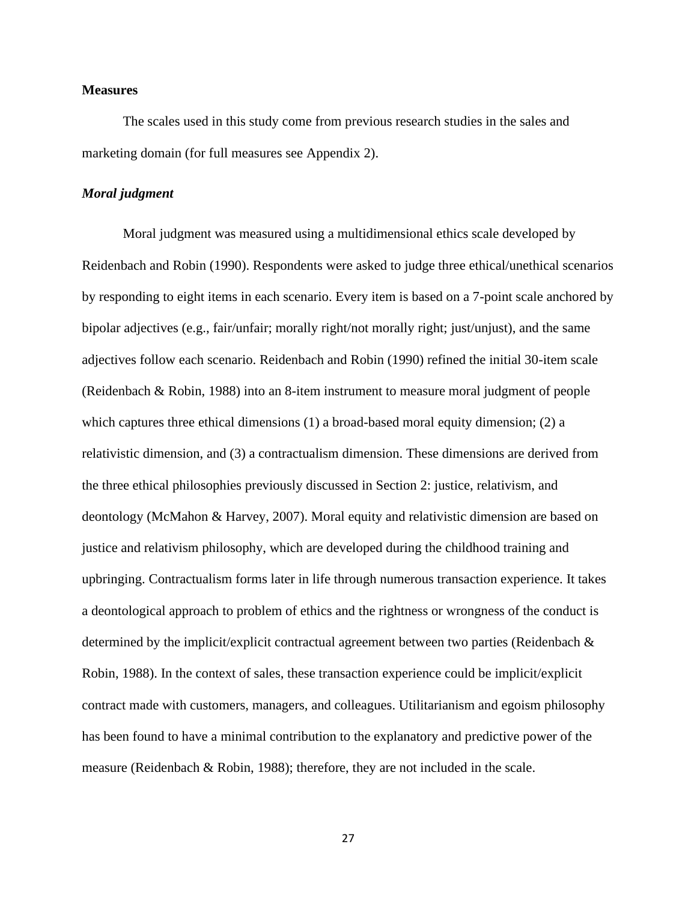### <span id="page-32-0"></span>**Measures**

The scales used in this study come from previous research studies in the sales and marketing domain (for full measures see Appendix 2).

### *Moral judgment*

Moral judgment was measured using a multidimensional ethics scale developed by Reidenbach and Robin (1990). Respondents were asked to judge three ethical/unethical scenarios by responding to eight items in each scenario. Every item is based on a 7-point scale anchored by bipolar adjectives (e.g., fair/unfair; morally right/not morally right; just/unjust), and the same adjectives follow each scenario. Reidenbach and Robin (1990) refined the initial 30-item scale (Reidenbach & Robin, 1988) into an 8-item instrument to measure moral judgment of people which captures three ethical dimensions (1) a broad-based moral equity dimension; (2) a relativistic dimension, and (3) a contractualism dimension. These dimensions are derived from the three ethical philosophies previously discussed in Section 2: justice, relativism, and deontology (McMahon & Harvey, 2007). Moral equity and relativistic dimension are based on justice and relativism philosophy, which are developed during the childhood training and upbringing. Contractualism forms later in life through numerous transaction experience. It takes a deontological approach to problem of ethics and the rightness or wrongness of the conduct is determined by the implicit/explicit contractual agreement between two parties (Reidenbach & Robin, 1988). In the context of sales, these transaction experience could be implicit/explicit contract made with customers, managers, and colleagues. Utilitarianism and egoism philosophy has been found to have a minimal contribution to the explanatory and predictive power of the measure (Reidenbach & Robin, 1988); therefore, they are not included in the scale.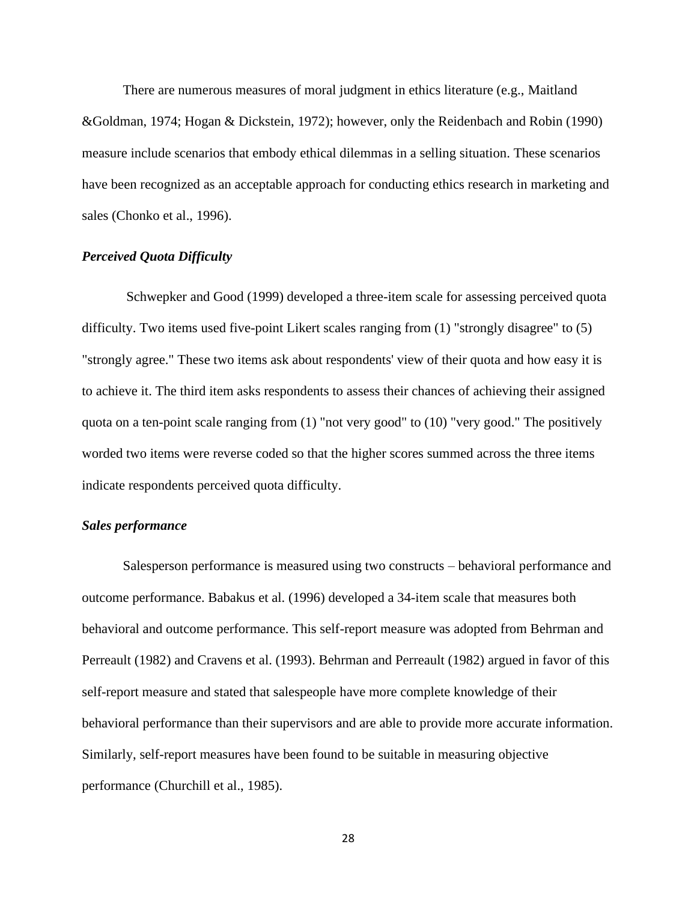There are numerous measures of moral judgment in ethics literature (e.g., Maitland &Goldman, 1974; Hogan & Dickstein, 1972); however, only the Reidenbach and Robin (1990) measure include scenarios that embody ethical dilemmas in a selling situation. These scenarios have been recognized as an acceptable approach for conducting ethics research in marketing and sales (Chonko et al., 1996).

### *Perceived Quota Difficulty*

Schwepker and Good (1999) developed a three-item scale for assessing perceived quota difficulty. Two items used five-point Likert scales ranging from (1) "strongly disagree" to (5) "strongly agree." These two items ask about respondents' view of their quota and how easy it is to achieve it. The third item asks respondents to assess their chances of achieving their assigned quota on a ten-point scale ranging from (1) "not very good" to (10) "very good." The positively worded two items were reverse coded so that the higher scores summed across the three items indicate respondents perceived quota difficulty.

### *Sales performance*

Salesperson performance is measured using two constructs – behavioral performance and outcome performance. Babakus et al. (1996) developed a 34-item scale that measures both behavioral and outcome performance. This self-report measure was adopted from Behrman and Perreault (1982) and Cravens et al. (1993). Behrman and Perreault (1982) argued in favor of this self-report measure and stated that salespeople have more complete knowledge of their behavioral performance than their supervisors and are able to provide more accurate information. Similarly, self-report measures have been found to be suitable in measuring objective performance (Churchill et al., 1985).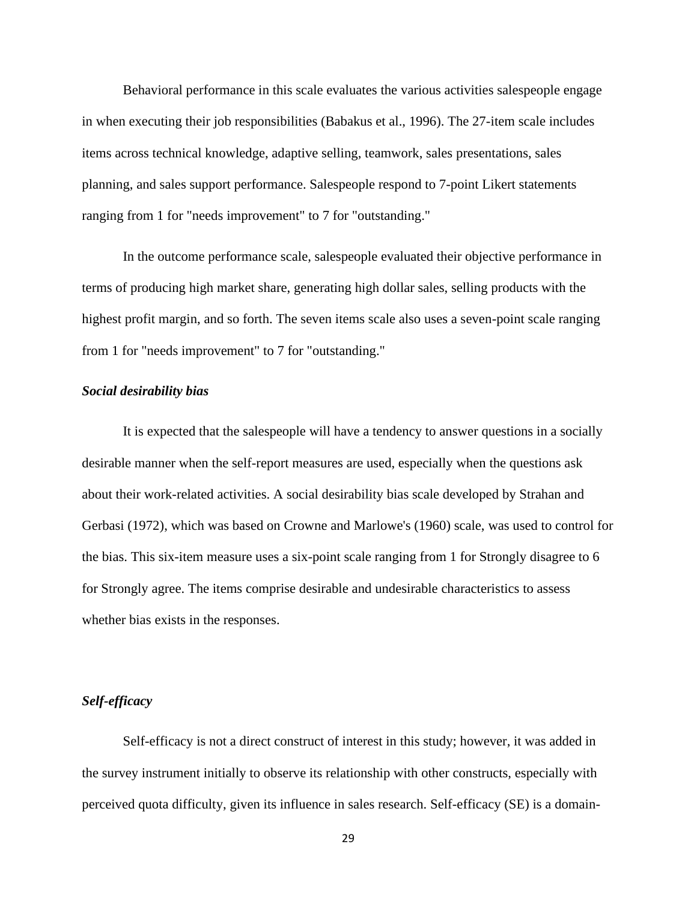Behavioral performance in this scale evaluates the various activities salespeople engage in when executing their job responsibilities (Babakus et al., 1996). The 27-item scale includes items across technical knowledge, adaptive selling, teamwork, sales presentations, sales planning, and sales support performance. Salespeople respond to 7-point Likert statements ranging from 1 for "needs improvement" to 7 for "outstanding."

In the outcome performance scale, salespeople evaluated their objective performance in terms of producing high market share, generating high dollar sales, selling products with the highest profit margin, and so forth. The seven items scale also uses a seven-point scale ranging from 1 for "needs improvement" to 7 for "outstanding."

### *Social desirability bias*

It is expected that the salespeople will have a tendency to answer questions in a socially desirable manner when the self-report measures are used, especially when the questions ask about their work-related activities. A social desirability bias scale developed by Strahan and Gerbasi (1972), which was based on Crowne and Marlowe's (1960) scale, was used to control for the bias. This six-item measure uses a six-point scale ranging from 1 for Strongly disagree to 6 for Strongly agree. The items comprise desirable and undesirable characteristics to assess whether bias exists in the responses.

### *Self-efficacy*

Self-efficacy is not a direct construct of interest in this study; however, it was added in the survey instrument initially to observe its relationship with other constructs, especially with perceived quota difficulty, given its influence in sales research. Self-efficacy (SE) is a domain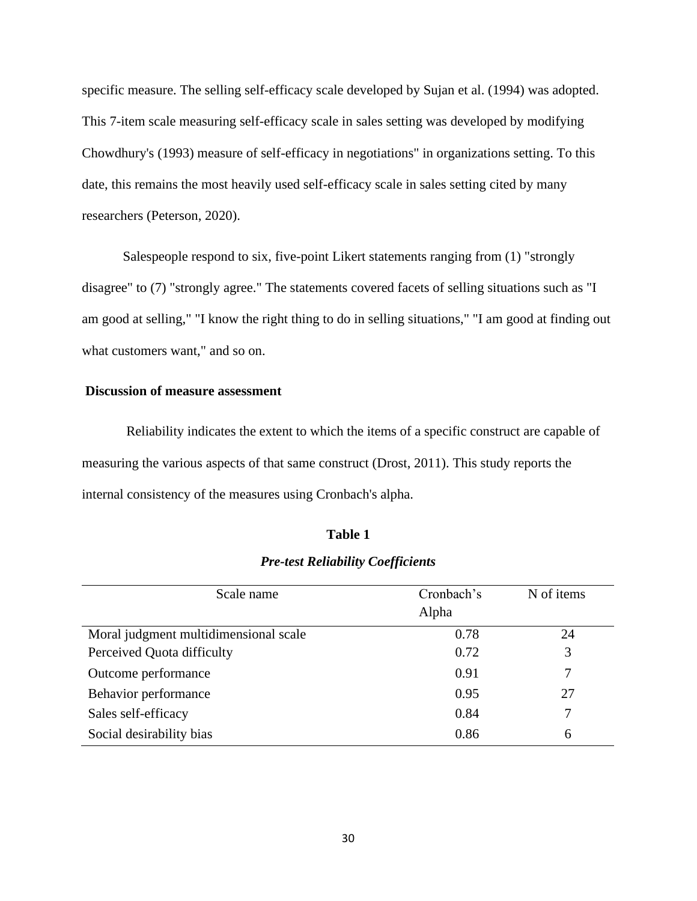specific measure. The selling self-efficacy scale developed by Sujan et al. (1994) was adopted. This 7-item scale measuring self-efficacy scale in sales setting was developed by modifying Chowdhury's (1993) measure of self-efficacy in negotiations" in organizations setting. To this date, this remains the most heavily used self-efficacy scale in sales setting cited by many researchers (Peterson, 2020).

Salespeople respond to six, five-point Likert statements ranging from (1) "strongly disagree" to (7) "strongly agree." The statements covered facets of selling situations such as "I am good at selling," "I know the right thing to do in selling situations," "I am good at finding out what customers want," and so on.

### **Discussion of measure assessment**

Reliability indicates the extent to which the items of a specific construct are capable of measuring the various aspects of that same construct (Drost, 2011). This study reports the internal consistency of the measures using Cronbach's alpha.

### **Table 1**

| <b>Pre-test Reliability Coefficients</b> |  |
|------------------------------------------|--|
|                                          |  |

<span id="page-35-0"></span>

| Scale name                            | Cronbach's | N of items |
|---------------------------------------|------------|------------|
|                                       | Alpha      |            |
| Moral judgment multidimensional scale | 0.78       | 24         |
| Perceived Quota difficulty            | 0.72       | 3          |
| Outcome performance                   | 0.91       |            |
| Behavior performance                  | 0.95       | 27         |
| Sales self-efficacy                   | 0.84       | 7          |
| Social desirability bias              | 0.86       | 6          |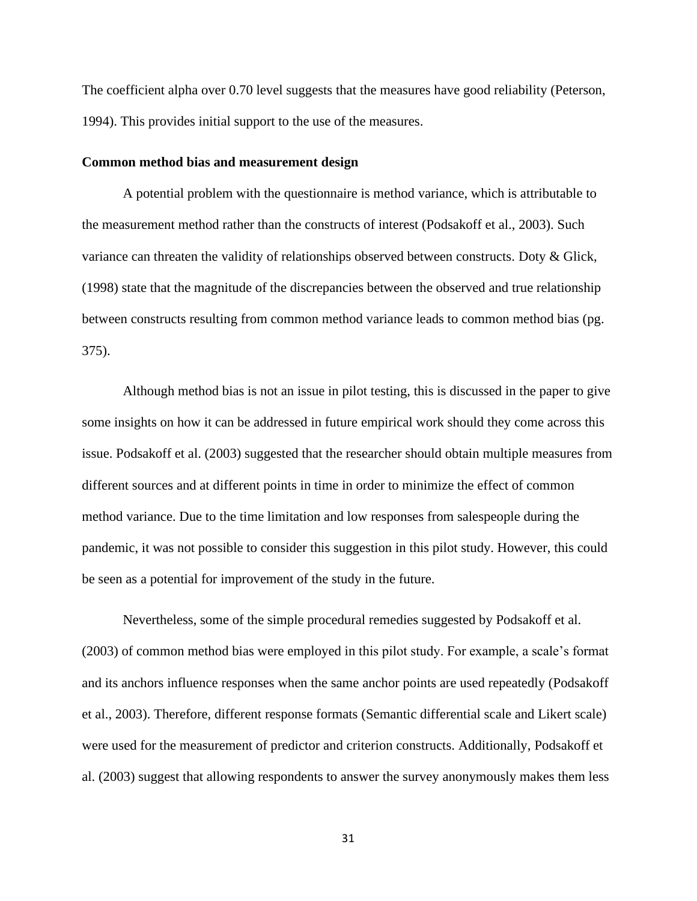The coefficient alpha over 0.70 level suggests that the measures have good reliability (Peterson, 1994). This provides initial support to the use of the measures.

## **Common method bias and measurement design**

A potential problem with the questionnaire is method variance, which is attributable to the measurement method rather than the constructs of interest (Podsakoff et al., 2003). Such variance can threaten the validity of relationships observed between constructs. Doty & Glick, (1998) state that the magnitude of the discrepancies between the observed and true relationship between constructs resulting from common method variance leads to common method bias (pg. 375).

Although method bias is not an issue in pilot testing, this is discussed in the paper to give some insights on how it can be addressed in future empirical work should they come across this issue. Podsakoff et al. (2003) suggested that the researcher should obtain multiple measures from different sources and at different points in time in order to minimize the effect of common method variance. Due to the time limitation and low responses from salespeople during the pandemic, it was not possible to consider this suggestion in this pilot study. However, this could be seen as a potential for improvement of the study in the future.

Nevertheless, some of the simple procedural remedies suggested by Podsakoff et al. (2003) of common method bias were employed in this pilot study. For example, a scale's format and its anchors influence responses when the same anchor points are used repeatedly (Podsakoff et al., 2003). Therefore, different response formats (Semantic differential scale and Likert scale) were used for the measurement of predictor and criterion constructs. Additionally, Podsakoff et al. (2003) suggest that allowing respondents to answer the survey anonymously makes them less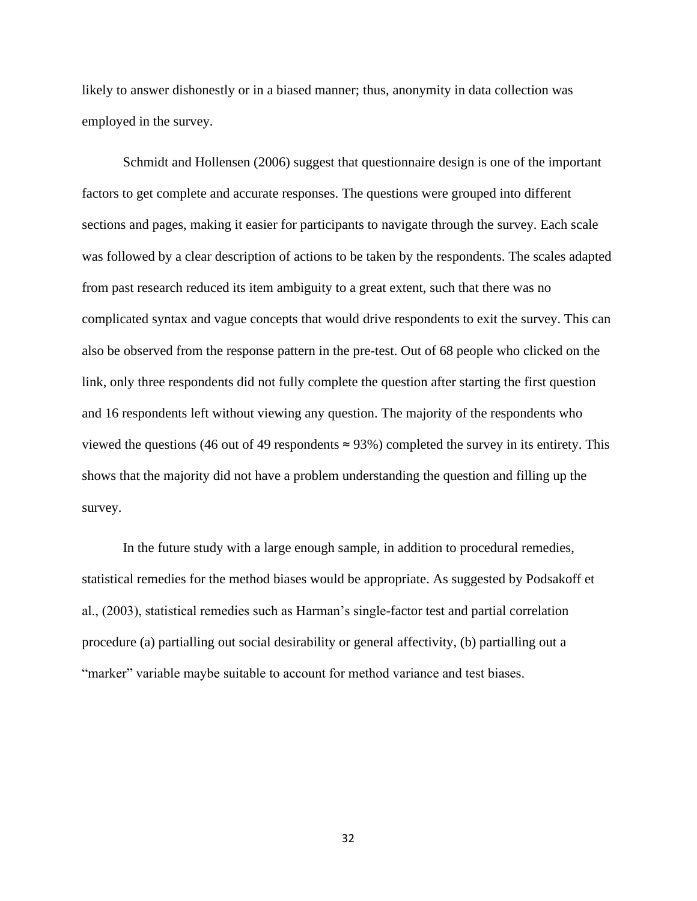likely to answer dishonestly or in a biased manner; thus, anonymity in data collection was employed in the survey.

Schmidt and Hollensen (2006) suggest that questionnaire design is one of the important factors to get complete and accurate responses. The questions were grouped into different sections and pages, making it easier for participants to navigate through the survey. Each scale was followed by a clear description of actions to be taken by the respondents. The scales adapted from past research reduced its item ambiguity to a great extent, such that there was no complicated syntax and vague concepts that would drive respondents to exit the survey. This can also be observed from the response pattern in the pre-test. Out of 68 people who clicked on the link, only three respondents did not fully complete the question after starting the first question and 16 respondents left without viewing any question. The majority of the respondents who viewed the questions (46 out of 49 respondents  $\approx$  93%) completed the survey in its entirety. This shows that the majority did not have a problem understanding the question and filling up the survey.

In the future study with a large enough sample, in addition to procedural remedies, statistical remedies for the method biases would be appropriate. As suggested by Podsakoff et al., (2003), statistical remedies such as Harman's single-factor test and partial correlation procedure (a) partialling out social desirability or general affectivity, (b) partialling out a "marker" variable maybe suitable to account for method variance and test biases.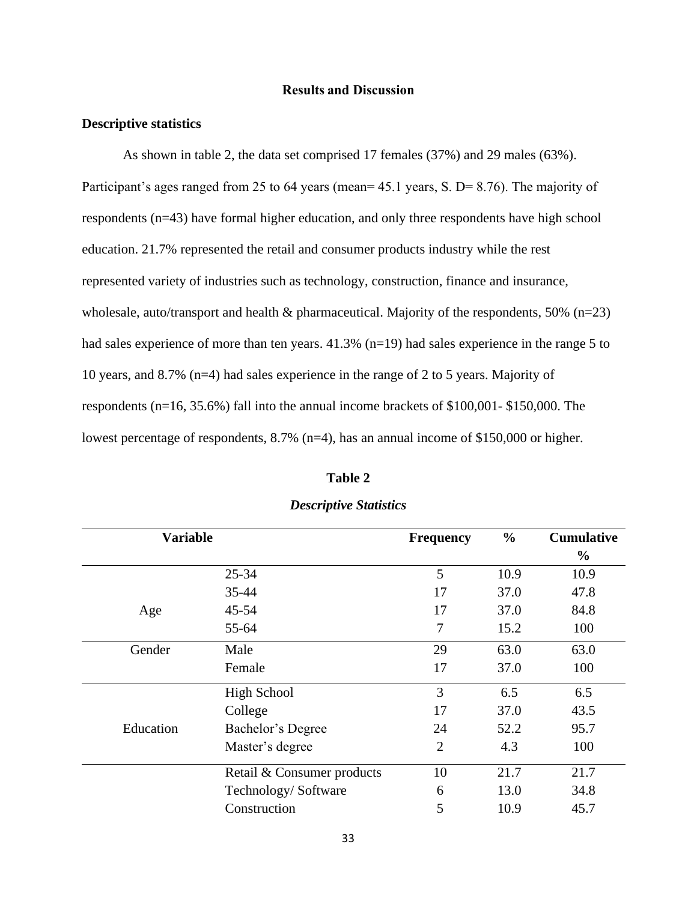## **Results and Discussion**

## **Descriptive statistics**

As shown in table 2, the data set comprised 17 females (37%) and 29 males (63%). Participant's ages ranged from 25 to 64 years (mean= 45.1 years, S. D= 8.76). The majority of respondents (n=43) have formal higher education, and only three respondents have high school education. 21.7% represented the retail and consumer products industry while the rest represented variety of industries such as technology, construction, finance and insurance, wholesale, auto/transport and health & pharmaceutical. Majority of the respondents, 50% (n=23) had sales experience of more than ten years. 41.3% (n=19) had sales experience in the range 5 to 10 years, and 8.7% (n=4) had sales experience in the range of 2 to 5 years. Majority of respondents (n=16, 35.6%) fall into the annual income brackets of \$100,001- \$150,000. The lowest percentage of respondents, 8.7% (n=4), has an annual income of \$150,000 or higher.

|           | <b>Variable</b>            |                | $\frac{0}{0}$ | <b>Cumulative</b><br>$\frac{0}{0}$ |  |
|-----------|----------------------------|----------------|---------------|------------------------------------|--|
|           | 25-34                      | 5              | 10.9          | 10.9                               |  |
|           | 35-44                      | 17             | 37.0          | 47.8                               |  |
| Age       | $45 - 54$                  | 17             | 37.0          | 84.8                               |  |
|           | 55-64                      | 7              | 15.2          | 100                                |  |
| Gender    | Male                       | 29             | 63.0          | 63.0                               |  |
|           | Female                     | 17             | 37.0          | 100                                |  |
|           | <b>High School</b>         | 3              | 6.5           | 6.5                                |  |
|           | College                    | 17             | 37.0          | 43.5                               |  |
| Education | Bachelor's Degree          | 24             | 52.2          | 95.7                               |  |
|           | Master's degree            | $\overline{2}$ | 4.3           | 100                                |  |
|           | Retail & Consumer products | 10             | 21.7          | 21.7                               |  |
|           | Technology/Software        | 6              | 13.0          | 34.8                               |  |
|           | Construction               | 5              | 10.9          | 45.7                               |  |

## **Table 2**

# *Descriptive Statistics*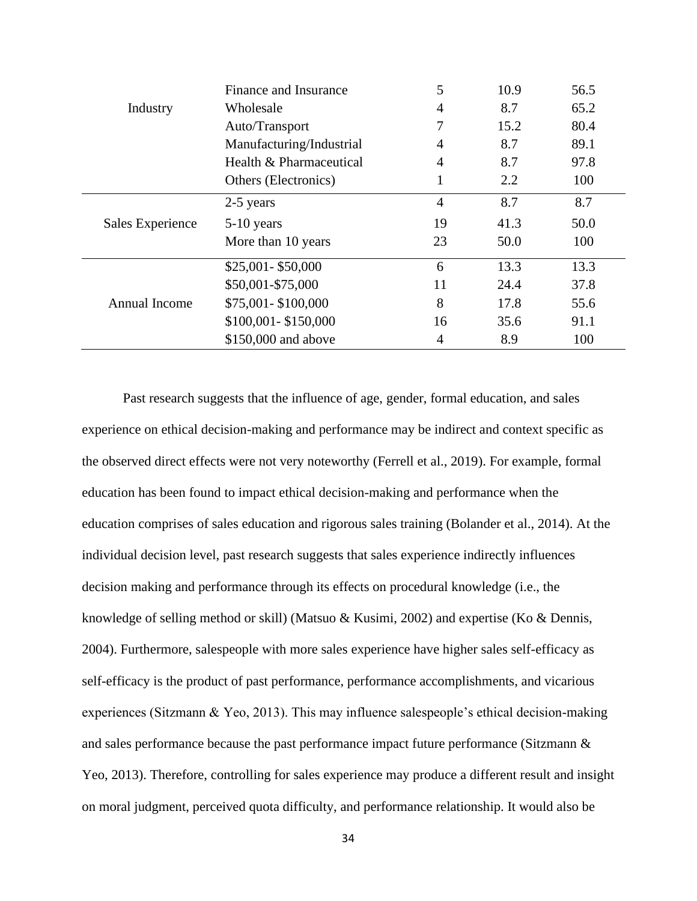|                  | Finance and Insurance    | 5              | 10.9 | 56.5 |
|------------------|--------------------------|----------------|------|------|
| Industry         | Wholesale                | 4              | 8.7  | 65.2 |
|                  | Auto/Transport           |                | 15.2 | 80.4 |
|                  | Manufacturing/Industrial | 4              | 8.7  | 89.1 |
|                  | Health & Pharmaceutical  | 4              | 8.7  | 97.8 |
|                  | Others (Electronics)     | T              | 2.2  | 100  |
| Sales Experience | 2-5 years                | $\overline{4}$ | 8.7  | 8.7  |
|                  | $5-10$ years             | 19             | 41.3 | 50.0 |
|                  | More than 10 years       | 23             | 50.0 | 100  |
| Annual Income    | $$25,001 - $50,000$      | 6              | 13.3 | 13.3 |
|                  | \$50,001-\$75,000        | 11             | 24.4 | 37.8 |
|                  | \$75,001-\$100,000       | 8              | 17.8 | 55.6 |
|                  | \$100,001-\$150,000      | 16             | 35.6 | 91.1 |
|                  | \$150,000 and above      | 4              | 8.9  | 100  |

Past research suggests that the influence of age, gender, formal education, and sales experience on ethical decision-making and performance may be indirect and context specific as the observed direct effects were not very noteworthy (Ferrell et al., 2019). For example, formal education has been found to impact ethical decision-making and performance when the education comprises of sales education and rigorous sales training (Bolander et al., 2014). At the individual decision level, past research suggests that sales experience indirectly influences decision making and performance through its effects on procedural knowledge (i.e., the knowledge of selling method or skill) (Matsuo & Kusimi, 2002) and expertise (Ko & Dennis, 2004). Furthermore, salespeople with more sales experience have higher sales self-efficacy as self-efficacy is the product of past performance, performance accomplishments, and vicarious experiences (Sitzmann & Yeo, 2013). This may influence salespeople's ethical decision-making and sales performance because the past performance impact future performance (Sitzmann & Yeo, 2013). Therefore, controlling for sales experience may produce a different result and insight on moral judgment, perceived quota difficulty, and performance relationship. It would also be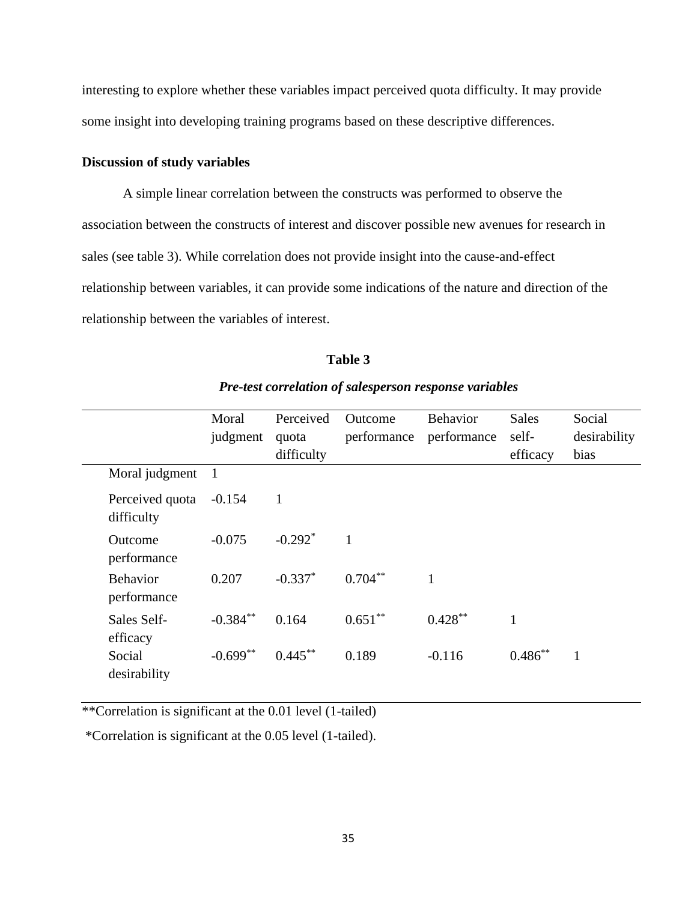interesting to explore whether these variables impact perceived quota difficulty. It may provide some insight into developing training programs based on these descriptive differences.

## **Discussion of study variables**

A simple linear correlation between the constructs was performed to observe the association between the constructs of interest and discover possible new avenues for research in sales (see table 3). While correlation does not provide insight into the cause-and-effect relationship between variables, it can provide some indications of the nature and direction of the relationship between the variables of interest.

## **Table 3**

|                                | Moral<br>judgment | Perceived<br>quota<br>difficulty | Outcome<br>performance | <b>Behavior</b><br>performance | <b>Sales</b><br>self-<br>efficacy | Social<br>desirability<br>bias |
|--------------------------------|-------------------|----------------------------------|------------------------|--------------------------------|-----------------------------------|--------------------------------|
| Moral judgment                 | $\mathbf{1}$      |                                  |                        |                                |                                   |                                |
| Perceived quota<br>difficulty  | $-0.154$          | 1                                |                        |                                |                                   |                                |
| Outcome<br>performance         | $-0.075$          | $-0.292$ <sup>*</sup>            | $\overline{1}$         |                                |                                   |                                |
| <b>Behavior</b><br>performance | 0.207             | $-0.337*$                        | $0.704***$             | 1                              |                                   |                                |
| Sales Self-<br>efficacy        | $-0.384***$       | 0.164                            | $0.651***$             | $0.428***$                     | 1                                 |                                |
| Social<br>desirability         | $-0.699**$        | $0.445***$                       | 0.189                  | $-0.116$                       | $0.486^{**}$                      | $\mathbf{1}$                   |

## *Pre-test correlation of salesperson response variables*

\*\*Correlation is significant at the 0.01 level (1-tailed)

\*Correlation is significant at the 0.05 level (1-tailed).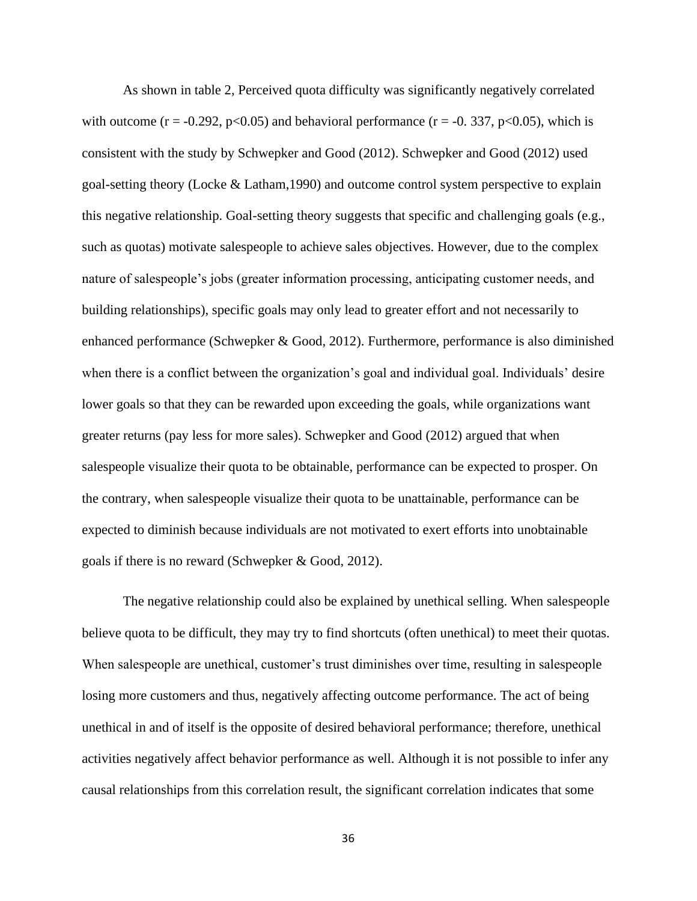As shown in table 2, Perceived quota difficulty was significantly negatively correlated with outcome  $(r = -0.292, p < 0.05)$  and behavioral performance  $(r = -0.337, p < 0.05)$ , which is consistent with the study by Schwepker and Good (2012). Schwepker and Good (2012) used goal-setting theory (Locke & Latham,1990) and outcome control system perspective to explain this negative relationship. Goal-setting theory suggests that specific and challenging goals (e.g., such as quotas) motivate salespeople to achieve sales objectives. However, due to the complex nature of salespeople's jobs (greater information processing, anticipating customer needs, and building relationships), specific goals may only lead to greater effort and not necessarily to enhanced performance (Schwepker & Good, 2012). Furthermore, performance is also diminished when there is a conflict between the organization's goal and individual goal. Individuals' desire lower goals so that they can be rewarded upon exceeding the goals, while organizations want greater returns (pay less for more sales). Schwepker and Good (2012) argued that when salespeople visualize their quota to be obtainable, performance can be expected to prosper. On the contrary, when salespeople visualize their quota to be unattainable, performance can be expected to diminish because individuals are not motivated to exert efforts into unobtainable goals if there is no reward (Schwepker & Good, 2012).

The negative relationship could also be explained by unethical selling. When salespeople believe quota to be difficult, they may try to find shortcuts (often unethical) to meet their quotas. When salespeople are unethical, customer's trust diminishes over time, resulting in salespeople losing more customers and thus, negatively affecting outcome performance. The act of being unethical in and of itself is the opposite of desired behavioral performance; therefore, unethical activities negatively affect behavior performance as well. Although it is not possible to infer any causal relationships from this correlation result, the significant correlation indicates that some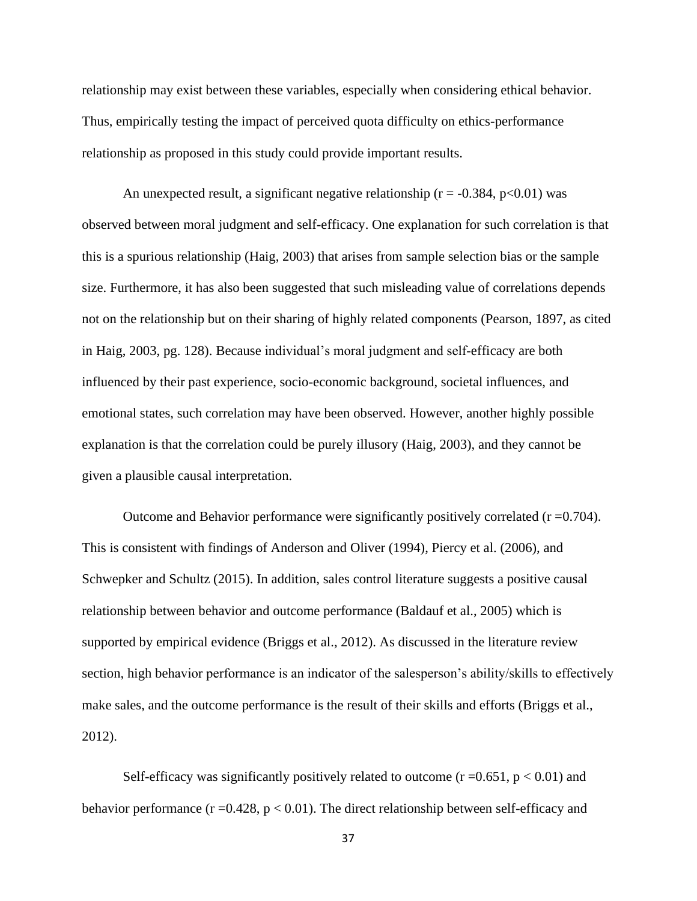relationship may exist between these variables, especially when considering ethical behavior. Thus, empirically testing the impact of perceived quota difficulty on ethics-performance relationship as proposed in this study could provide important results.

An unexpected result, a significant negative relationship ( $r = -0.384$ ,  $p < 0.01$ ) was observed between moral judgment and self-efficacy. One explanation for such correlation is that this is a spurious relationship (Haig, 2003) that arises from sample selection bias or the sample size. Furthermore, it has also been suggested that such misleading value of correlations depends not on the relationship but on their sharing of highly related components (Pearson, 1897, as cited in Haig, 2003, pg. 128). Because individual's moral judgment and self-efficacy are both influenced by their past experience, socio-economic background, societal influences, and emotional states, such correlation may have been observed. However, another highly possible explanation is that the correlation could be purely illusory (Haig, 2003), and they cannot be given a plausible causal interpretation.

Outcome and Behavior performance were significantly positively correlated  $(r = 0.704)$ . This is consistent with findings of Anderson and Oliver (1994), Piercy et al. (2006), and Schwepker and Schultz (2015). In addition, sales control literature suggests a positive causal relationship between behavior and outcome performance (Baldauf et al., 2005) which is supported by empirical evidence (Briggs et al., 2012). As discussed in the literature review section, high behavior performance is an indicator of the salesperson's ability/skills to effectively make sales, and the outcome performance is the result of their skills and efforts (Briggs et al., 2012).

Self-efficacy was significantly positively related to outcome  $(r=0.651, p<0.01)$  and behavior performance ( $r = 0.428$ ,  $p < 0.01$ ). The direct relationship between self-efficacy and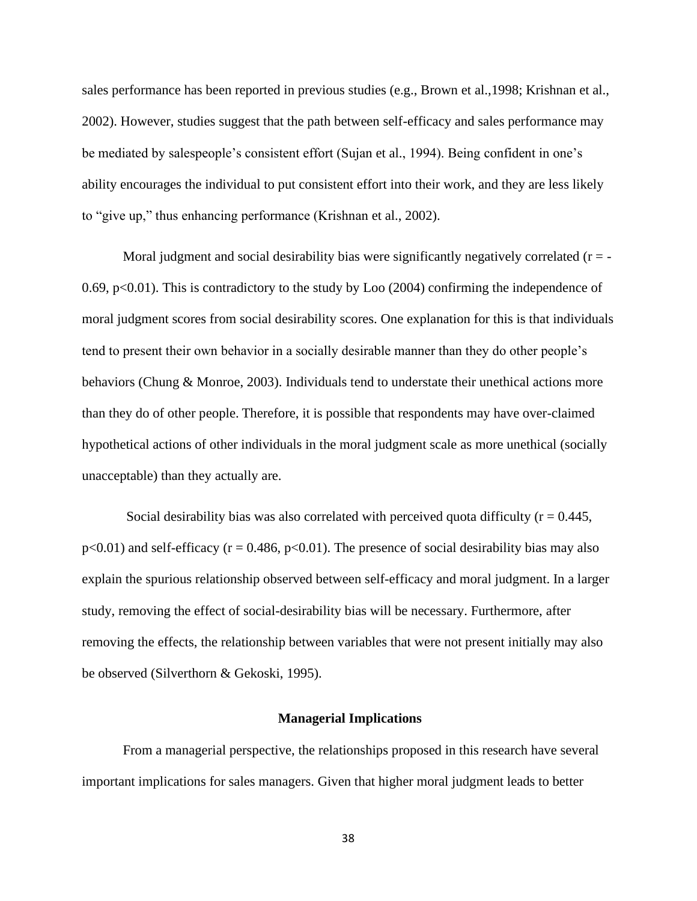sales performance has been reported in previous studies (e.g., Brown et al.,1998; Krishnan et al., 2002). However, studies suggest that the path between self-efficacy and sales performance may be mediated by salespeople's consistent effort (Sujan et al., 1994). Being confident in one's ability encourages the individual to put consistent effort into their work, and they are less likely to "give up," thus enhancing performance (Krishnan et al., 2002).

Moral judgment and social desirability bias were significantly negatively correlated  $(r = -$ 0.69,  $p<0.01$ ). This is contradictory to the study by Loo (2004) confirming the independence of moral judgment scores from social desirability scores. One explanation for this is that individuals tend to present their own behavior in a socially desirable manner than they do other people's behaviors (Chung & Monroe, 2003). Individuals tend to understate their unethical actions more than they do of other people. Therefore, it is possible that respondents may have over-claimed hypothetical actions of other individuals in the moral judgment scale as more unethical (socially unacceptable) than they actually are.

Social desirability bias was also correlated with perceived quota difficulty ( $r = 0.445$ ,  $p<0.01$ ) and self-efficacy ( $r = 0.486$ ,  $p<0.01$ ). The presence of social desirability bias may also explain the spurious relationship observed between self-efficacy and moral judgment. In a larger study, removing the effect of social-desirability bias will be necessary. Furthermore, after removing the effects, the relationship between variables that were not present initially may also be observed (Silverthorn & Gekoski, 1995).

#### **Managerial Implications**

From a managerial perspective, the relationships proposed in this research have several important implications for sales managers. Given that higher moral judgment leads to better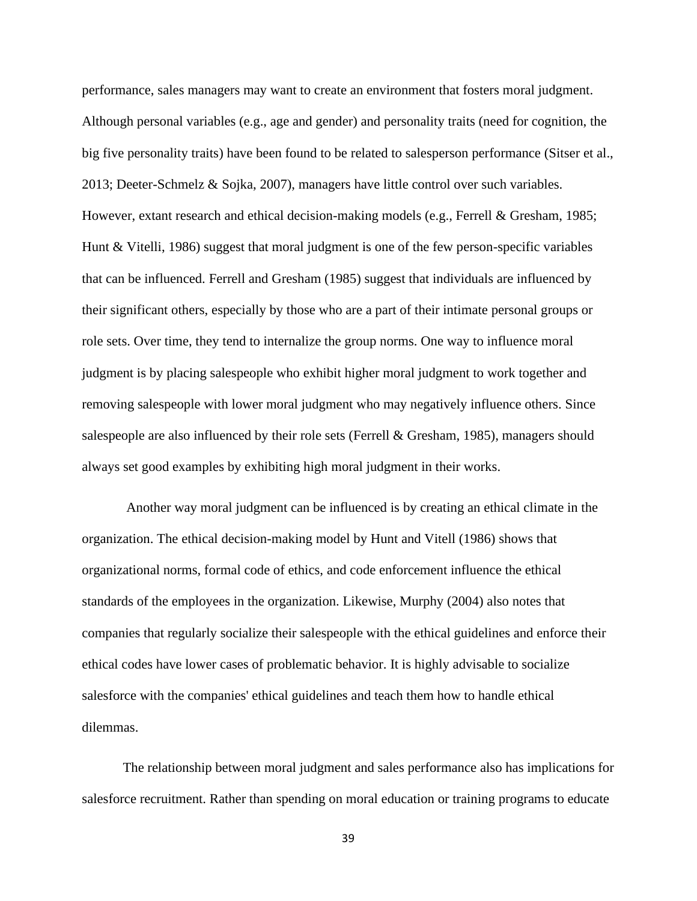performance, sales managers may want to create an environment that fosters moral judgment. Although personal variables (e.g., age and gender) and personality traits (need for cognition, the big five personality traits) have been found to be related to salesperson performance (Sitser et al., 2013; Deeter-Schmelz & Sojka, 2007), managers have little control over such variables. However, extant research and ethical decision-making models (e.g., Ferrell & Gresham, 1985; Hunt & Vitelli, 1986) suggest that moral judgment is one of the few person-specific variables that can be influenced. Ferrell and Gresham (1985) suggest that individuals are influenced by their significant others, especially by those who are a part of their intimate personal groups or role sets. Over time, they tend to internalize the group norms. One way to influence moral judgment is by placing salespeople who exhibit higher moral judgment to work together and removing salespeople with lower moral judgment who may negatively influence others. Since salespeople are also influenced by their role sets (Ferrell & Gresham, 1985), managers should always set good examples by exhibiting high moral judgment in their works.

Another way moral judgment can be influenced is by creating an ethical climate in the organization. The ethical decision-making model by Hunt and Vitell (1986) shows that organizational norms, formal code of ethics, and code enforcement influence the ethical standards of the employees in the organization. Likewise, Murphy (2004) also notes that companies that regularly socialize their salespeople with the ethical guidelines and enforce their ethical codes have lower cases of problematic behavior. It is highly advisable to socialize salesforce with the companies' ethical guidelines and teach them how to handle ethical dilemmas.

The relationship between moral judgment and sales performance also has implications for salesforce recruitment. Rather than spending on moral education or training programs to educate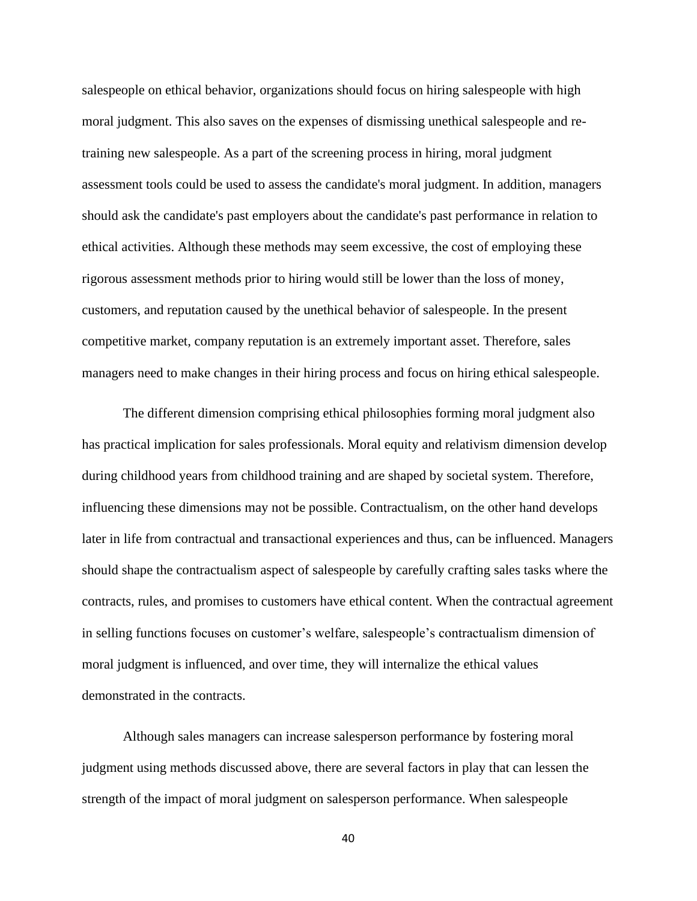salespeople on ethical behavior, organizations should focus on hiring salespeople with high moral judgment. This also saves on the expenses of dismissing unethical salespeople and retraining new salespeople. As a part of the screening process in hiring, moral judgment assessment tools could be used to assess the candidate's moral judgment. In addition, managers should ask the candidate's past employers about the candidate's past performance in relation to ethical activities. Although these methods may seem excessive, the cost of employing these rigorous assessment methods prior to hiring would still be lower than the loss of money, customers, and reputation caused by the unethical behavior of salespeople. In the present competitive market, company reputation is an extremely important asset. Therefore, sales managers need to make changes in their hiring process and focus on hiring ethical salespeople.

The different dimension comprising ethical philosophies forming moral judgment also has practical implication for sales professionals. Moral equity and relativism dimension develop during childhood years from childhood training and are shaped by societal system. Therefore, influencing these dimensions may not be possible. Contractualism, on the other hand develops later in life from contractual and transactional experiences and thus, can be influenced. Managers should shape the contractualism aspect of salespeople by carefully crafting sales tasks where the contracts, rules, and promises to customers have ethical content. When the contractual agreement in selling functions focuses on customer's welfare, salespeople's contractualism dimension of moral judgment is influenced, and over time, they will internalize the ethical values demonstrated in the contracts.

Although sales managers can increase salesperson performance by fostering moral judgment using methods discussed above, there are several factors in play that can lessen the strength of the impact of moral judgment on salesperson performance. When salespeople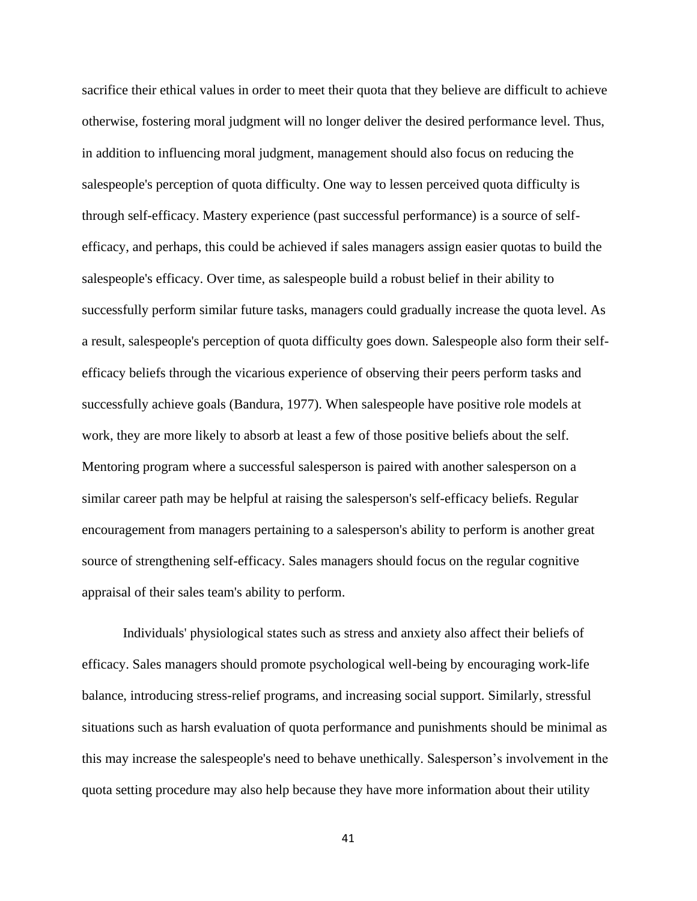sacrifice their ethical values in order to meet their quota that they believe are difficult to achieve otherwise, fostering moral judgment will no longer deliver the desired performance level. Thus, in addition to influencing moral judgment, management should also focus on reducing the salespeople's perception of quota difficulty. One way to lessen perceived quota difficulty is through self-efficacy. Mastery experience (past successful performance) is a source of selfefficacy, and perhaps, this could be achieved if sales managers assign easier quotas to build the salespeople's efficacy. Over time, as salespeople build a robust belief in their ability to successfully perform similar future tasks, managers could gradually increase the quota level. As a result, salespeople's perception of quota difficulty goes down. Salespeople also form their selfefficacy beliefs through the vicarious experience of observing their peers perform tasks and successfully achieve goals (Bandura, 1977). When salespeople have positive role models at work, they are more likely to absorb at least a few of those positive beliefs about the self. Mentoring program where a successful salesperson is paired with another salesperson on a similar career path may be helpful at raising the salesperson's self-efficacy beliefs. Regular encouragement from managers pertaining to a salesperson's ability to perform is another great source of strengthening self-efficacy. Sales managers should focus on the regular cognitive appraisal of their sales team's ability to perform.

Individuals' physiological states such as stress and anxiety also affect their beliefs of efficacy. Sales managers should promote psychological well-being by encouraging work-life balance, introducing stress-relief programs, and increasing social support. Similarly, stressful situations such as harsh evaluation of quota performance and punishments should be minimal as this may increase the salespeople's need to behave unethically. Salesperson's involvement in the quota setting procedure may also help because they have more information about their utility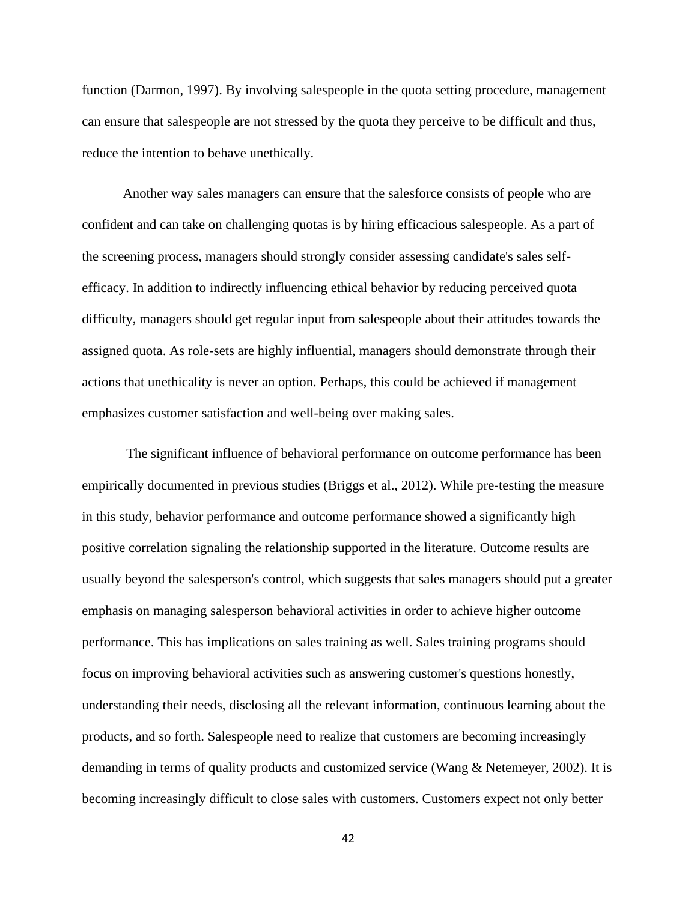function (Darmon, 1997). By involving salespeople in the quota setting procedure, management can ensure that salespeople are not stressed by the quota they perceive to be difficult and thus, reduce the intention to behave unethically.

Another way sales managers can ensure that the salesforce consists of people who are confident and can take on challenging quotas is by hiring efficacious salespeople. As a part of the screening process, managers should strongly consider assessing candidate's sales selfefficacy. In addition to indirectly influencing ethical behavior by reducing perceived quota difficulty, managers should get regular input from salespeople about their attitudes towards the assigned quota. As role-sets are highly influential, managers should demonstrate through their actions that unethicality is never an option. Perhaps, this could be achieved if management emphasizes customer satisfaction and well-being over making sales.

The significant influence of behavioral performance on outcome performance has been empirically documented in previous studies (Briggs et al., 2012). While pre-testing the measure in this study, behavior performance and outcome performance showed a significantly high positive correlation signaling the relationship supported in the literature. Outcome results are usually beyond the salesperson's control, which suggests that sales managers should put a greater emphasis on managing salesperson behavioral activities in order to achieve higher outcome performance. This has implications on sales training as well. Sales training programs should focus on improving behavioral activities such as answering customer's questions honestly, understanding their needs, disclosing all the relevant information, continuous learning about the products, and so forth. Salespeople need to realize that customers are becoming increasingly demanding in terms of quality products and customized service (Wang & Netemeyer, 2002). It is becoming increasingly difficult to close sales with customers. Customers expect not only better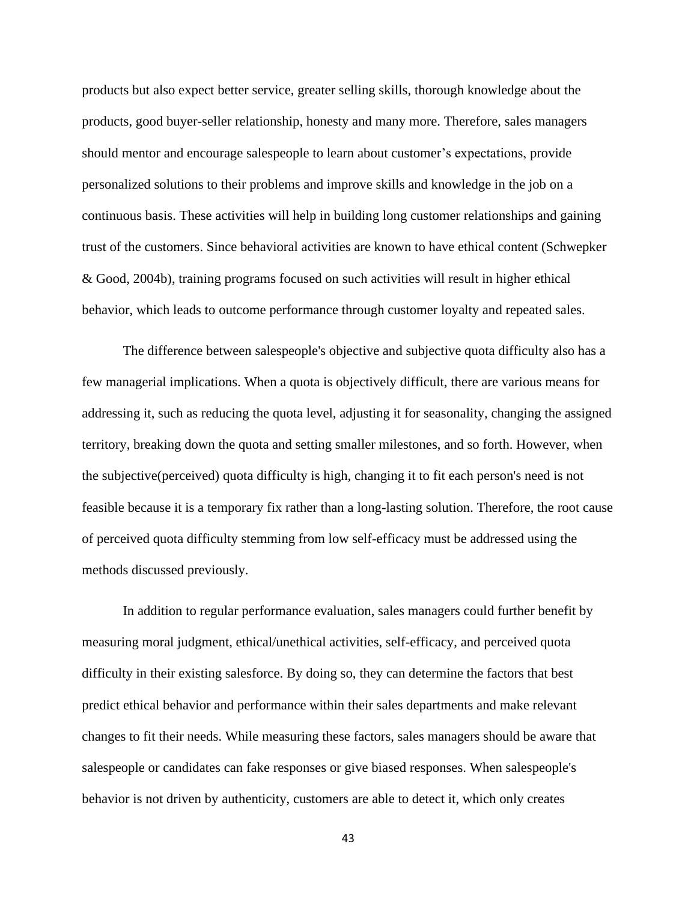products but also expect better service, greater selling skills, thorough knowledge about the products, good buyer-seller relationship, honesty and many more. Therefore, sales managers should mentor and encourage salespeople to learn about customer's expectations, provide personalized solutions to their problems and improve skills and knowledge in the job on a continuous basis. These activities will help in building long customer relationships and gaining trust of the customers. Since behavioral activities are known to have ethical content (Schwepker & Good, 2004b), training programs focused on such activities will result in higher ethical behavior, which leads to outcome performance through customer loyalty and repeated sales.

The difference between salespeople's objective and subjective quota difficulty also has a few managerial implications. When a quota is objectively difficult, there are various means for addressing it, such as reducing the quota level, adjusting it for seasonality, changing the assigned territory, breaking down the quota and setting smaller milestones, and so forth. However, when the subjective(perceived) quota difficulty is high, changing it to fit each person's need is not feasible because it is a temporary fix rather than a long-lasting solution. Therefore, the root cause of perceived quota difficulty stemming from low self-efficacy must be addressed using the methods discussed previously.

In addition to regular performance evaluation, sales managers could further benefit by measuring moral judgment, ethical/unethical activities, self-efficacy, and perceived quota difficulty in their existing salesforce. By doing so, they can determine the factors that best predict ethical behavior and performance within their sales departments and make relevant changes to fit their needs. While measuring these factors, sales managers should be aware that salespeople or candidates can fake responses or give biased responses. When salespeople's behavior is not driven by authenticity, customers are able to detect it, which only creates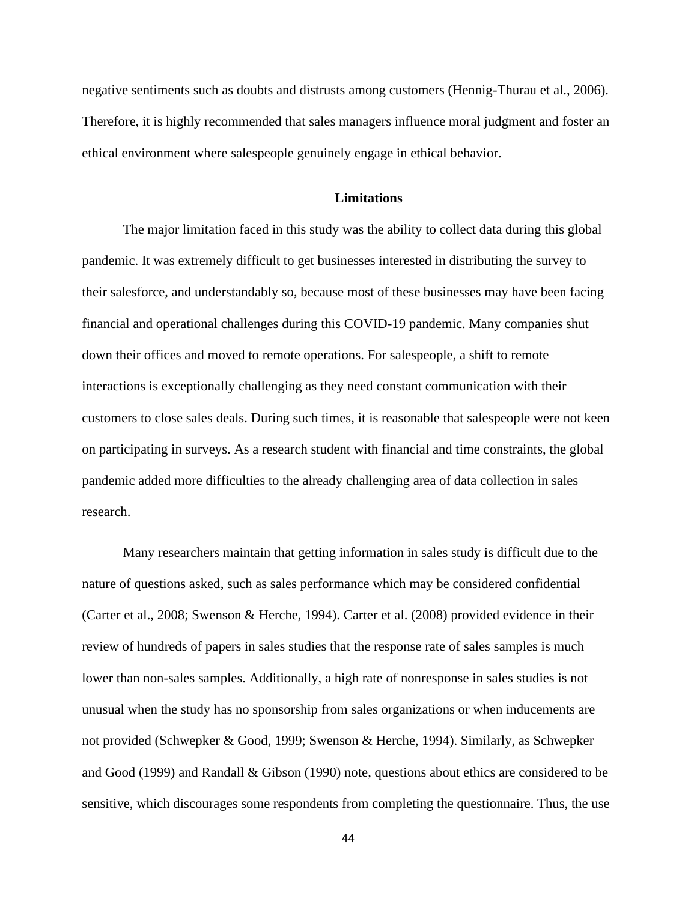negative sentiments such as doubts and distrusts among customers (Hennig-Thurau et al., 2006). Therefore, it is highly recommended that sales managers influence moral judgment and foster an ethical environment where salespeople genuinely engage in ethical behavior.

## **Limitations**

The major limitation faced in this study was the ability to collect data during this global pandemic. It was extremely difficult to get businesses interested in distributing the survey to their salesforce, and understandably so, because most of these businesses may have been facing financial and operational challenges during this COVID-19 pandemic. Many companies shut down their offices and moved to remote operations. For salespeople, a shift to remote interactions is exceptionally challenging as they need constant communication with their customers to close sales deals. During such times, it is reasonable that salespeople were not keen on participating in surveys. As a research student with financial and time constraints, the global pandemic added more difficulties to the already challenging area of data collection in sales research.

Many researchers maintain that getting information in sales study is difficult due to the nature of questions asked, such as sales performance which may be considered confidential (Carter et al., 2008; Swenson & Herche, 1994). Carter et al. (2008) provided evidence in their review of hundreds of papers in sales studies that the response rate of sales samples is much lower than non-sales samples. Additionally, a high rate of nonresponse in sales studies is not unusual when the study has no sponsorship from sales organizations or when inducements are not provided (Schwepker & Good, 1999; Swenson & Herche, 1994). Similarly, as Schwepker and Good (1999) and Randall & Gibson (1990) note, questions about ethics are considered to be sensitive, which discourages some respondents from completing the questionnaire. Thus, the use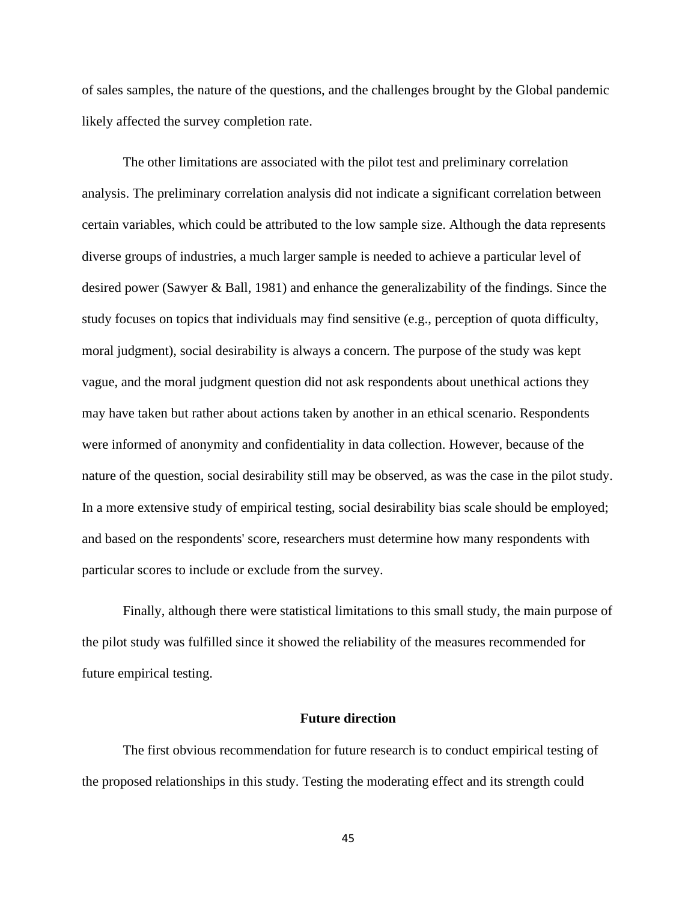of sales samples, the nature of the questions, and the challenges brought by the Global pandemic likely affected the survey completion rate.

The other limitations are associated with the pilot test and preliminary correlation analysis. The preliminary correlation analysis did not indicate a significant correlation between certain variables, which could be attributed to the low sample size. Although the data represents diverse groups of industries, a much larger sample is needed to achieve a particular level of desired power (Sawyer & Ball, 1981) and enhance the generalizability of the findings. Since the study focuses on topics that individuals may find sensitive (e.g., perception of quota difficulty, moral judgment), social desirability is always a concern. The purpose of the study was kept vague, and the moral judgment question did not ask respondents about unethical actions they may have taken but rather about actions taken by another in an ethical scenario. Respondents were informed of anonymity and confidentiality in data collection. However, because of the nature of the question, social desirability still may be observed, as was the case in the pilot study. In a more extensive study of empirical testing, social desirability bias scale should be employed; and based on the respondents' score, researchers must determine how many respondents with particular scores to include or exclude from the survey.

Finally, although there were statistical limitations to this small study, the main purpose of the pilot study was fulfilled since it showed the reliability of the measures recommended for future empirical testing.

### **Future direction**

The first obvious recommendation for future research is to conduct empirical testing of the proposed relationships in this study. Testing the moderating effect and its strength could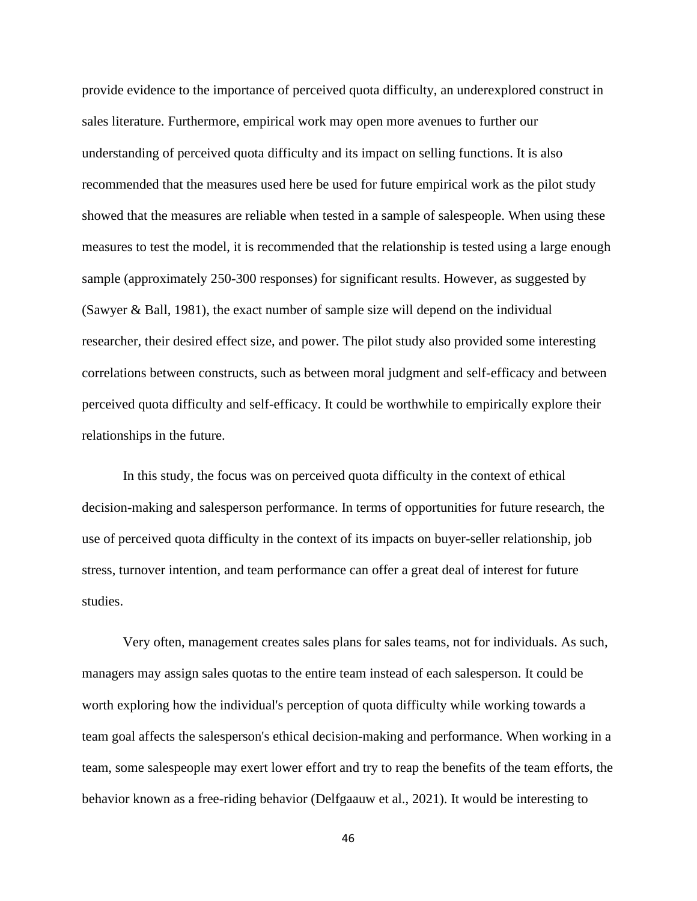provide evidence to the importance of perceived quota difficulty, an underexplored construct in sales literature. Furthermore, empirical work may open more avenues to further our understanding of perceived quota difficulty and its impact on selling functions. It is also recommended that the measures used here be used for future empirical work as the pilot study showed that the measures are reliable when tested in a sample of salespeople. When using these measures to test the model, it is recommended that the relationship is tested using a large enough sample (approximately 250-300 responses) for significant results. However, as suggested by (Sawyer & Ball, 1981), the exact number of sample size will depend on the individual researcher, their desired effect size, and power. The pilot study also provided some interesting correlations between constructs, such as between moral judgment and self-efficacy and between perceived quota difficulty and self-efficacy. It could be worthwhile to empirically explore their relationships in the future.

In this study, the focus was on perceived quota difficulty in the context of ethical decision-making and salesperson performance. In terms of opportunities for future research, the use of perceived quota difficulty in the context of its impacts on buyer-seller relationship, job stress, turnover intention, and team performance can offer a great deal of interest for future studies.

Very often, management creates sales plans for sales teams, not for individuals. As such, managers may assign sales quotas to the entire team instead of each salesperson. It could be worth exploring how the individual's perception of quota difficulty while working towards a team goal affects the salesperson's ethical decision-making and performance. When working in a team, some salespeople may exert lower effort and try to reap the benefits of the team efforts, the behavior known as a free-riding behavior (Delfgaauw et al., 2021). It would be interesting to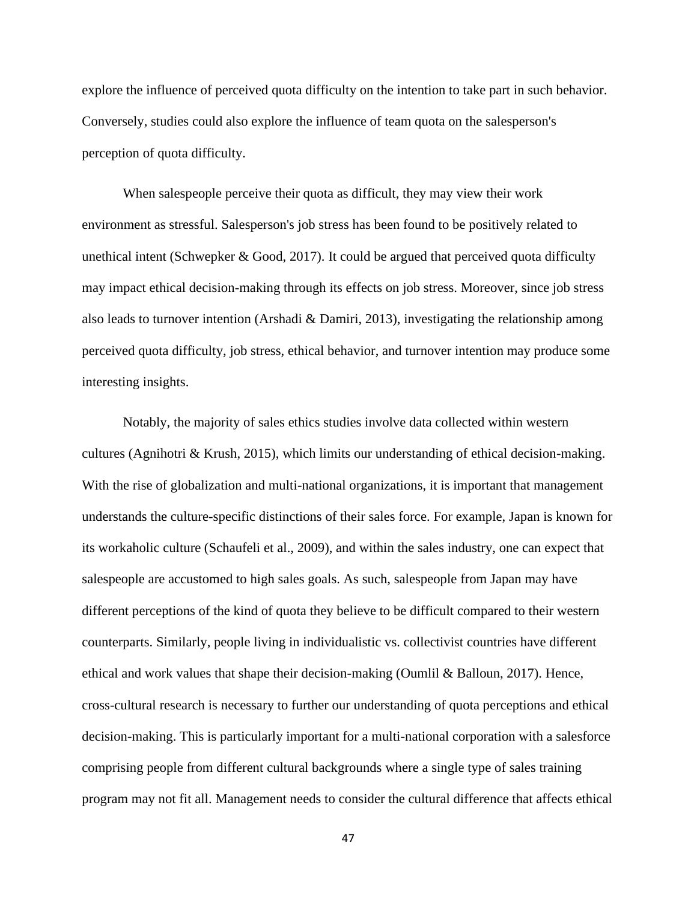explore the influence of perceived quota difficulty on the intention to take part in such behavior. Conversely, studies could also explore the influence of team quota on the salesperson's perception of quota difficulty.

When salespeople perceive their quota as difficult, they may view their work environment as stressful. Salesperson's job stress has been found to be positively related to unethical intent (Schwepker & Good, 2017). It could be argued that perceived quota difficulty may impact ethical decision-making through its effects on job stress. Moreover, since job stress also leads to turnover intention (Arshadi & Damiri, 2013), investigating the relationship among perceived quota difficulty, job stress, ethical behavior, and turnover intention may produce some interesting insights.

Notably, the majority of sales ethics studies involve data collected within western cultures (Agnihotri & Krush, 2015), which limits our understanding of ethical decision-making. With the rise of globalization and multi-national organizations, it is important that management understands the culture-specific distinctions of their sales force. For example, Japan is known for its workaholic culture (Schaufeli et al., 2009), and within the sales industry, one can expect that salespeople are accustomed to high sales goals. As such, salespeople from Japan may have different perceptions of the kind of quota they believe to be difficult compared to their western counterparts. Similarly, people living in individualistic vs. collectivist countries have different ethical and work values that shape their decision-making (Oumlil & Balloun, 2017). Hence, cross-cultural research is necessary to further our understanding of quota perceptions and ethical decision-making. This is particularly important for a multi-national corporation with a salesforce comprising people from different cultural backgrounds where a single type of sales training program may not fit all. Management needs to consider the cultural difference that affects ethical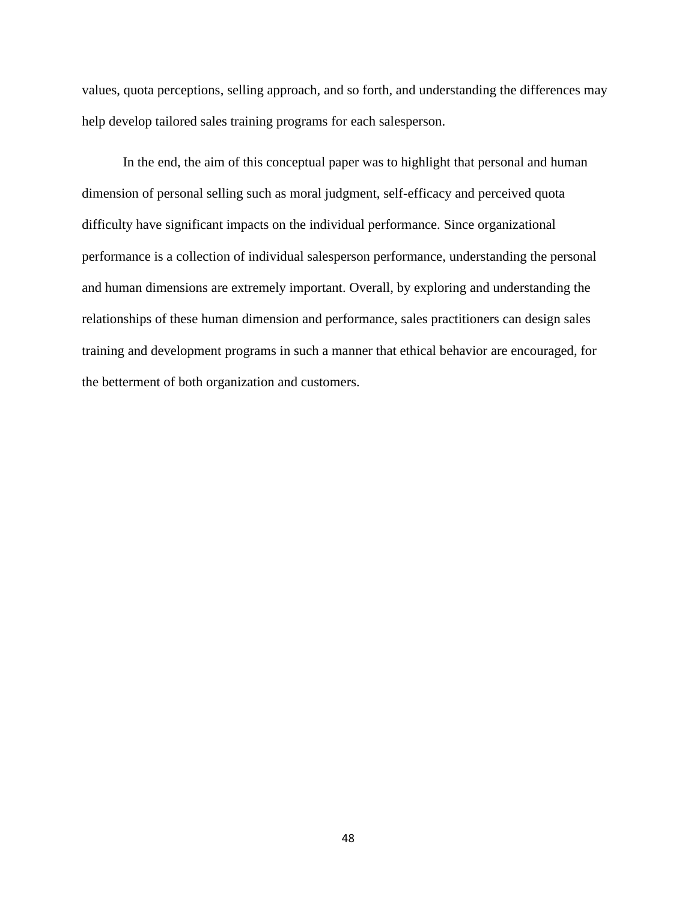values, quota perceptions, selling approach, and so forth, and understanding the differences may help develop tailored sales training programs for each salesperson.

In the end, the aim of this conceptual paper was to highlight that personal and human dimension of personal selling such as moral judgment, self-efficacy and perceived quota difficulty have significant impacts on the individual performance. Since organizational performance is a collection of individual salesperson performance, understanding the personal and human dimensions are extremely important. Overall, by exploring and understanding the relationships of these human dimension and performance, sales practitioners can design sales training and development programs in such a manner that ethical behavior are encouraged, for the betterment of both organization and customers.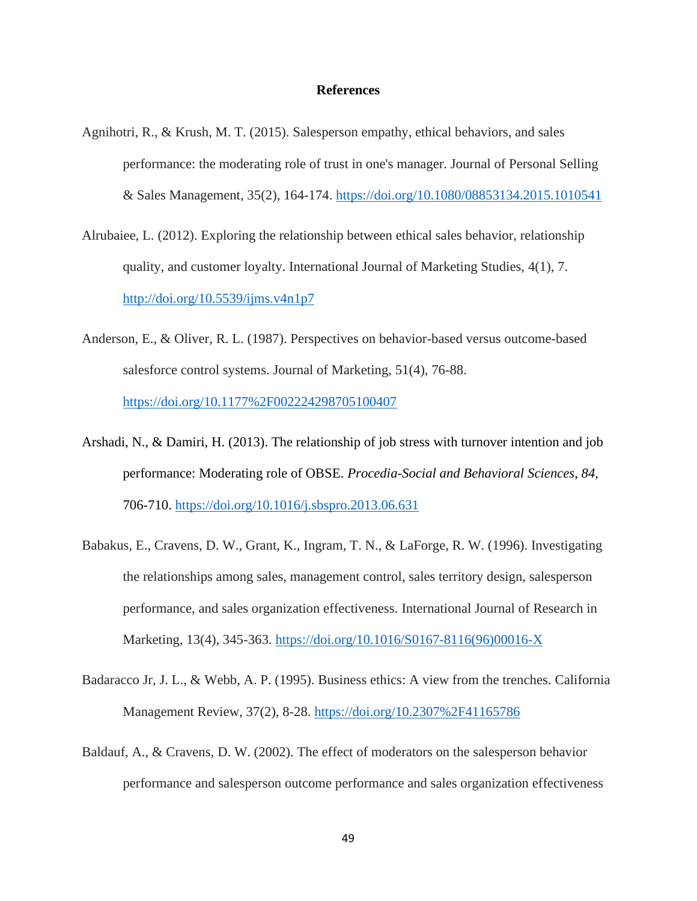### **References**

- Agnihotri, R., & Krush, M. T. (2015). Salesperson empathy, ethical behaviors, and sales performance: the moderating role of trust in one's manager. Journal of Personal Selling & Sales Management, 35(2), 164-174. <https://doi.org/10.1080/08853134.2015.1010541>
- Alrubaiee, L. (2012). Exploring the relationship between ethical sales behavior, relationship quality, and customer loyalty. International Journal of Marketing Studies, 4(1), 7. <http://doi.org/10.5539/ijms.v4n1p7>
- Anderson, E., & Oliver, R. L. (1987). Perspectives on behavior-based versus outcome-based salesforce control systems. Journal of Marketing, 51(4), 76-88. <https://doi.org/10.1177%2F002224298705100407>
- Arshadi, N., & Damiri, H. (2013). The relationship of job stress with turnover intention and job performance: Moderating role of OBSE. *Procedia-Social and Behavioral Sciences*, *84*, 706-710. <https://doi.org/10.1016/j.sbspro.2013.06.631>
- Babakus, E., Cravens, D. W., Grant, K., Ingram, T. N., & LaForge, R. W. (1996). Investigating the relationships among sales, management control, sales territory design, salesperson performance, and sales organization effectiveness. International Journal of Research in Marketing, 13(4), 345-363. [https://doi.org/10.1016/S0167-8116\(96\)00016-X](https://doi.org/10.1016/S0167-8116(96)00016-X)
- Badaracco Jr, J. L., & Webb, A. P. (1995). Business ethics: A view from the trenches. California Management Review, 37(2), 8-28.<https://doi.org/10.2307%2F41165786>
- Baldauf, A., & Cravens, D. W. (2002). The effect of moderators on the salesperson behavior performance and salesperson outcome performance and sales organization effectiveness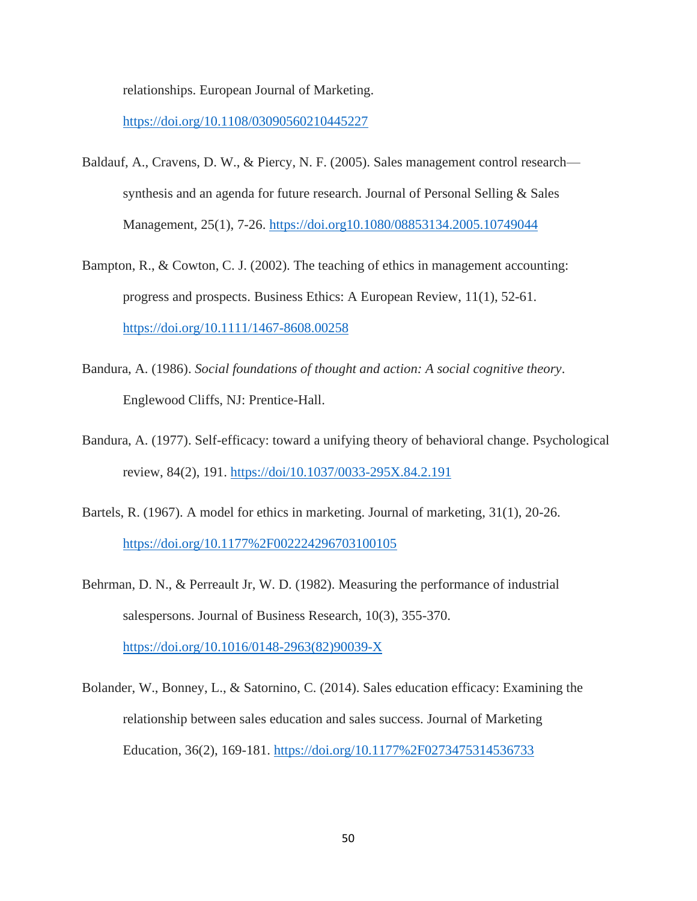relationships. European Journal of Marketing.

<https://doi.org/10.1108/03090560210445227>

- Baldauf, A., Cravens, D. W., & Piercy, N. F. (2005). Sales management control research synthesis and an agenda for future research. Journal of Personal Selling & Sales Management, 25(1), 7-26.<https://doi.org10.1080/08853134.2005.10749044>
- Bampton, R., & Cowton, C. J. (2002). The teaching of ethics in management accounting: progress and prospects. Business Ethics: A European Review, 11(1), 52-61. <https://doi.org/10.1111/1467-8608.00258>
- Bandura, A. (1986). *Social foundations of thought and action: A social cognitive theory*. Englewood Cliffs, NJ: Prentice-Hall.
- Bandura, A. (1977). Self-efficacy: toward a unifying theory of behavioral change. Psychological review, 84(2), 191.<https://doi/10.1037/0033-295X.84.2.191>
- Bartels, R. (1967). A model for ethics in marketing. Journal of marketing, 31(1), 20-26. <https://doi.org/10.1177%2F002224296703100105>
- Behrman, D. N., & Perreault Jr, W. D. (1982). Measuring the performance of industrial salespersons. Journal of Business Research, 10(3), 355-370. [https://doi.org/10.1016/0148-2963\(82\)90039-X](https://doi.org/10.1016/0148-2963(82)90039-X)
- Bolander, W., Bonney, L., & Satornino, C. (2014). Sales education efficacy: Examining the relationship between sales education and sales success. Journal of Marketing Education, 36(2), 169-181.<https://doi.org/10.1177%2F0273475314536733>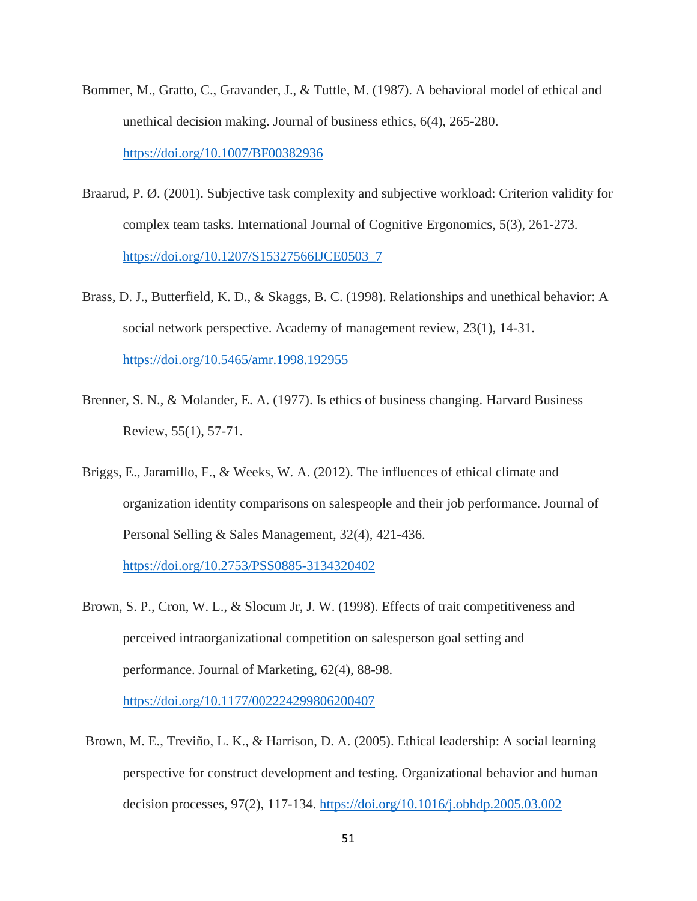- Bommer, M., Gratto, C., Gravander, J., & Tuttle, M. (1987). A behavioral model of ethical and unethical decision making. Journal of business ethics, 6(4), 265-280. <https://doi.org/10.1007/BF00382936>
- Braarud, P. Ø. (2001). Subjective task complexity and subjective workload: Criterion validity for complex team tasks. International Journal of Cognitive Ergonomics, 5(3), 261-273. [https://doi.org/10.1207/S15327566IJCE0503\\_7](https://doi.org/10.1207/S15327566IJCE0503_7)
- Brass, D. J., Butterfield, K. D., & Skaggs, B. C. (1998). Relationships and unethical behavior: A social network perspective. Academy of management review, 23(1), 14-31. <https://doi.org/10.5465/amr.1998.192955>
- Brenner, S. N., & Molander, E. A. (1977). Is ethics of business changing. Harvard Business Review, 55(1), 57-71.
- Briggs, E., Jaramillo, F., & Weeks, W. A. (2012). The influences of ethical climate and organization identity comparisons on salespeople and their job performance. Journal of Personal Selling & Sales Management, 32(4), 421-436.

<https://doi.org/10.2753/PSS0885-3134320402>

Brown, S. P., Cron, W. L., & Slocum Jr, J. W. (1998). Effects of trait competitiveness and perceived intraorganizational competition on salesperson goal setting and performance. Journal of Marketing, 62(4), 88-98.

<https://doi.org/10.1177/002224299806200407>

Brown, M. E., Treviño, L. K., & Harrison, D. A. (2005). Ethical leadership: A social learning perspective for construct development and testing. Organizational behavior and human decision processes, 97(2), 117-134.<https://doi.org/10.1016/j.obhdp.2005.03.002>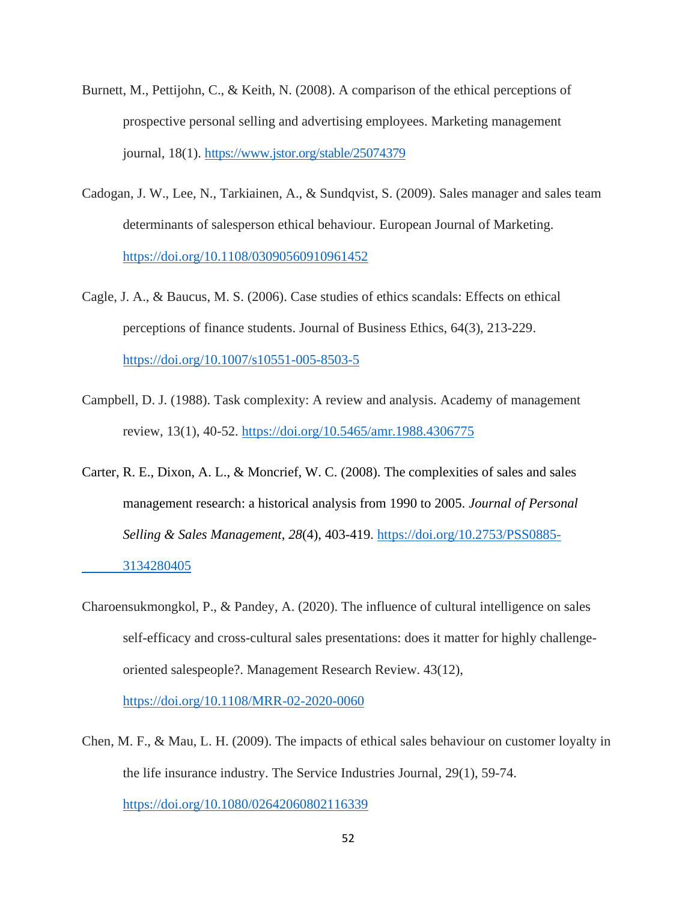- Burnett, M., Pettijohn, C., & Keith, N. (2008). A comparison of the ethical perceptions of prospective personal selling and advertising employees. Marketing management journal, 18(1).<https://www.jstor.org/stable/25074379>
- Cadogan, J. W., Lee, N., Tarkiainen, A., & Sundqvist, S. (2009). Sales manager and sales team determinants of salesperson ethical behaviour. European Journal of Marketing. <https://doi.org/10.1108/03090560910961452>
- Cagle, J. A., & Baucus, M. S. (2006). Case studies of ethics scandals: Effects on ethical perceptions of finance students. Journal of Business Ethics, 64(3), 213-229. <https://doi.org/10.1007/s10551-005-8503-5>
- Campbell, D. J. (1988). Task complexity: A review and analysis. Academy of management review, 13(1), 40-52.<https://doi.org/10.5465/amr.1988.4306775>
- Carter, R. E., Dixon, A. L., & Moncrief, W. C. (2008). The complexities of sales and sales management research: a historical analysis from 1990 to 2005. *Journal of Personal Selling & Sales Management*, *28*(4), 403-419. [https://doi.org/10.2753/PSS0885-](https://doi.org/10.2753/PSS0885-%093134280405) [3134280405](https://doi.org/10.2753/PSS0885-%093134280405)
- Charoensukmongkol, P., & Pandey, A. (2020). The influence of cultural intelligence on sales self-efficacy and cross-cultural sales presentations: does it matter for highly challengeoriented salespeople?. Management Research Review. 43(12),

<https://doi.org/10.1108/MRR-02-2020-0060>

Chen, M. F., & Mau, L. H. (2009). The impacts of ethical sales behaviour on customer loyalty in the life insurance industry. The Service Industries Journal, 29(1), 59-74. <https://doi.org/10.1080/02642060802116339>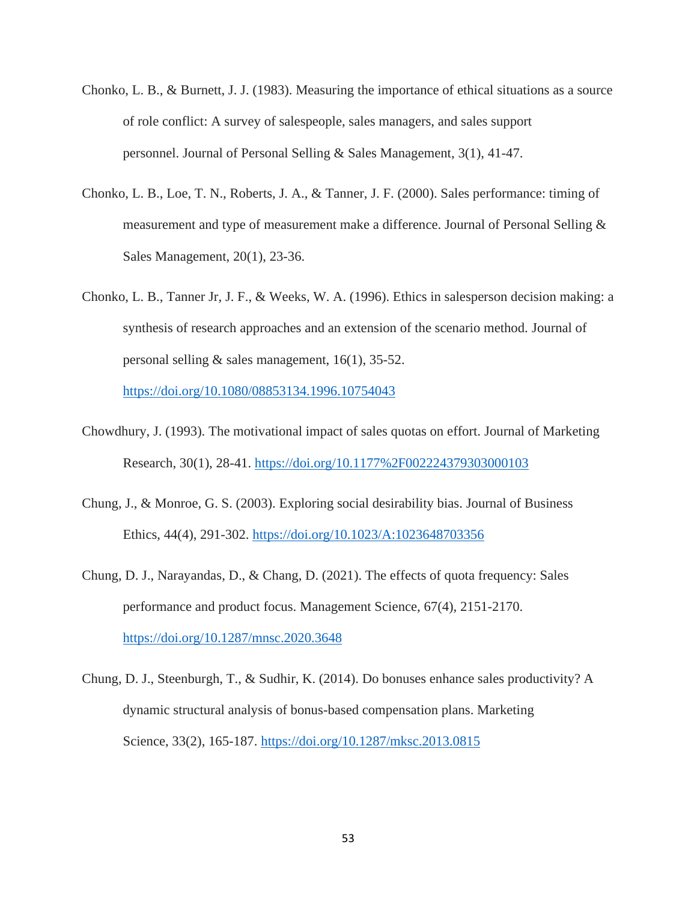- Chonko, L. B., & Burnett, J. J. (1983). Measuring the importance of ethical situations as a source of role conflict: A survey of salespeople, sales managers, and sales support personnel. Journal of Personal Selling & Sales Management, 3(1), 41-47.
- Chonko, L. B., Loe, T. N., Roberts, J. A., & Tanner, J. F. (2000). Sales performance: timing of measurement and type of measurement make a difference. Journal of Personal Selling & Sales Management, 20(1), 23-36.
- Chonko, L. B., Tanner Jr, J. F., & Weeks, W. A. (1996). Ethics in salesperson decision making: a synthesis of research approaches and an extension of the scenario method. Journal of personal selling & sales management, 16(1), 35-52. <https://doi.org/10.1080/08853134.1996.10754043>

- Chowdhury, J. (1993). The motivational impact of sales quotas on effort. Journal of Marketing Research, 30(1), 28-41.<https://doi.org/10.1177%2F002224379303000103>
- Chung, J., & Monroe, G. S. (2003). Exploring social desirability bias. Journal of Business Ethics, 44(4), 291-302.<https://doi.org/10.1023/A:1023648703356>
- Chung, D. J., Narayandas, D., & Chang, D. (2021). The effects of quota frequency: Sales performance and product focus. Management Science, 67(4), 2151-2170. <https://doi.org/10.1287/mnsc.2020.3648>
- Chung, D. J., Steenburgh, T., & Sudhir, K. (2014). Do bonuses enhance sales productivity? A dynamic structural analysis of bonus-based compensation plans. Marketing Science, 33(2), 165-187.<https://doi.org/10.1287/mksc.2013.0815>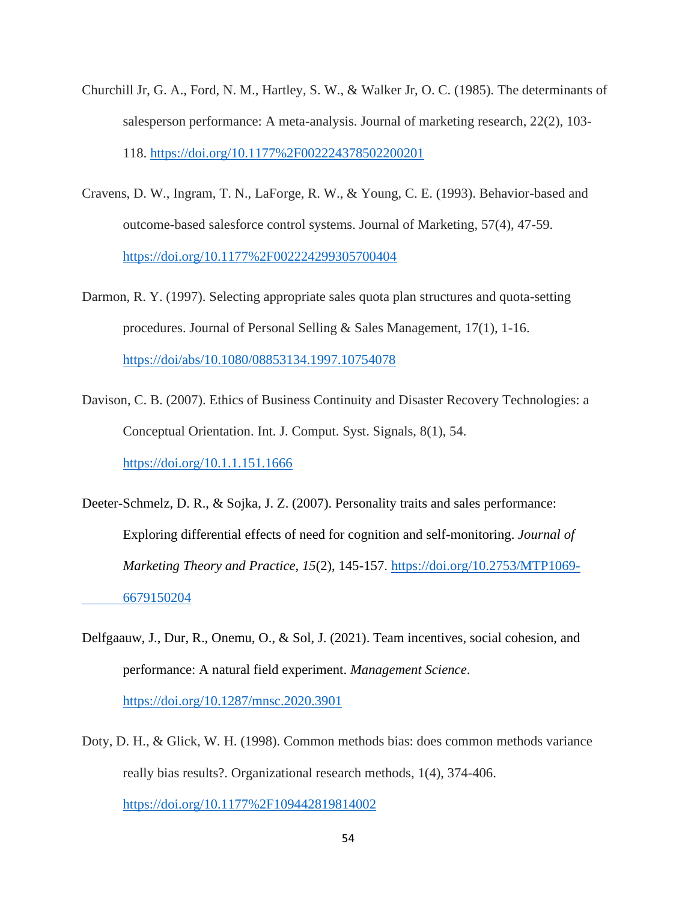- Churchill Jr, G. A., Ford, N. M., Hartley, S. W., & Walker Jr, O. C. (1985). The determinants of salesperson performance: A meta-analysis. Journal of marketing research, 22(2), 103- 118.<https://doi.org/10.1177%2F002224378502200201>
- Cravens, D. W., Ingram, T. N., LaForge, R. W., & Young, C. E. (1993). Behavior-based and outcome-based salesforce control systems. Journal of Marketing, 57(4), 47-59. <https://doi.org/10.1177%2F002224299305700404>
- Darmon, R. Y. (1997). Selecting appropriate sales quota plan structures and quota-setting procedures. Journal of Personal Selling & Sales Management, 17(1), 1-16. <https://doi/abs/10.1080/08853134.1997.10754078>
- Davison, C. B. (2007). Ethics of Business Continuity and Disaster Recovery Technologies: a Conceptual Orientation. Int. J. Comput. Syst. Signals, 8(1), 54. <https://doi.org/10.1.1.151.1666>
- Deeter-Schmelz, D. R., & Sojka, J. Z. (2007). Personality traits and sales performance: Exploring differential effects of need for cognition and self-monitoring. *Journal of Marketing Theory and Practice*, *15*(2), 145-157. [https://doi.org/10.2753/MTP1069-](https://doi.org/10.2753/MTP1069-%096679150204) [6679150204](https://doi.org/10.2753/MTP1069-%096679150204)
- Delfgaauw, J., Dur, R., Onemu, O., & Sol, J. (2021). Team incentives, social cohesion, and performance: A natural field experiment. *Management Science*. <https://doi.org/10.1287/mnsc.2020.3901>
- Doty, D. H., & Glick, W. H. (1998). Common methods bias: does common methods variance really bias results?. Organizational research methods, 1(4), 374-406. <https://doi.org/10.1177%2F109442819814002>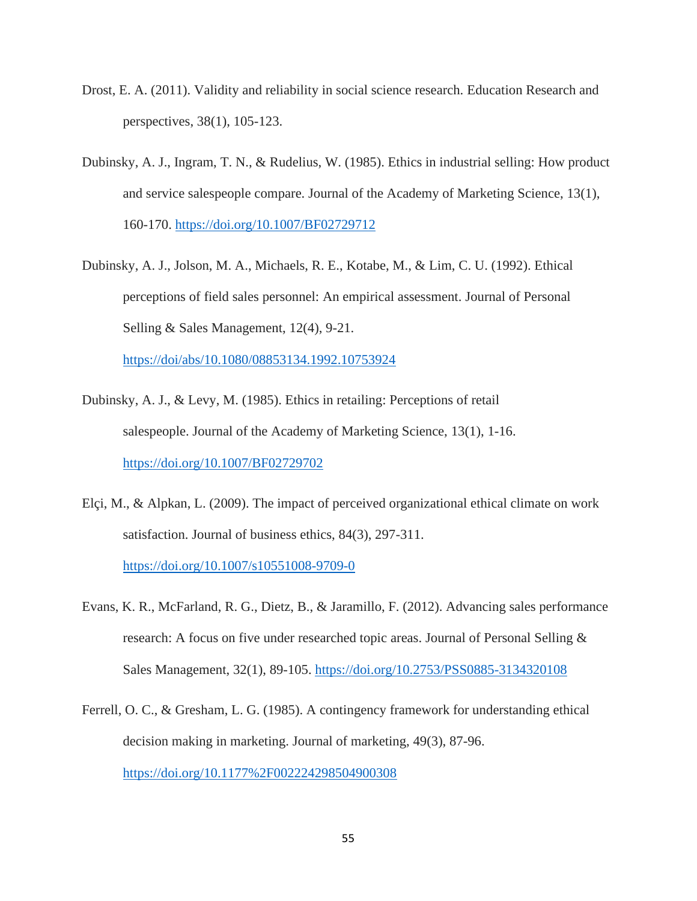- Drost, E. A. (2011). Validity and reliability in social science research. Education Research and perspectives, 38(1), 105-123.
- Dubinsky, A. J., Ingram, T. N., & Rudelius, W. (1985). Ethics in industrial selling: How product and service salespeople compare. Journal of the Academy of Marketing Science, 13(1), 160-170.<https://doi.org/10.1007/BF02729712>
- Dubinsky, A. J., Jolson, M. A., Michaels, R. E., Kotabe, M., & Lim, C. U. (1992). Ethical perceptions of field sales personnel: An empirical assessment. Journal of Personal Selling & Sales Management, 12(4), 9-21.

<https://doi/abs/10.1080/08853134.1992.10753924>

- Dubinsky, A. J., & Levy, M. (1985). Ethics in retailing: Perceptions of retail salespeople. Journal of the Academy of Marketing Science, 13(1), 1-16. <https://doi.org/10.1007/BF02729702>
- Elçi, M., & Alpkan, L. (2009). The impact of perceived organizational ethical climate on work satisfaction. Journal of business ethics, 84(3), 297-311. <https://doi.org/10.1007/s10551008-9709-0>
- Evans, K. R., McFarland, R. G., Dietz, B., & Jaramillo, F. (2012). Advancing sales performance research: A focus on five under researched topic areas. Journal of Personal Selling & Sales Management, 32(1), 89-105.<https://doi.org/10.2753/PSS0885-3134320108>
- Ferrell, O. C., & Gresham, L. G. (1985). A contingency framework for understanding ethical decision making in marketing. Journal of marketing, 49(3), 87-96. <https://doi.org/10.1177%2F002224298504900308>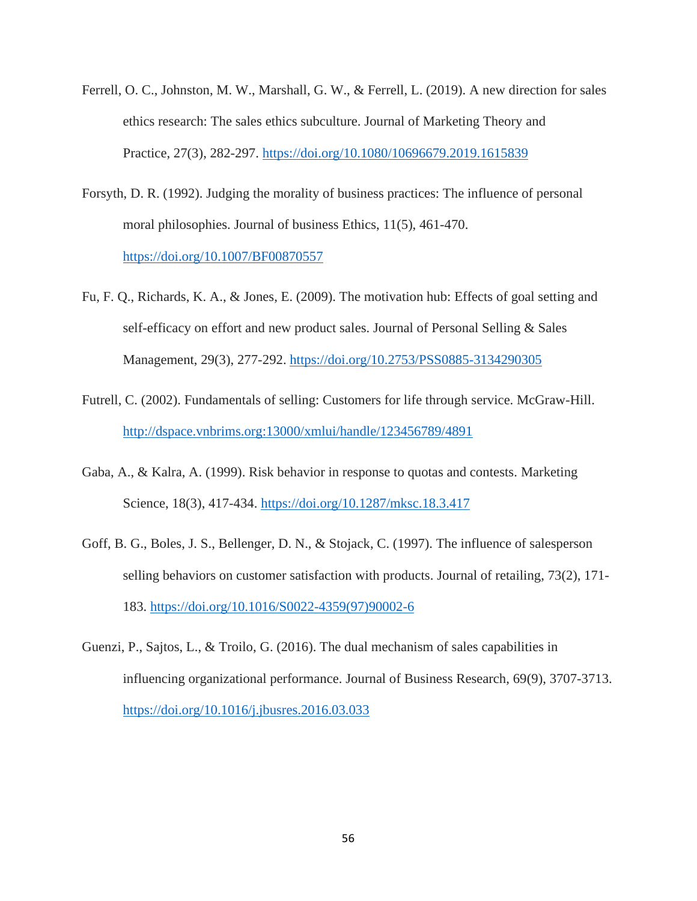- Ferrell, O. C., Johnston, M. W., Marshall, G. W., & Ferrell, L. (2019). A new direction for sales ethics research: The sales ethics subculture. Journal of Marketing Theory and Practice, 27(3), 282-297.<https://doi.org/10.1080/10696679.2019.1615839>
- Forsyth, D. R. (1992). Judging the morality of business practices: The influence of personal moral philosophies. Journal of business Ethics, 11(5), 461-470. <https://doi.org/10.1007/BF00870557>
- Fu, F. Q., Richards, K. A., & Jones, E. (2009). The motivation hub: Effects of goal setting and self-efficacy on effort and new product sales. Journal of Personal Selling & Sales Management, 29(3), 277-292.<https://doi.org/10.2753/PSS0885-3134290305>
- Futrell, C. (2002). Fundamentals of selling: Customers for life through service. McGraw-Hill. <http://dspace.vnbrims.org:13000/xmlui/handle/123456789/4891>
- Gaba, A., & Kalra, A. (1999). Risk behavior in response to quotas and contests. Marketing Science, 18(3), 417-434.<https://doi.org/10.1287/mksc.18.3.417>
- Goff, B. G., Boles, J. S., Bellenger, D. N., & Stojack, C. (1997). The influence of salesperson selling behaviors on customer satisfaction with products. Journal of retailing, 73(2), 171- 183. [https://doi.org/10.1016/S0022-4359\(97\)90002-6](https://doi.org/10.1016/S0022-4359(97)90002-6)
- Guenzi, P., Sajtos, L., & Troilo, G. (2016). The dual mechanism of sales capabilities in influencing organizational performance. Journal of Business Research, 69(9), 3707-3713. <https://doi.org/10.1016/j.jbusres.2016.03.033>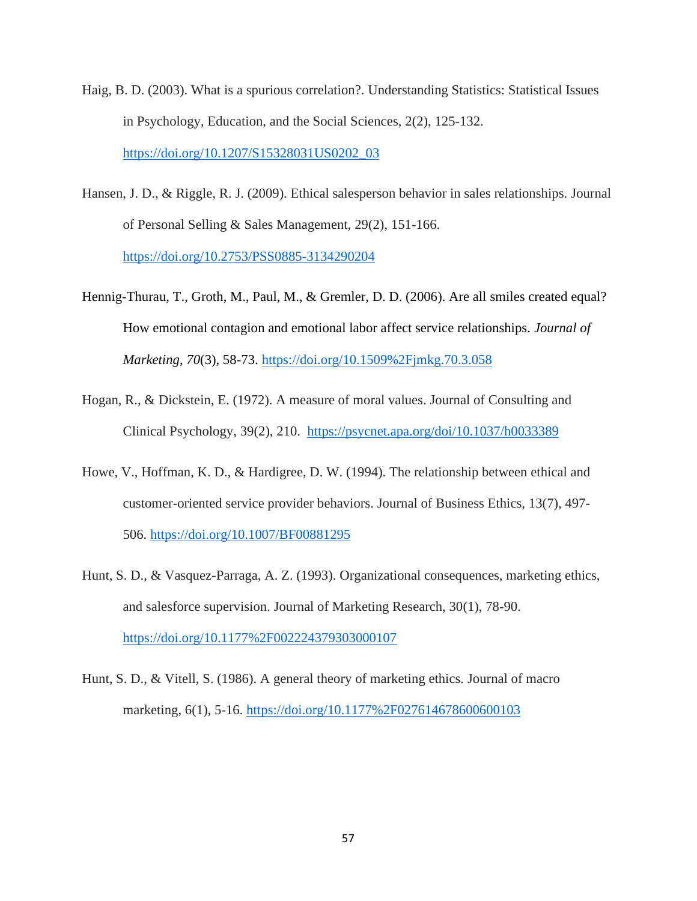- Haig, B. D. (2003). What is a spurious correlation?. Understanding Statistics: Statistical Issues in Psychology, Education, and the Social Sciences, 2(2), 125-132. [https://doi.org/10.1207/S15328031US0202\\_03](https://doi.org/10.1207/S15328031US0202_03)
- Hansen, J. D., & Riggle, R. J. (2009). Ethical salesperson behavior in sales relationships. Journal of Personal Selling & Sales Management, 29(2), 151-166. <https://doi.org/10.2753/PSS0885-3134290204>
- Hennig-Thurau, T., Groth, M., Paul, M., & Gremler, D. D. (2006). Are all smiles created equal? How emotional contagion and emotional labor affect service relationships. *Journal of Marketing*, *70*(3), 58-73. <https://doi.org/10.1509%2Fjmkg.70.3.058>
- Hogan, R., & Dickstein, E. (1972). A measure of moral values. Journal of Consulting and Clinical Psychology, 39(2), 210. <https://psycnet.apa.org/doi/10.1037/h0033389>
- Howe, V., Hoffman, K. D., & Hardigree, D. W. (1994). The relationship between ethical and customer-oriented service provider behaviors. Journal of Business Ethics, 13(7), 497- 506.<https://doi.org/10.1007/BF00881295>
- Hunt, S. D., & Vasquez-Parraga, A. Z. (1993). Organizational consequences, marketing ethics, and salesforce supervision. Journal of Marketing Research, 30(1), 78-90. <https://doi.org/10.1177%2F002224379303000107>
- Hunt, S. D., & Vitell, S. (1986). A general theory of marketing ethics. Journal of macro marketing, 6(1), 5-16.<https://doi.org/10.1177%2F027614678600600103>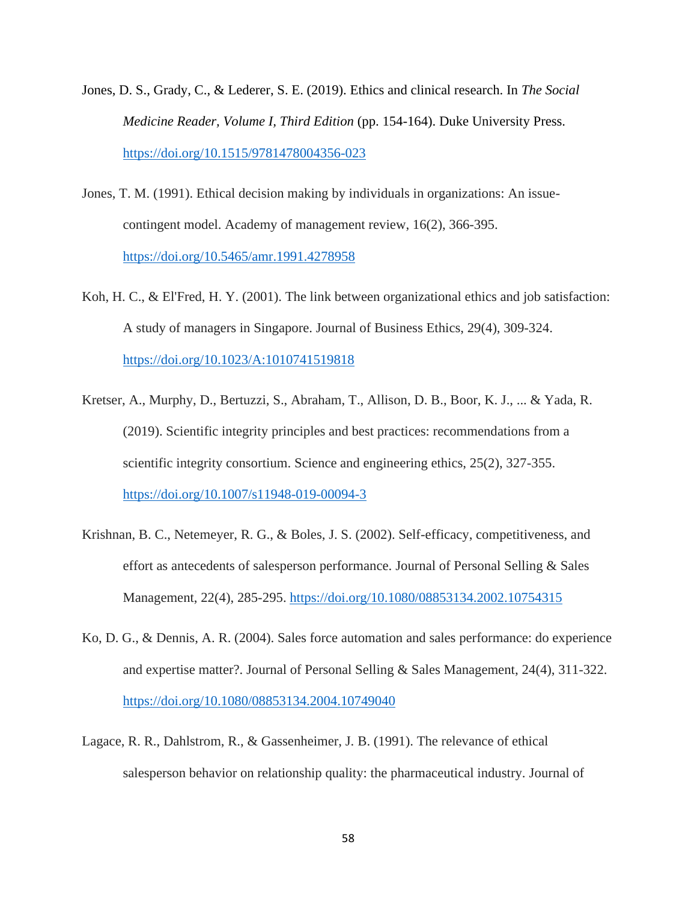- Jones, D. S., Grady, C., & Lederer, S. E. (2019). Ethics and clinical research. In *The Social Medicine Reader, Volume I, Third Edition* (pp. 154-164). Duke University Press. <https://doi.org/10.1515/9781478004356-023>
- Jones, T. M. (1991). Ethical decision making by individuals in organizations: An issuecontingent model. Academy of management review, 16(2), 366-395. <https://doi.org/10.5465/amr.1991.4278958>
- Koh, H. C., & El'Fred, H. Y. (2001). The link between organizational ethics and job satisfaction: A study of managers in Singapore. Journal of Business Ethics, 29(4), 309-324. <https://doi.org/10.1023/A:1010741519818>
- Kretser, A., Murphy, D., Bertuzzi, S., Abraham, T., Allison, D. B., Boor, K. J., ... & Yada, R. (2019). Scientific integrity principles and best practices: recommendations from a scientific integrity consortium. Science and engineering ethics, 25(2), 327-355. <https://doi.org/10.1007/s11948-019-00094-3>
- Krishnan, B. C., Netemeyer, R. G., & Boles, J. S. (2002). Self-efficacy, competitiveness, and effort as antecedents of salesperson performance. Journal of Personal Selling & Sales Management, 22(4), 285-295.<https://doi.org/10.1080/08853134.2002.10754315>
- Ko, D. G., & Dennis, A. R. (2004). Sales force automation and sales performance: do experience and expertise matter?. Journal of Personal Selling & Sales Management, 24(4), 311-322. <https://doi.org/10.1080/08853134.2004.10749040>
- Lagace, R. R., Dahlstrom, R., & Gassenheimer, J. B. (1991). The relevance of ethical salesperson behavior on relationship quality: the pharmaceutical industry. Journal of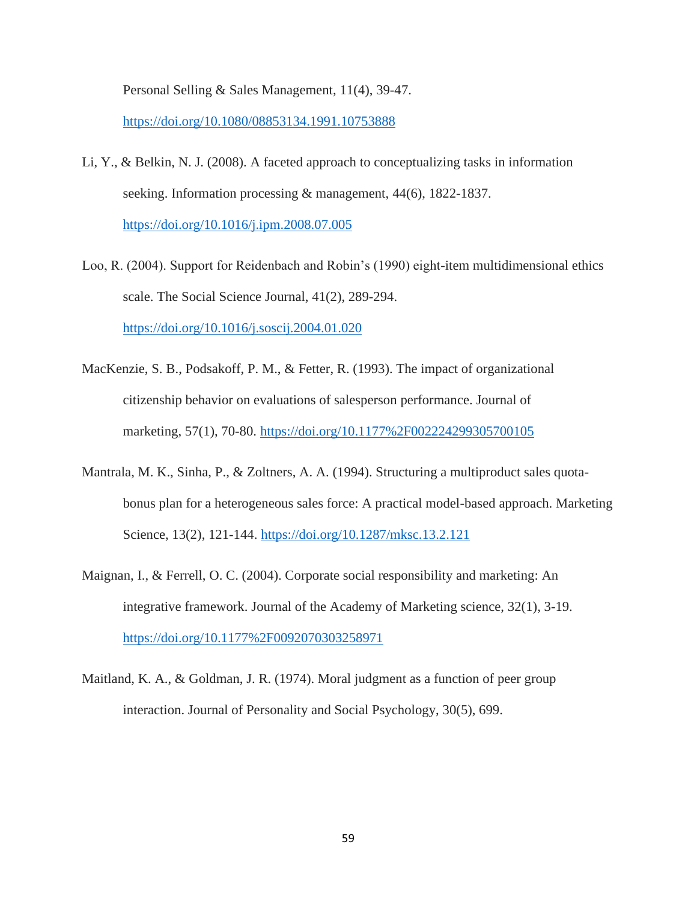Personal Selling & Sales Management, 11(4), 39-47.

<https://doi.org/10.1080/08853134.1991.10753888>

- Li, Y., & Belkin, N. J. (2008). A faceted approach to conceptualizing tasks in information seeking. Information processing & management, 44(6), 1822-1837. <https://doi.org/10.1016/j.ipm.2008.07.005>
- Loo, R. (2004). Support for Reidenbach and Robin's (1990) eight-item multidimensional ethics scale. The Social Science Journal, 41(2), 289-294. <https://doi.org/10.1016/j.soscij.2004.01.020>
- MacKenzie, S. B., Podsakoff, P. M., & Fetter, R. (1993). The impact of organizational citizenship behavior on evaluations of salesperson performance. Journal of marketing, 57(1), 70-80.<https://doi.org/10.1177%2F002224299305700105>
- Mantrala, M. K., Sinha, P., & Zoltners, A. A. (1994). Structuring a multiproduct sales quotabonus plan for a heterogeneous sales force: A practical model-based approach. Marketing Science, 13(2), 121-144.<https://doi.org/10.1287/mksc.13.2.121>
- Maignan, I., & Ferrell, O. C. (2004). Corporate social responsibility and marketing: An integrative framework. Journal of the Academy of Marketing science, 32(1), 3-19. <https://doi.org/10.1177%2F0092070303258971>
- Maitland, K. A., & Goldman, J. R. (1974). Moral judgment as a function of peer group interaction. Journal of Personality and Social Psychology, 30(5), 699.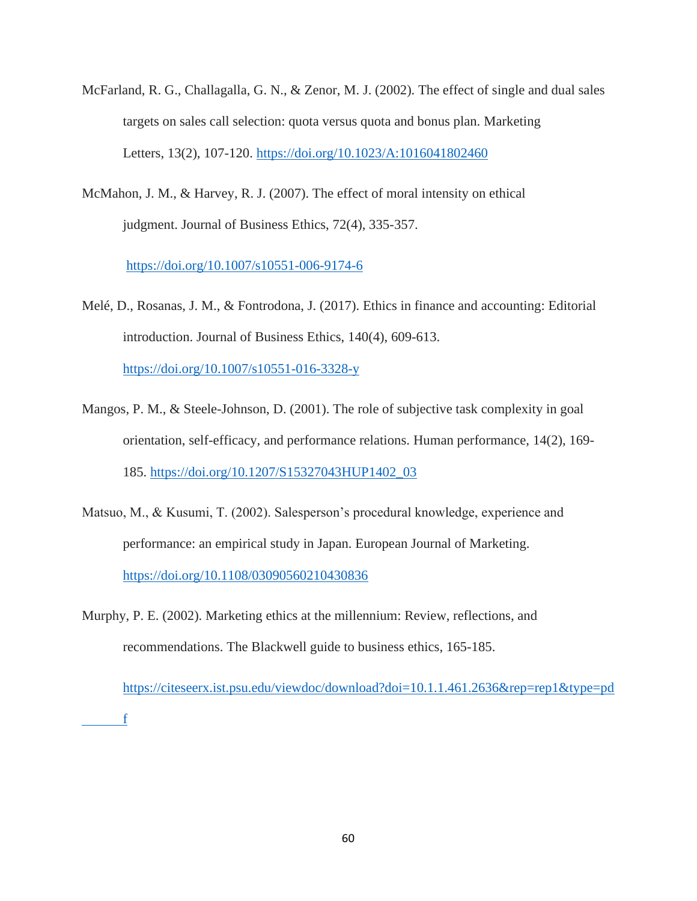- McFarland, R. G., Challagalla, G. N., & Zenor, M. J. (2002). The effect of single and dual sales targets on sales call selection: quota versus quota and bonus plan. Marketing Letters, 13(2), 107-120.<https://doi.org/10.1023/A:1016041802460>
- McMahon, J. M., & Harvey, R. J. (2007). The effect of moral intensity on ethical judgment. Journal of Business Ethics, 72(4), 335-357.

<https://doi.org/10.1007/s10551-006-9174-6>

- Melé, D., Rosanas, J. M., & Fontrodona, J. (2017). Ethics in finance and accounting: Editorial introduction. Journal of Business Ethics, 140(4), 609-613. <https://doi.org/10.1007/s10551-016-3328-y>
- Mangos, P. M., & Steele-Johnson, D. (2001). The role of subjective task complexity in goal orientation, self-efficacy, and performance relations. Human performance, 14(2), 169- 185. [https://doi.org/10.1207/S15327043HUP1402\\_03](https://doi.org/10.1207/S15327043HUP1402_03)
- Matsuo, M., & Kusumi, T. (2002). Salesperson's procedural knowledge, experience and performance: an empirical study in Japan. European Journal of Marketing. <https://doi.org/10.1108/03090560210430836>
- Murphy, P. E. (2002). Marketing ethics at the millennium: Review, reflections, and recommendations. The Blackwell guide to business ethics, 165-185.

[https://citeseerx.ist.psu.edu/viewdoc/download?doi=10.1.1.461.2636&rep=rep1&type=pd](https://citeseerx.ist.psu.edu/viewdoc/download?doi=10.1.1.461.2636&rep=rep1&type=pd%09f) [f](https://citeseerx.ist.psu.edu/viewdoc/download?doi=10.1.1.461.2636&rep=rep1&type=pd%09f)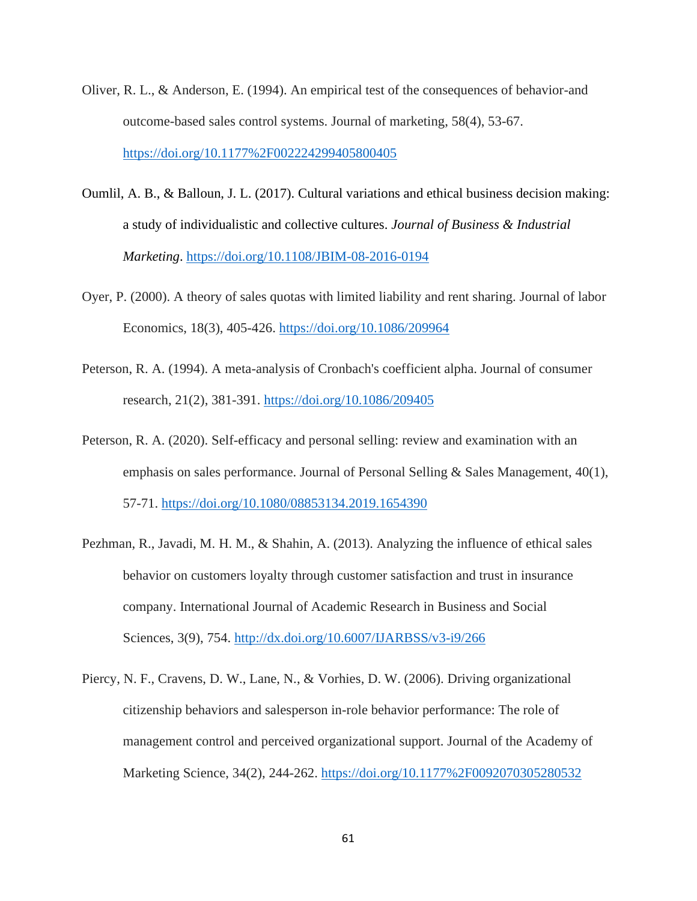- Oliver, R. L., & Anderson, E. (1994). An empirical test of the consequences of behavior-and outcome-based sales control systems. Journal of marketing, 58(4), 53-67. <https://doi.org/10.1177%2F002224299405800405>
- Oumlil, A. B., & Balloun, J. L. (2017). Cultural variations and ethical business decision making: a study of individualistic and collective cultures. *Journal of Business & Industrial Marketing*. <https://doi.org/10.1108/JBIM-08-2016-0194>
- Oyer, P. (2000). A theory of sales quotas with limited liability and rent sharing. Journal of labor Economics, 18(3), 405-426.<https://doi.org/10.1086/209964>
- Peterson, R. A. (1994). A meta-analysis of Cronbach's coefficient alpha. Journal of consumer research, 21(2), 381-391.<https://doi.org/10.1086/209405>
- Peterson, R. A. (2020). Self-efficacy and personal selling: review and examination with an emphasis on sales performance. Journal of Personal Selling & Sales Management, 40(1), 57-71.<https://doi.org/10.1080/08853134.2019.1654390>
- Pezhman, R., Javadi, M. H. M., & Shahin, A. (2013). Analyzing the influence of ethical sales behavior on customers loyalty through customer satisfaction and trust in insurance company. International Journal of Academic Research in Business and Social Sciences, 3(9), 754.<http://dx.doi.org/10.6007/IJARBSS/v3-i9/266>
- Piercy, N. F., Cravens, D. W., Lane, N., & Vorhies, D. W. (2006). Driving organizational citizenship behaviors and salesperson in-role behavior performance: The role of management control and perceived organizational support. Journal of the Academy of Marketing Science, 34(2), 244-262.<https://doi.org/10.1177%2F0092070305280532>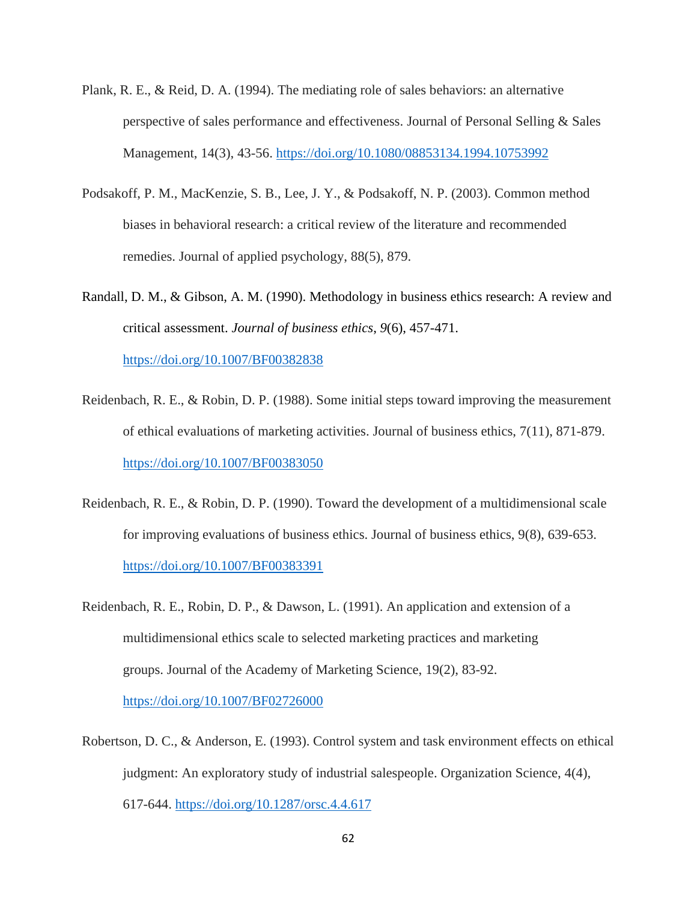- Plank, R. E., & Reid, D. A. (1994). The mediating role of sales behaviors: an alternative perspective of sales performance and effectiveness. Journal of Personal Selling & Sales Management, 14(3), 43-56.<https://doi.org/10.1080/08853134.1994.10753992>
- Podsakoff, P. M., MacKenzie, S. B., Lee, J. Y., & Podsakoff, N. P. (2003). Common method biases in behavioral research: a critical review of the literature and recommended remedies. Journal of applied psychology, 88(5), 879.
- Randall, D. M., & Gibson, A. M. (1990). Methodology in business ethics research: A review and critical assessment. *Journal of business ethics*, *9*(6), 457-471. <https://doi.org/10.1007/BF00382838>
- Reidenbach, R. E., & Robin, D. P. (1988). Some initial steps toward improving the measurement of ethical evaluations of marketing activities. Journal of business ethics, 7(11), 871-879. <https://doi.org/10.1007/BF00383050>
- Reidenbach, R. E., & Robin, D. P. (1990). Toward the development of a multidimensional scale for improving evaluations of business ethics. Journal of business ethics, 9(8), 639-653. <https://doi.org/10.1007/BF00383391>
- Reidenbach, R. E., Robin, D. P., & Dawson, L. (1991). An application and extension of a multidimensional ethics scale to selected marketing practices and marketing groups. Journal of the Academy of Marketing Science, 19(2), 83-92. <https://doi.org/10.1007/BF02726000>
- Robertson, D. C., & Anderson, E. (1993). Control system and task environment effects on ethical judgment: An exploratory study of industrial salespeople. Organization Science, 4(4), 617-644.<https://doi.org/10.1287/orsc.4.4.617>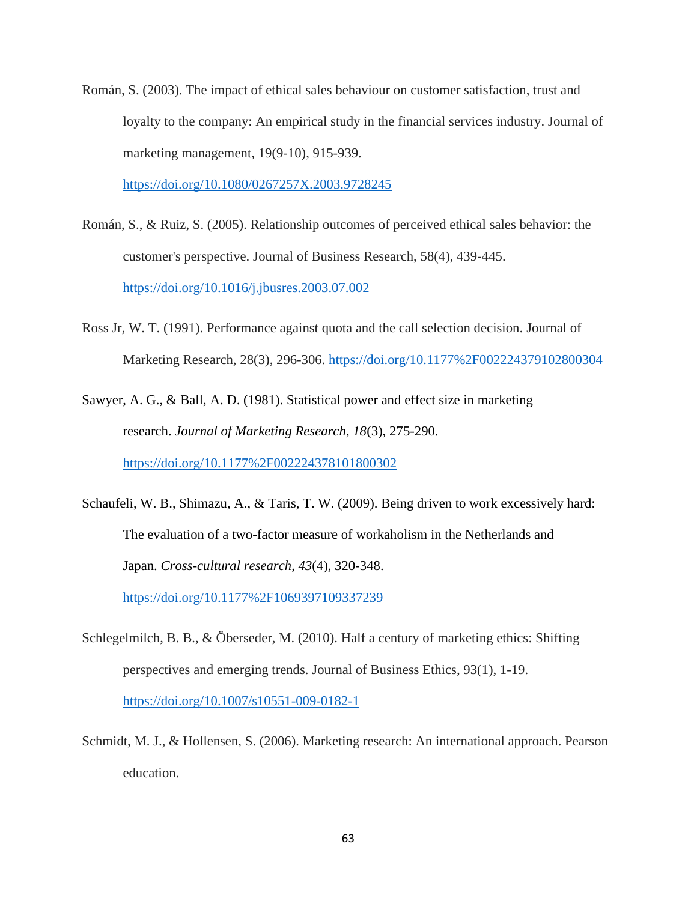Román, S. (2003). The impact of ethical sales behaviour on customer satisfaction, trust and loyalty to the company: An empirical study in the financial services industry. Journal of marketing management, 19(9-10), 915-939.

<https://doi.org/10.1080/0267257X.2003.9728245>

- Román, S., & Ruiz, S. (2005). Relationship outcomes of perceived ethical sales behavior: the customer's perspective. Journal of Business Research, 58(4), 439-445. <https://doi.org/10.1016/j.jbusres.2003.07.002>
- Ross Jr, W. T. (1991). Performance against quota and the call selection decision. Journal of Marketing Research, 28(3), 296-306.<https://doi.org/10.1177%2F002224379102800304>
- Sawyer, A. G., & Ball, A. D. (1981). Statistical power and effect size in marketing research. *Journal of Marketing Research*, *18*(3), 275-290. <https://doi.org/10.1177%2F002224378101800302>
- Schaufeli, W. B., Shimazu, A., & Taris, T. W. (2009). Being driven to work excessively hard: The evaluation of a two-factor measure of workaholism in the Netherlands and Japan. *Cross-cultural research*, *43*(4), 320-348. <https://doi.org/10.1177%2F1069397109337239>
- Schlegelmilch, B. B., & Öberseder, M. (2010). Half a century of marketing ethics: Shifting perspectives and emerging trends. Journal of Business Ethics, 93(1), 1-19. <https://doi.org/10.1007/s10551-009-0182-1>
- Schmidt, M. J., & Hollensen, S. (2006). Marketing research: An international approach. Pearson education.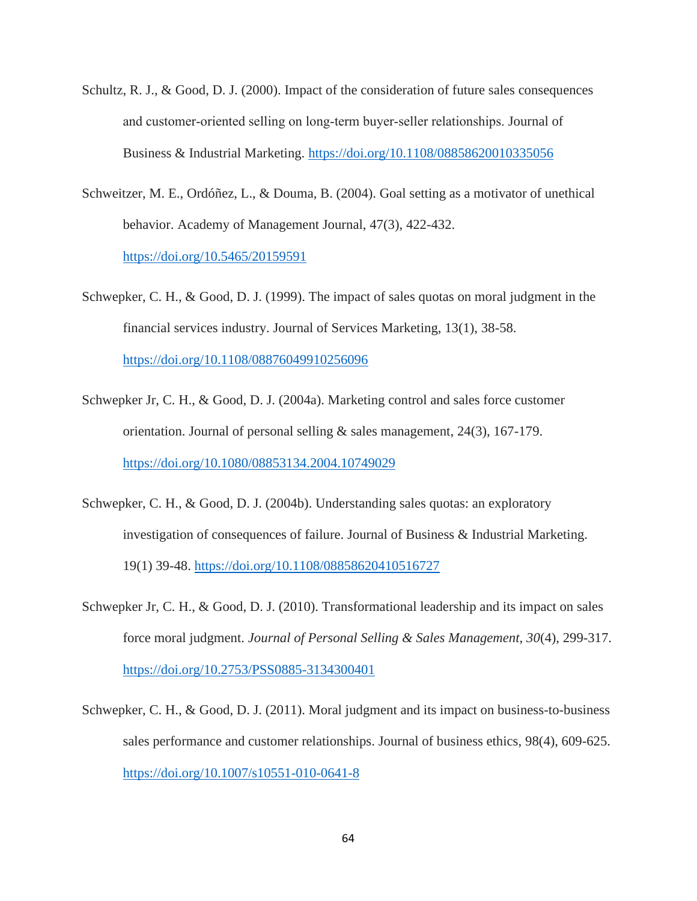- Schultz, R. J., & Good, D. J. (2000). Impact of the consideration of future sales consequences and customer‐oriented selling on long‐term buyer‐seller relationships. Journal of Business & Industrial Marketing.<https://doi.org/10.1108/08858620010335056>
- Schweitzer, M. E., Ordóñez, L., & Douma, B. (2004). Goal setting as a motivator of unethical behavior. Academy of Management Journal, 47(3), 422-432. <https://doi.org/10.5465/20159591>
- Schwepker, C. H., & Good, D. J. (1999). The impact of sales quotas on moral judgment in the financial services industry. Journal of Services Marketing, 13(1), 38-58. <https://doi.org/10.1108/08876049910256096>
- Schwepker Jr, C. H., & Good, D. J. (2004a). Marketing control and sales force customer orientation. Journal of personal selling & sales management, 24(3), 167-179. <https://doi.org/10.1080/08853134.2004.10749029>
- Schwepker, C. H., & Good, D. J. (2004b). Understanding sales quotas: an exploratory investigation of consequences of failure. Journal of Business & Industrial Marketing. 19(1) 39-48.<https://doi.org/10.1108/08858620410516727>
- Schwepker Jr, C. H., & Good, D. J. (2010). Transformational leadership and its impact on sales force moral judgment. *Journal of Personal Selling & Sales Management*, *30*(4), 299-317. <https://doi.org/10.2753/PSS0885-3134300401>
- Schwepker, C. H., & Good, D. J. (2011). Moral judgment and its impact on business-to-business sales performance and customer relationships. Journal of business ethics, 98(4), 609-625. <https://doi.org/10.1007/s10551-010-0641-8>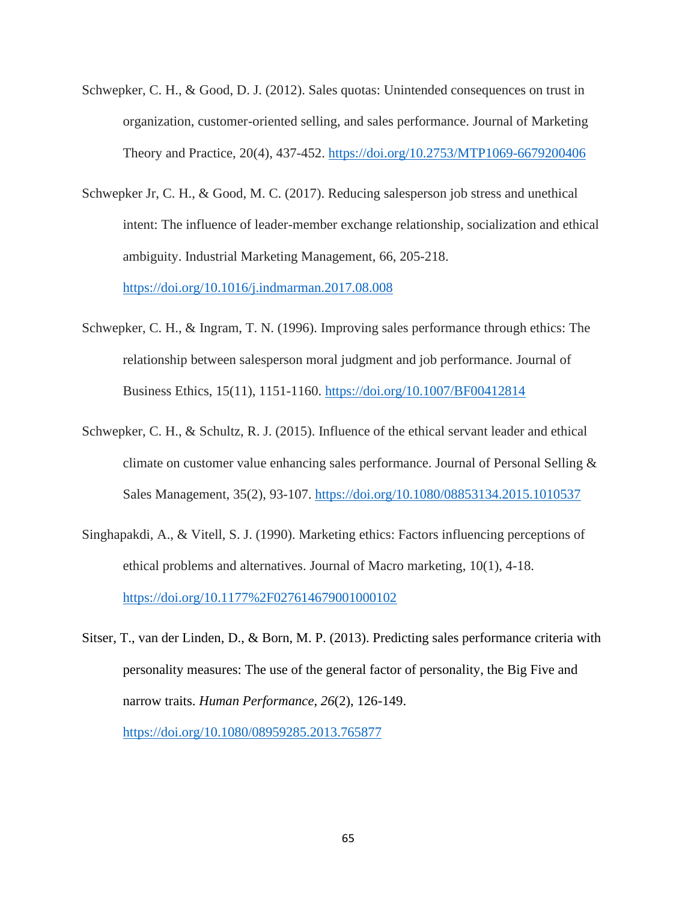- Schwepker, C. H., & Good, D. J. (2012). Sales quotas: Unintended consequences on trust in organization, customer-oriented selling, and sales performance. Journal of Marketing Theory and Practice, 20(4), 437-452.<https://doi.org/10.2753/MTP1069-6679200406>
- Schwepker Jr, C. H., & Good, M. C. (2017). Reducing salesperson job stress and unethical intent: The influence of leader-member exchange relationship, socialization and ethical ambiguity. Industrial Marketing Management, 66, 205-218. <https://doi.org/10.1016/j.indmarman.2017.08.008>
- Schwepker, C. H., & Ingram, T. N. (1996). Improving sales performance through ethics: The relationship between salesperson moral judgment and job performance. Journal of Business Ethics, 15(11), 1151-1160.<https://doi.org/10.1007/BF00412814>
- Schwepker, C. H., & Schultz, R. J. (2015). Influence of the ethical servant leader and ethical climate on customer value enhancing sales performance. Journal of Personal Selling & Sales Management, 35(2), 93-107.<https://doi.org/10.1080/08853134.2015.1010537>
- Singhapakdi, A., & Vitell, S. J. (1990). Marketing ethics: Factors influencing perceptions of ethical problems and alternatives. Journal of Macro marketing, 10(1), 4-18. <https://doi.org/10.1177%2F027614679001000102>
- Sitser, T., van der Linden, D., & Born, M. P. (2013). Predicting sales performance criteria with personality measures: The use of the general factor of personality, the Big Five and narrow traits. *Human Performance*, *26*(2), 126-149. <https://doi.org/10.1080/08959285.2013.765877>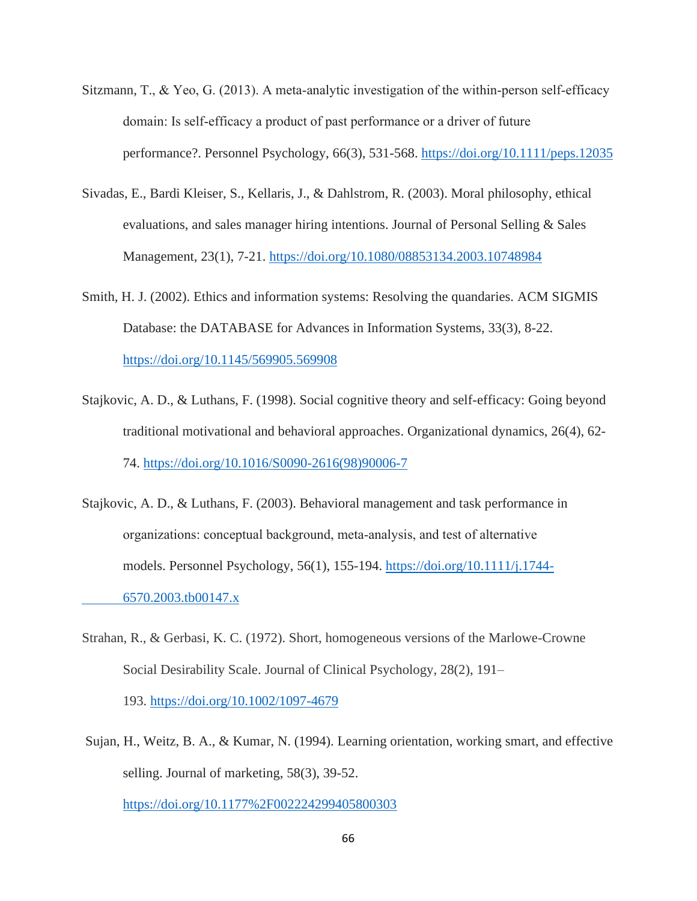- Sitzmann, T., & Yeo, G. (2013). A meta-analytic investigation of the within-person self-efficacy domain: Is self‐efficacy a product of past performance or a driver of future performance?. Personnel Psychology, 66(3), 531-568.<https://doi.org/10.1111/peps.12035>
- Sivadas, E., Bardi Kleiser, S., Kellaris, J., & Dahlstrom, R. (2003). Moral philosophy, ethical evaluations, and sales manager hiring intentions. Journal of Personal Selling & Sales Management, 23(1), 7-21.<https://doi.org/10.1080/08853134.2003.10748984>
- Smith, H. J. (2002). Ethics and information systems: Resolving the quandaries. ACM SIGMIS Database: the DATABASE for Advances in Information Systems, 33(3), 8-22. <https://doi.org/10.1145/569905.569908>
- Stajkovic, A. D., & Luthans, F. (1998). Social cognitive theory and self-efficacy: Going beyond traditional motivational and behavioral approaches. Organizational dynamics, 26(4), 62- 74. [https://doi.org/10.1016/S0090-2616\(98\)90006-7](https://doi.org/10.1016/S0090-2616(98)90006-7)
- Stajkovic, A. D., & Luthans, F. (2003). Behavioral management and task performance in organizations: conceptual background, meta‐analysis, and test of alternative models. Personnel Psychology, 56(1), 155-194. [https://doi.org/10.1111/j.1744-](https://doi.org/10.1111/j.1744-%096570.2003.tb00147.x) [6570.2003.tb00147.x](https://doi.org/10.1111/j.1744-%096570.2003.tb00147.x)
- Strahan, R., & Gerbasi, K. C. (1972). Short, homogeneous versions of the Marlowe-Crowne Social Desirability Scale. Journal of Clinical Psychology, 28(2), 191– 193. <https://doi.org/10.1002/1097-4679>
- Sujan, H., Weitz, B. A., & Kumar, N. (1994). Learning orientation, working smart, and effective selling. Journal of marketing, 58(3), 39-52. <https://doi.org/10.1177%2F002224299405800303>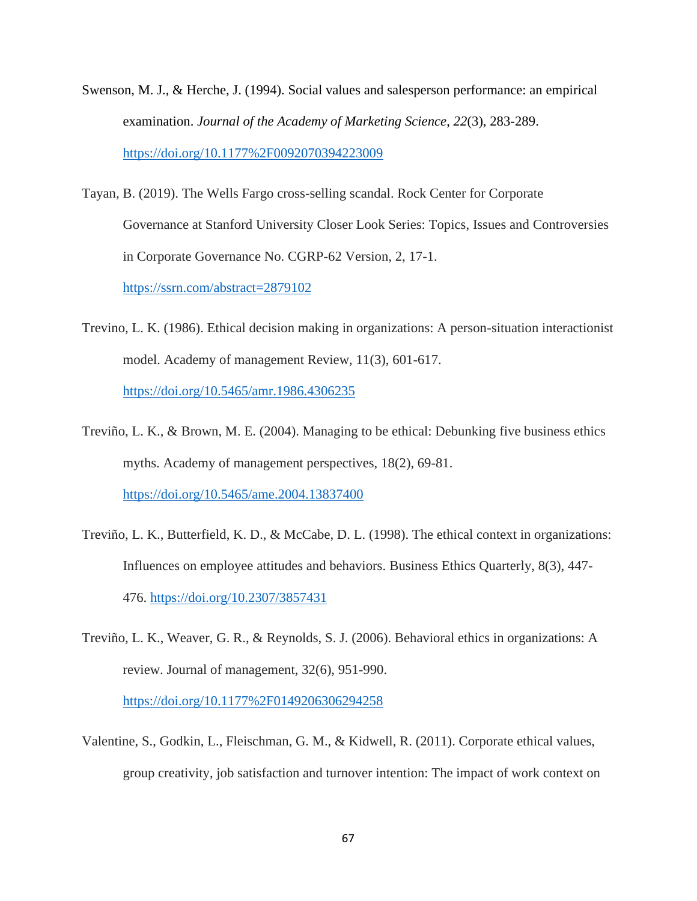- Swenson, M. J., & Herche, J. (1994). Social values and salesperson performance: an empirical examination. *Journal of the Academy of Marketing Science*, *22*(3), 283-289. <https://doi.org/10.1177%2F0092070394223009>
- Tayan, B. (2019). The Wells Fargo cross-selling scandal. Rock Center for Corporate Governance at Stanford University Closer Look Series: Topics, Issues and Controversies in Corporate Governance No. CGRP-62 Version, 2, 17-1. <https://ssrn.com/abstract=2879102>
- Trevino, L. K. (1986). Ethical decision making in organizations: A person-situation interactionist model. Academy of management Review, 11(3), 601-617. <https://doi.org/10.5465/amr.1986.4306235>
- Treviño, L. K., & Brown, M. E. (2004). Managing to be ethical: Debunking five business ethics myths. Academy of management perspectives, 18(2), 69-81. <https://doi.org/10.5465/ame.2004.13837400>
- Treviño, L. K., Butterfield, K. D., & McCabe, D. L. (1998). The ethical context in organizations: Influences on employee attitudes and behaviors. Business Ethics Quarterly, 8(3), 447- 476.<https://doi.org/10.2307/3857431>
- Treviño, L. K., Weaver, G. R., & Reynolds, S. J. (2006). Behavioral ethics in organizations: A review. Journal of management, 32(6), 951-990. <https://doi.org/10.1177%2F0149206306294258>
- Valentine, S., Godkin, L., Fleischman, G. M., & Kidwell, R. (2011). Corporate ethical values, group creativity, job satisfaction and turnover intention: The impact of work context on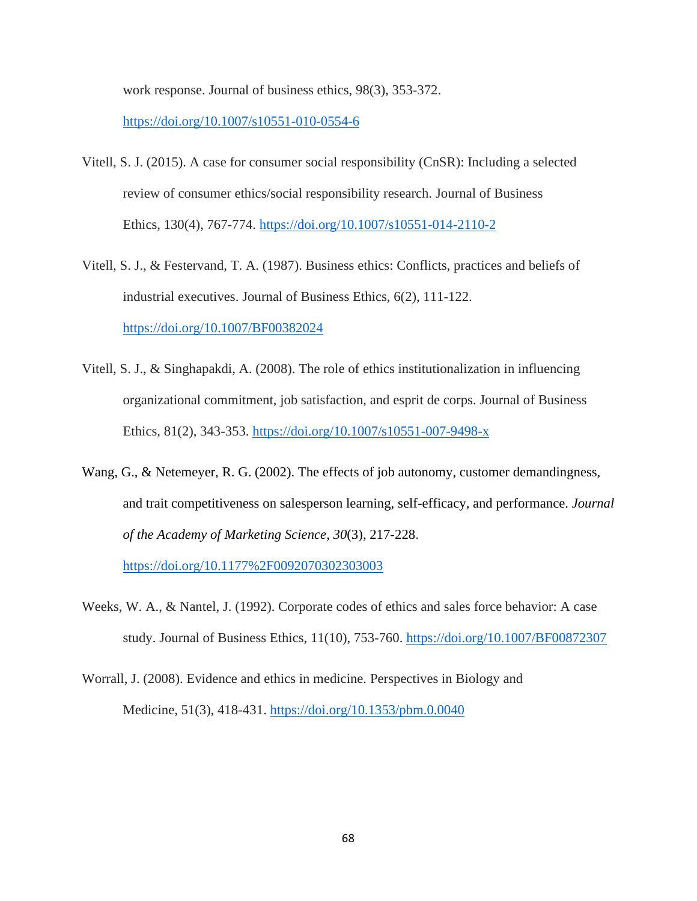work response. Journal of business ethics, 98(3), 353-372.

<https://doi.org/10.1007/s10551-010-0554-6>

- Vitell, S. J. (2015). A case for consumer social responsibility (CnSR): Including a selected review of consumer ethics/social responsibility research. Journal of Business Ethics, 130(4), 767-774.<https://doi.org/10.1007/s10551-014-2110-2>
- Vitell, S. J., & Festervand, T. A. (1987). Business ethics: Conflicts, practices and beliefs of industrial executives. Journal of Business Ethics, 6(2), 111-122. <https://doi.org/10.1007/BF00382024>
- Vitell, S. J., & Singhapakdi, A. (2008). The role of ethics institutionalization in influencing organizational commitment, job satisfaction, and esprit de corps. Journal of Business Ethics, 81(2), 343-353.<https://doi.org/10.1007/s10551-007-9498-x>
- Wang, G., & Netemeyer, R. G. (2002). The effects of job autonomy, customer demandingness, and trait competitiveness on salesperson learning, self-efficacy, and performance. *Journal of the Academy of Marketing Science*, *30*(3), 217-228.

<https://doi.org/10.1177%2F0092070302303003>

- Weeks, W. A., & Nantel, J. (1992). Corporate codes of ethics and sales force behavior: A case study. Journal of Business Ethics, 11(10), 753-760.<https://doi.org/10.1007/BF00872307>
- Worrall, J. (2008). Evidence and ethics in medicine. Perspectives in Biology and Medicine, 51(3), 418-431.<https://doi.org/10.1353/pbm.0.0040>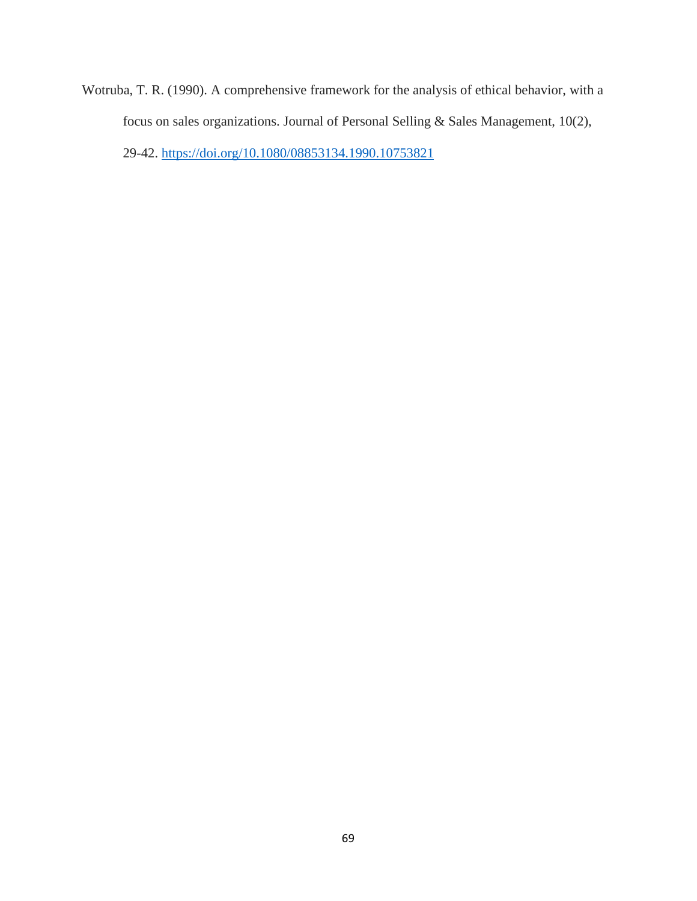Wotruba, T. R. (1990). A comprehensive framework for the analysis of ethical behavior, with a focus on sales organizations. Journal of Personal Selling & Sales Management, 10(2), 29-42.<https://doi.org/10.1080/08853134.1990.10753821>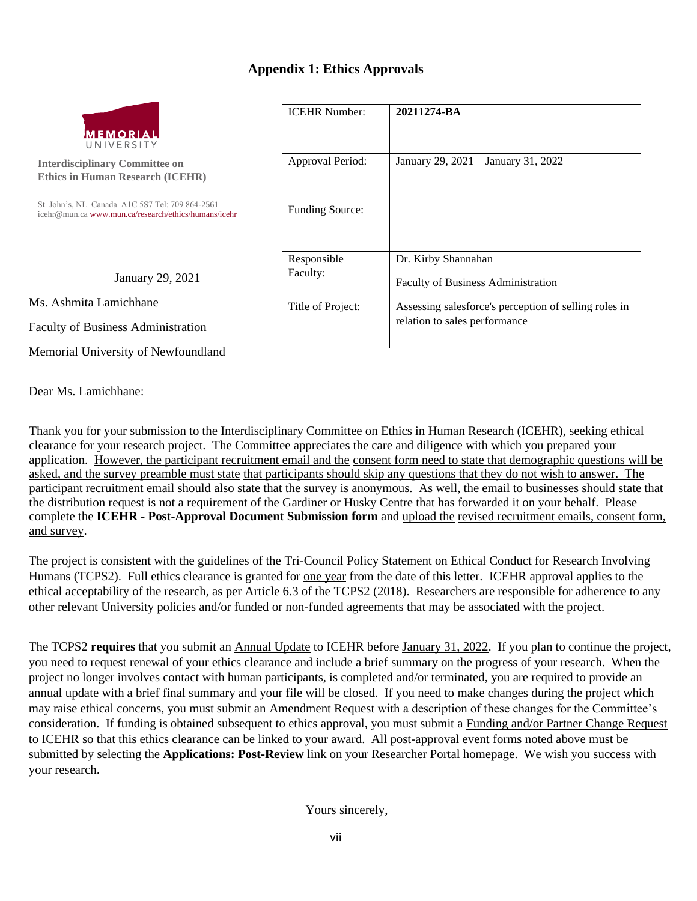# **Appendix 1: Ethics Approvals**



**Interdisciplinary Committee on Ethics in Human Research (ICEHR)** 

St. John's, NL Canada A1C 5S7 Tel: 709 864-2561 icehr@mun.ca www.mun.ca/research/ethics/humans/icehr

January 29, 2021

Ms. Ashmita Lamichhane

Faculty of Business Administration

Memorial University of Newfoundland

Dear Ms. Lamichhane:

| <b>ICEHR Number:</b>   | 20211274-BA                                                                            |
|------------------------|----------------------------------------------------------------------------------------|
| Approval Period:       | January 29, 2021 – January 31, 2022                                                    |
| <b>Funding Source:</b> |                                                                                        |
| Responsible            | Dr. Kirby Shannahan                                                                    |
| Faculty:               | <b>Faculty of Business Administration</b>                                              |
| Title of Project:      | Assessing salesforce's perception of selling roles in<br>relation to sales performance |

Thank you for your submission to the Interdisciplinary Committee on Ethics in Human Research (ICEHR), seeking ethical clearance for your research project. The Committee appreciates the care and diligence with which you prepared your application. However, the participant recruitment email and the consent form need to state that demographic questions will be asked, and the survey preamble must state that participants should skip any questions that they do not wish to answer. The participant recruitment email should also state that the survey is anonymous. As well, the email to businesses should state that the distribution request is not a requirement of the Gardiner or Husky Centre that has forwarded it on your behalf. Please complete the **ICEHR - Post-Approval Document Submission form** and upload the revised recruitment emails, consent form, and survey.

The project is consistent with the guidelines of the Tri-Council Policy Statement on Ethical Conduct for Research Involving Humans (TCPS2). Full ethics clearance is granted for one year from the date of this letter. ICEHR approval applies to the ethical acceptability of the research, as per Article 6.3 of the TCPS2 (2018). Researchers are responsible for adherence to any other relevant University policies and/or funded or non-funded agreements that may be associated with the project.

The TCPS2 **requires** that you submit an Annual Update to ICEHR before January 31, 2022. If you plan to continue the project, you need to request renewal of your ethics clearance and include a brief summary on the progress of your research. When the project no longer involves contact with human participants, is completed and/or terminated, you are required to provide an annual update with a brief final summary and your file will be closed. If you need to make changes during the project which may raise ethical concerns, you must submit an Amendment Request with a description of these changes for the Committee's consideration. If funding is obtained subsequent to ethics approval, you must submit a Funding and/or Partner Change Request to ICEHR so that this ethics clearance can be linked to your award. All post-approval event forms noted above must be submitted by selecting the **Applications: Post-Review** link on your Researcher Portal homepage. We wish you success with your research.

Yours sincerely,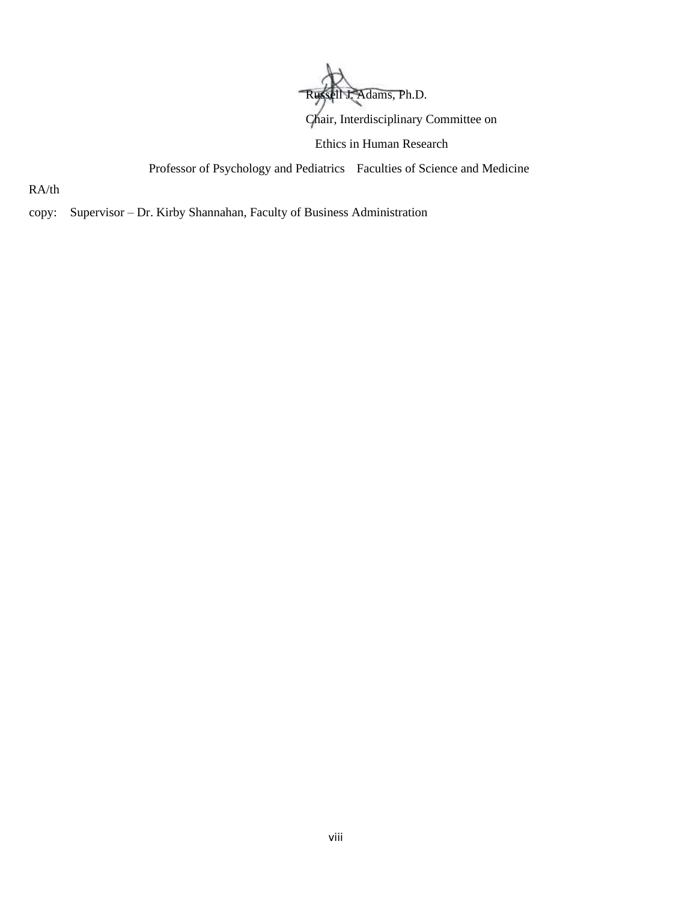

Chair, Interdisciplinary Committee on

Ethics in Human Research

Professor of Psychology and Pediatrics Faculties of Science and Medicine

RA/th

copy: Supervisor – Dr. Kirby Shannahan, Faculty of Business Administration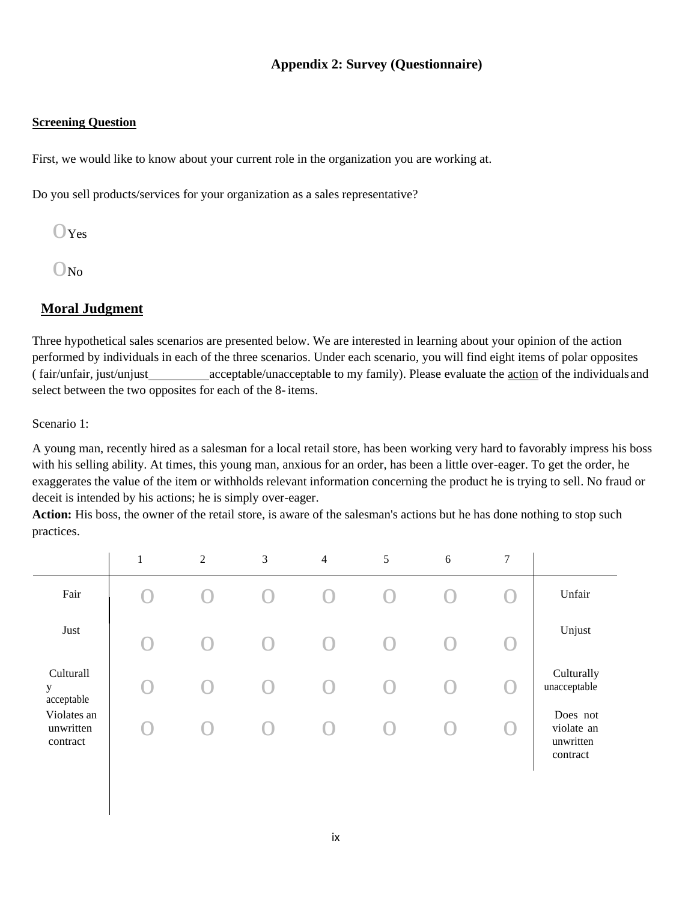# **Appendix 2: Survey (Questionnaire)**

#### **Screening Question**

First, we would like to know about your current role in the organization you are working at.

Do you sell products/services for your organization as a sales representative?

 $O_{Yes}$ 

 $O$ No

# **Moral Judgment**

Three hypothetical sales scenarios are presented below. We are interested in learning about your opinion of the action performed by individuals in each of the three scenarios. Under each scenario, you will find eight items of polar opposites (fair/unfair, just/unjust acceptable/unacceptable to my family). Please evaluate the action of the individuals and select between the two opposites for each of the 8-items.

Scenario 1:

A young man, recently hired as a salesman for a local retail store, has been working very hard to favorably impress his boss with his selling ability. At times, this young man, anxious for an order, has been a little over-eager. To get the order, he exaggerates the value of the item or withholds relevant information concerning the product he is trying to sell. No fraud or deceit is intended by his actions; he is simply over-eager.

**Action:** His boss, the owner of the retail store, is aware of the salesman's actions but he has done nothing to stop such practices.

|                                      | $\mathbf{1}$       | $\overline{2}$ | 3         | $\overline{4}$ | 5 | 6 | $\tau$ |                                                 |
|--------------------------------------|--------------------|----------------|-----------|----------------|---|---|--------|-------------------------------------------------|
| Fair                                 | $\cup$             |                |           |                |   |   |        | Unfair                                          |
| Just                                 | $\left( \ \right)$ |                | 0         |                |   |   |        | Unjust                                          |
| Culturall<br>y<br>acceptable         | $\left( \ \right)$ |                | $(\cdot,$ |                |   |   |        | Culturally<br>unacceptable                      |
| Violates an<br>unwritten<br>contract | U                  |                |           |                |   |   |        | Does not<br>violate an<br>unwritten<br>contract |
|                                      |                    |                |           |                |   |   |        |                                                 |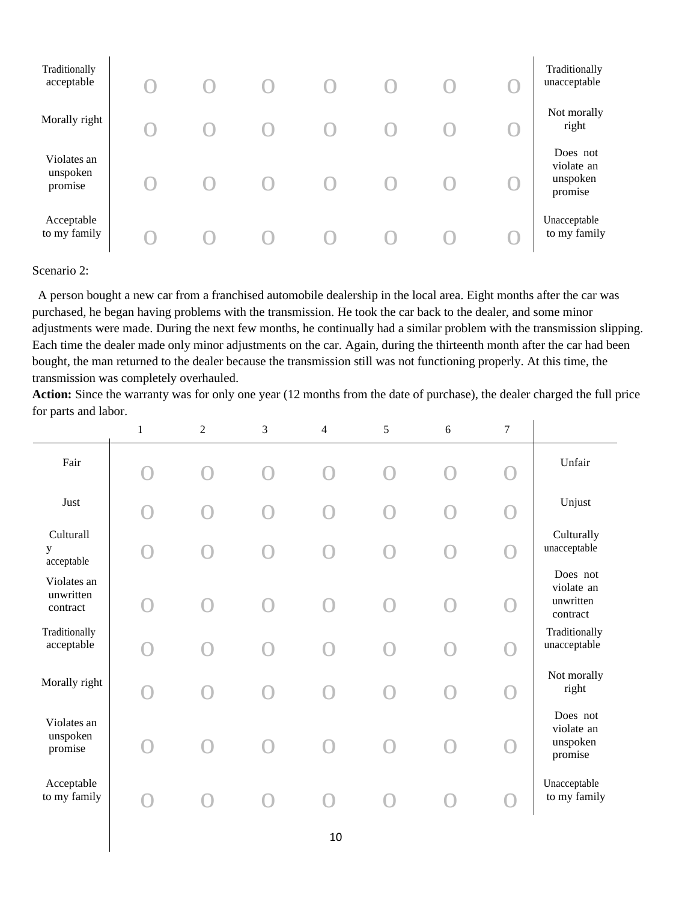| Traditionally<br>acceptable        |  |  |  | Traditionally<br>unacceptable                 |
|------------------------------------|--|--|--|-----------------------------------------------|
| Morally right                      |  |  |  | Not morally<br>right                          |
| Violates an<br>unspoken<br>promise |  |  |  | Does not<br>violate an<br>unspoken<br>promise |
| Acceptable<br>to my family         |  |  |  | Unacceptable<br>to my family                  |

#### Scenario 2:

A person bought a new car from a franchised automobile dealership in the local area. Eight months after the car was purchased, he began having problems with the transmission. He took the car back to the dealer, and some minor adjustments were made. During the next few months, he continually had a similar problem with the transmission slipping. Each time the dealer made only minor adjustments on the car. Again, during the thirteenth month after the car had been bought, the man returned to the dealer because the transmission still was not functioning properly. At this time, the transmission was completely overhauled.

**Action:** Since the warranty was for only one year (12 months from the date of purchase), the dealer charged the full price for parts and labor.

|                                      | $\mathbf{1}$ | $\overline{2}$ | 3 | $\overline{4}$     | 5 | $6\,$ | $\tau$    |                                                 |
|--------------------------------------|--------------|----------------|---|--------------------|---|-------|-----------|-------------------------------------------------|
| Fair                                 | $\bigcap$    |                |   |                    |   |       |           | Unfair                                          |
| Just                                 | O            |                |   | $\bigcirc$         |   |       |           | Unjust                                          |
| Culturall<br>y<br>acceptable         | $\bigcap$    |                |   | $\bigcirc$         |   |       |           | Culturally<br>unacceptable                      |
| Violates an<br>unwritten<br>contract | $\bigcap$    |                |   |                    |   |       | $\bigcap$ | Does not<br>violate an<br>unwritten<br>contract |
| Traditionally<br>acceptable          |              |                |   |                    |   |       |           | Traditionally<br>unacceptable                   |
| Morally right                        | $\bigcap$    |                |   | $\left( \ \right)$ |   |       |           | Not morally<br>right                            |
| Violates an<br>unspoken<br>promise   |              |                |   |                    |   |       |           | Does not<br>violate an<br>unspoken<br>promise   |
| Acceptable<br>to my family           |              |                |   |                    |   |       |           | Unacceptable<br>to my family                    |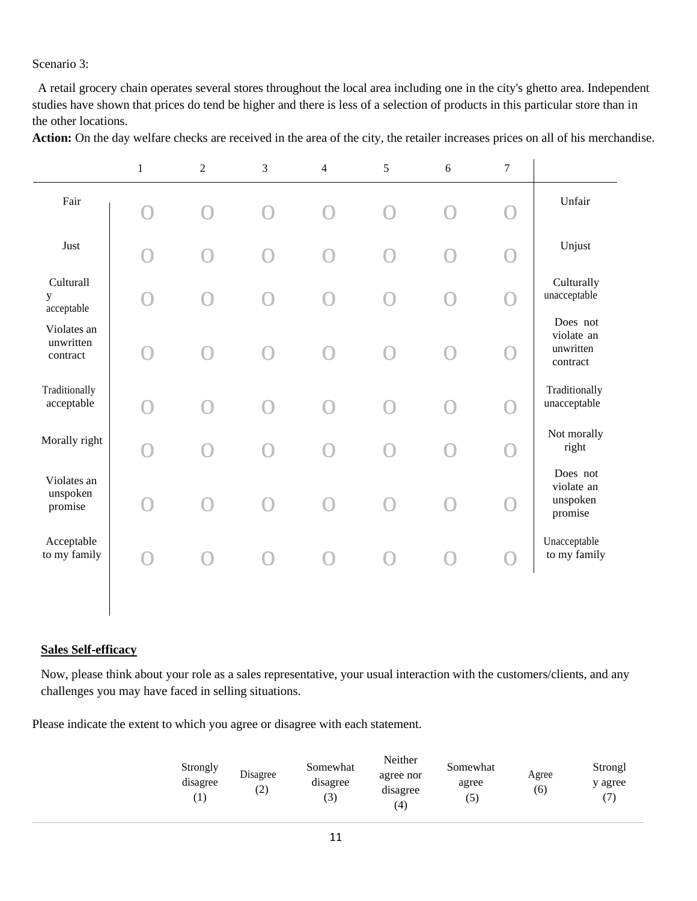Scenario 3:

A retail grocery chain operates several stores throughout the local area including one in the city's ghetto area. Independent studies have shown that prices do tend be higher and there is less of a selection of products in this particular store than in the other locations.

|                                      | $\mathbf{1}$       | $\overline{2}$ | $\mathfrak{Z}$                                | 4 | 5                  | 6 | $\tau$ |                                                 |
|--------------------------------------|--------------------|----------------|-----------------------------------------------|---|--------------------|---|--------|-------------------------------------------------|
| Fair                                 | $\bigcap$          |                |                                               |   |                    |   |        | Unfair                                          |
| Just                                 | $\bigcap$          |                |                                               |   |                    |   |        | Unjust                                          |
| Culturall<br>y<br>acceptable         | $\left( \ \right)$ |                |                                               |   |                    |   |        | Culturally<br>unacceptable                      |
| Violates an<br>unwritten<br>contract |                    |                |                                               |   |                    |   |        | Does not<br>violate an<br>unwritten<br>contract |
| Traditionally<br>acceptable          | ∩                  | $\cap$         | $\left( \begin{array}{c} \end{array} \right)$ |   |                    |   |        | Traditionally<br>unacceptable                   |
| Morally right                        | $\bigcap$          | $\bigcap$      |                                               |   | $\left( \ \right)$ |   |        | Not morally<br>right                            |
| Violates an<br>unspoken<br>promise   | $\left( \ \right)$ |                |                                               |   |                    |   |        | Does not<br>violate an<br>unspoken<br>promise   |
| Acceptable<br>to my family           | $\cap$             |                |                                               |   |                    |   |        | Unacceptable<br>to my family                    |

Action: On the day welfare checks are received in the area of the city, the retailer increases prices on all of his merchandise.

#### **Sales Self-efficacy**

Now, please think about your role as a sales representative, your usual interaction with the customers/clients, and any challenges you may have faced in selling situations.

Please indicate the extent to which you agree or disagree with each statement.

| Strongly<br>Disagree<br>disagree<br>T. | Somewhat<br>disagree<br>(2)<br>۱Ë.<br>$\left(3\right)$ | Neither<br>agree nor<br>disagree<br>(4) | Somewhat<br>agree<br>$\mathfrak{I}$ | Agree<br>(6) | Strongl<br>y agree |
|----------------------------------------|--------------------------------------------------------|-----------------------------------------|-------------------------------------|--------------|--------------------|
|----------------------------------------|--------------------------------------------------------|-----------------------------------------|-------------------------------------|--------------|--------------------|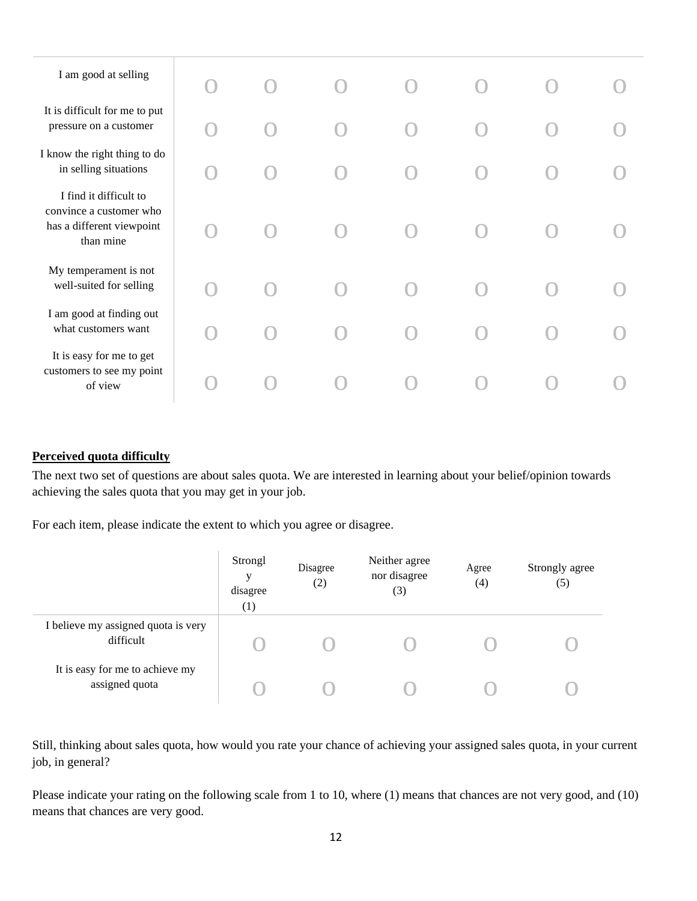| I am good at selling                                                                        |  |  |  |  |
|---------------------------------------------------------------------------------------------|--|--|--|--|
| It is difficult for me to put<br>pressure on a customer                                     |  |  |  |  |
| I know the right thing to do<br>in selling situations                                       |  |  |  |  |
| I find it difficult to<br>convince a customer who<br>has a different viewpoint<br>than mine |  |  |  |  |
| My temperament is not<br>well-suited for selling                                            |  |  |  |  |
| I am good at finding out<br>what customers want                                             |  |  |  |  |
| It is easy for me to get<br>customers to see my point<br>of view                            |  |  |  |  |

### **Perceived quota difficulty**

The next two set of questions are about sales quota. We are interested in learning about your belief/opinion towards achieving the sales quota that you may get in your job.

For each item, please indicate the extent to which you agree or disagree.

|                                                   | Strongl<br>v<br>disagree<br>$\left(1\right)$ | Disagree<br>(2) | Neither agree<br>nor disagree<br>(3) | Agree<br>(4) | Strongly agree<br>(5) |
|---------------------------------------------------|----------------------------------------------|-----------------|--------------------------------------|--------------|-----------------------|
| I believe my assigned quota is very<br>difficult  |                                              |                 |                                      |              |                       |
| It is easy for me to achieve my<br>assigned quota |                                              |                 |                                      |              |                       |

Still, thinking about sales quota, how would you rate your chance of achieving your assigned sales quota, in your current job, in general?

Please indicate your rating on the following scale from 1 to 10, where (1) means that chances are not very good, and (10) means that chances are very good.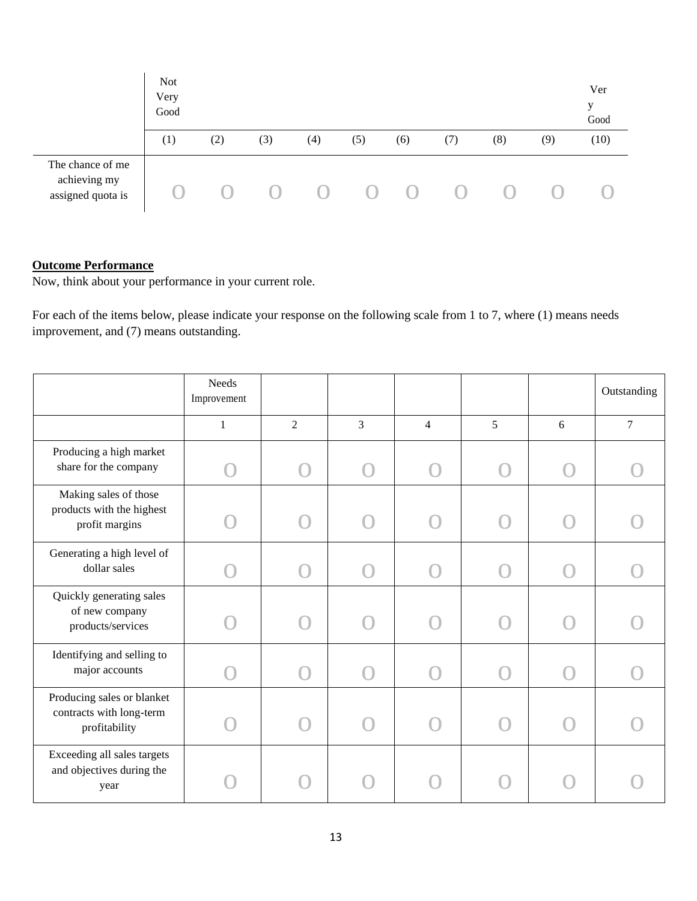|                                                       | <b>Not</b><br>Very<br>Good |     |     |                        |                        |                        |         |        |     | Ver<br>V<br>Good |
|-------------------------------------------------------|----------------------------|-----|-----|------------------------|------------------------|------------------------|---------|--------|-----|------------------|
|                                                       | $\left(1\right)$           | (2) | (3) | $\left( 4\right)$      | (5)                    | (6)                    | (7)     | (8)    | (9) | (10)             |
| The chance of me<br>achieving my<br>assigned quota is |                            |     |     | $\left( \quad \right)$ | $\left( \quad \right)$ | $\left( \quad \right)$ | $($ $)$ | $\Box$ |     |                  |

#### **Outcome Performance**

Now, think about your performance in your current role.

For each of the items below, please indicate your response on the following scale from 1 to 7, where (1) means needs improvement, and (7) means outstanding.

|                                                                         | Needs<br>Improvement |                |                                               |                        |                                                 |     | Outstanding    |
|-------------------------------------------------------------------------|----------------------|----------------|-----------------------------------------------|------------------------|-------------------------------------------------|-----|----------------|
|                                                                         | $\mathbf{1}$         | $\overline{2}$ | $\overline{3}$                                | $\overline{4}$         | 5                                               | 6   | $\overline{7}$ |
| Producing a high market<br>share for the company                        |                      |                |                                               |                        |                                                 |     |                |
| Making sales of those<br>products with the highest<br>profit margins    |                      |                |                                               |                        | U                                               |     |                |
| Generating a high level of<br>dollar sales                              |                      |                |                                               |                        |                                                 |     |                |
| Quickly generating sales<br>of new company<br>products/services         |                      |                |                                               |                        |                                                 |     |                |
| Identifying and selling to<br>major accounts                            |                      |                |                                               |                        |                                                 |     |                |
| Producing sales or blanket<br>contracts with long-term<br>profitability |                      | . .            | $\left( \begin{array}{c} \end{array} \right)$ | $\left( \quad \right)$ | $\left( \begin{array}{c} 1 \end{array} \right)$ | ( ) |                |
| Exceeding all sales targets<br>and objectives during the<br>year        |                      |                |                                               |                        |                                                 |     |                |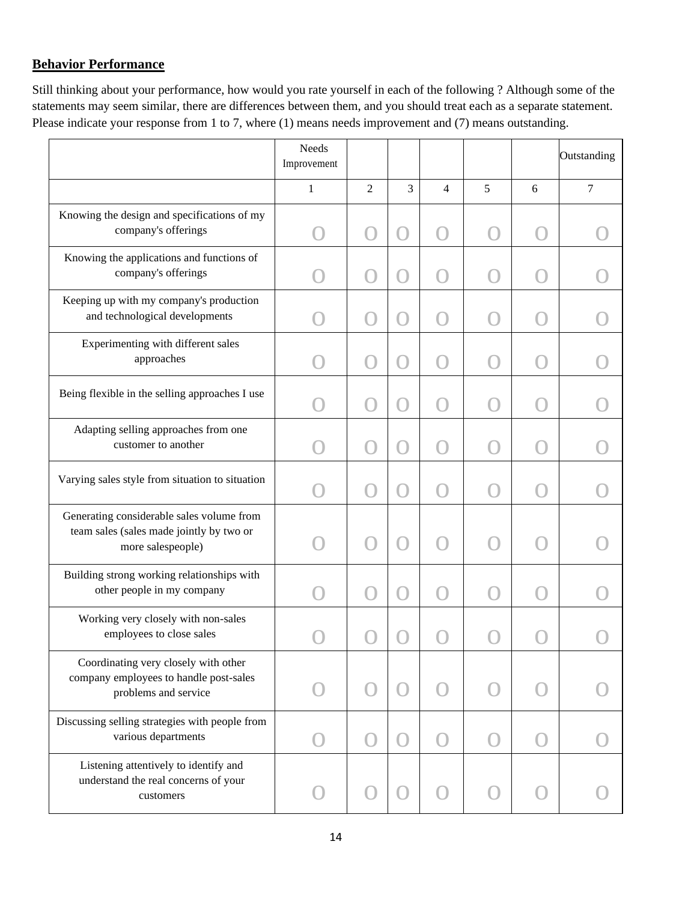# **Behavior Performance**

Still thinking about your performance, how would you rate yourself in each of the following ? Although some of the statements may seem similar, there are differences between them, and you should treat each as a separate statement. Please indicate your response from 1 to 7, where (1) means needs improvement and (7) means outstanding.

|                                                                                                            | Needs<br>Improvement |                    |                                                     |        |                        |                        | Outstanding |
|------------------------------------------------------------------------------------------------------------|----------------------|--------------------|-----------------------------------------------------|--------|------------------------|------------------------|-------------|
|                                                                                                            | $\mathbf{1}$         | $\overline{2}$     | 3                                                   | 4      | 5                      | 6                      | 7           |
| Knowing the design and specifications of my<br>company's offerings                                         |                      | $\bigcirc$         | $\left( \quad \right)$                              | $\Box$ | ( )                    | $^{\rm (+)}$           |             |
| Knowing the applications and functions of<br>company's offerings                                           |                      | $\bigcirc$         |                                                     |        | $\left( \quad \right)$ | $\left( \quad \right)$ |             |
| Keeping up with my company's production<br>and technological developments                                  |                      |                    |                                                     |        |                        |                        |             |
| Experimenting with different sales<br>approaches                                                           |                      |                    |                                                     |        |                        |                        |             |
| Being flexible in the selling approaches I use                                                             |                      |                    |                                                     |        |                        |                        |             |
| Adapting selling approaches from one<br>customer to another                                                |                      | $\bigcirc$         | $\left( \begin{array}{c} \ \ \ \end{array} \right)$ |        | $\left( \quad \right)$ |                        |             |
| Varying sales style from situation to situation                                                            |                      |                    |                                                     |        |                        |                        |             |
| Generating considerable sales volume from<br>team sales (sales made jointly by two or<br>more salespeople) |                      | $\bigcap$          |                                                     |        | ( )                    | $\Box$                 |             |
| Building strong working relationships with<br>other people in my company                                   |                      | $\left( \ \right)$ |                                                     |        |                        |                        |             |
| Working very closely with non-sales<br>employees to close sales                                            |                      |                    |                                                     |        |                        |                        |             |
| Coordinating very closely with other<br>company employees to handle post-sales<br>problems and service     |                      |                    |                                                     |        |                        |                        |             |
| Discussing selling strategies with people from<br>various departments                                      |                      |                    |                                                     |        |                        |                        |             |
| Listening attentively to identify and<br>understand the real concerns of your<br>customers                 |                      |                    |                                                     |        |                        |                        |             |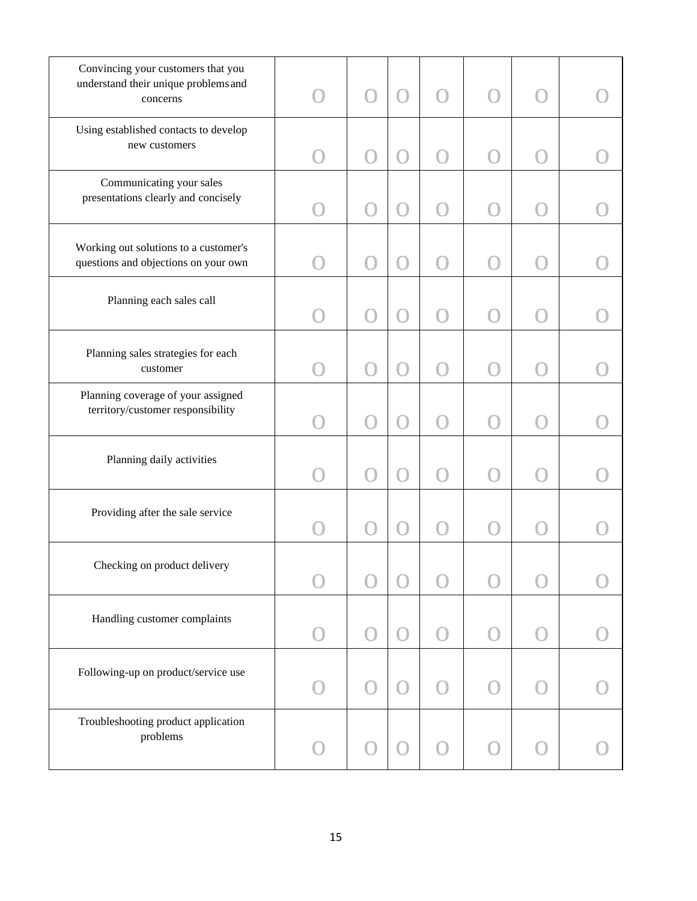| Convincing your customers that you<br>understand their unique problems and<br>concerns |                        |                                               |                        |           | $\bigl(\bigl)$                                |              |  |
|----------------------------------------------------------------------------------------|------------------------|-----------------------------------------------|------------------------|-----------|-----------------------------------------------|--------------|--|
| Using established contacts to develop<br>new customers                                 |                        | $\bigcap$                                     | $^{\rm (+)}$           | $\bigcap$ | $\bigcap$                                     |              |  |
| Communicating your sales<br>presentations clearly and concisely                        |                        | $\bigcap$                                     |                        |           | $\bigcirc$                                    |              |  |
| Working out solutions to a customer's<br>questions and objections on your own          |                        | $\bigcap$                                     | $^{\rm (+)}$           |           | $\bigl(\bigl)$                                |              |  |
| Planning each sales call                                                               |                        | $\bigcap$                                     | $\left( \ \right)$     | $\Box$    | $\bigcirc$                                    | $^{\rm (+)}$ |  |
| Planning sales strategies for each<br>customer                                         |                        | $\bigcap$                                     | $\left( \quad \right)$ | O         | $\bigcirc$                                    |              |  |
| Planning coverage of your assigned<br>territory/customer responsibility                |                        | $\left( \begin{array}{c} \end{array} \right)$ |                        |           | $\big($ )                                     |              |  |
| Planning daily activities                                                              |                        |                                               |                        |           | $\Box$                                        |              |  |
| Providing after the sale service                                                       |                        | $\bigcirc$                                    |                        |           | $\left( \begin{array}{c} \end{array} \right)$ |              |  |
| Checking on product delivery                                                           |                        | $\bigcirc$                                    |                        |           | $\left( \ \right)$                            |              |  |
| Handling customer complaints                                                           | $\left( \quad \right)$ | $\overline{O}$                                | $\left( \ \right)$     | $\bigcap$ | $\Omega$                                      | $\bigcirc$   |  |
| Following-up on product/service use                                                    |                        |                                               |                        |           | $\bigcirc$                                    |              |  |
| Troubleshooting product application<br>problems                                        |                        |                                               |                        |           | $\bigcap$                                     |              |  |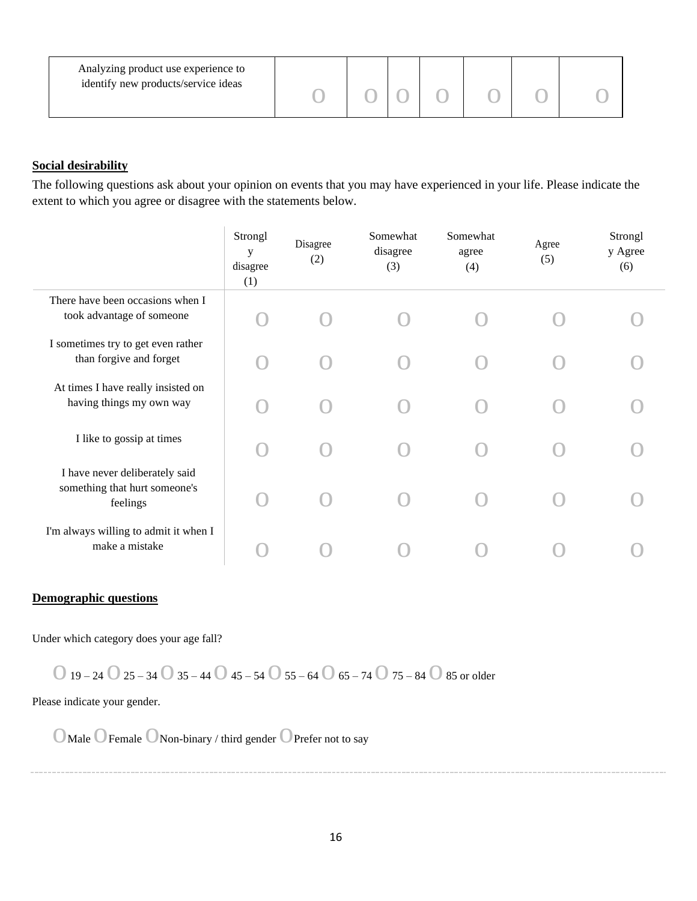| Analyzing product use experience to<br>identify new products/service ideas |  |  |  |  |  |  |  |
|----------------------------------------------------------------------------|--|--|--|--|--|--|--|
|----------------------------------------------------------------------------|--|--|--|--|--|--|--|

## **Social desirability**

The following questions ask about your opinion on events that you may have experienced in your life. Please indicate the extent to which you agree or disagree with the statements below.

|                                                                             | Strongl<br>y<br>disagree<br>(1) | Disagree<br>(2) | Somewhat<br>disagree<br>(3) | Somewhat<br>agree<br>(4) | Agree<br>(5) | Strongl<br>y Agree<br>(6) |
|-----------------------------------------------------------------------------|---------------------------------|-----------------|-----------------------------|--------------------------|--------------|---------------------------|
| There have been occasions when I<br>took advantage of someone               |                                 |                 |                             |                          |              |                           |
| I sometimes try to get even rather<br>than forgive and forget               |                                 |                 |                             |                          |              |                           |
| At times I have really insisted on<br>having things my own way              |                                 |                 |                             |                          |              |                           |
| I like to gossip at times                                                   |                                 |                 |                             |                          |              |                           |
| I have never deliberately said<br>something that hurt someone's<br>feelings |                                 |                 |                             |                          |              |                           |
| I'm always willing to admit it when I<br>make a mistake                     |                                 |                 |                             |                          |              |                           |

#### **Demographic questions**

Under which category does your age fall?

 $\overline{O}$  19 – 24  $\overline{O}$  25 – 34  $\overline{O}$  35 – 44  $\overline{O}$  45 – 54  $\overline{O}$  55 – 64  $\overline{O}$  65 – 74  $\overline{O}$  75 – 84  $\overline{O}$  85 or older

Please indicate your gender.

OMale OFemale ONon-binary / third gender OPrefer not to say